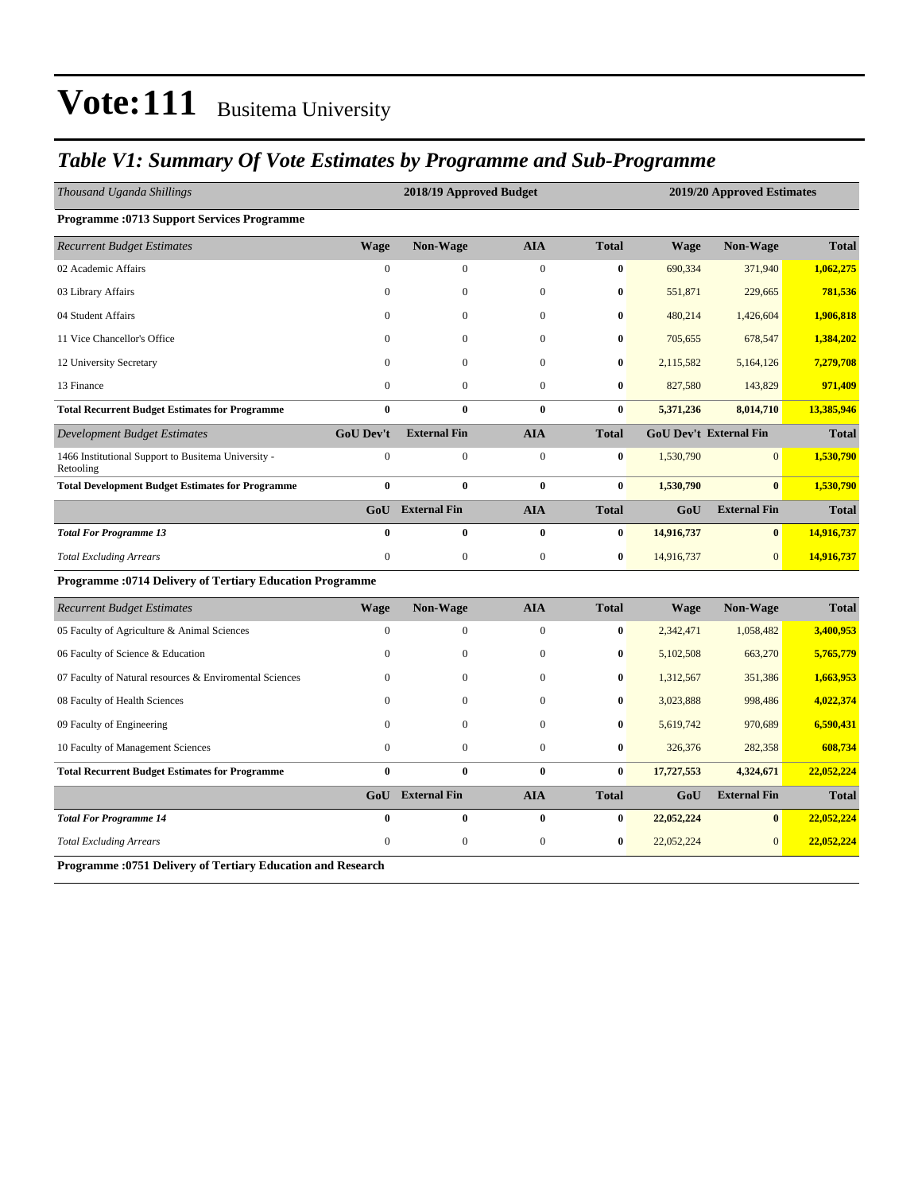### *Table V1: Summary Of Vote Estimates by Programme and Sub-Programme*

| <b>Total</b><br><b>Wage</b><br>Non-Wage<br><b>AIA</b><br><b>Total</b><br>Non-Wage<br><b>Wage</b><br>$\boldsymbol{0}$<br>$\boldsymbol{0}$<br>$\boldsymbol{0}$<br>$\bf{0}$<br>690,334<br>371,940<br>1,062,275<br>$\boldsymbol{0}$<br>781,536<br>$\mathbf{0}$<br>$\boldsymbol{0}$<br>$\bf{0}$<br>551,871<br>229,665<br>$\mathbf{0}$<br>1,906,818<br>$\Omega$<br>$\mathbf{0}$<br>$\bf{0}$<br>480,214<br>1,426,604<br>$\theta$<br>$\mathbf{0}$<br>$\mathbf{0}$<br>$\bf{0}$<br>705,655<br>678,547<br>1,384,202<br>$\Omega$<br>$\mathbf{0}$<br>$\mathbf{0}$<br>$\bf{0}$<br>2,115,582<br>7,279,708<br>5,164,126<br>$\boldsymbol{0}$<br>$\mathbf{0}$<br>$\mathbf{0}$<br>$\bf{0}$<br>827,580<br>971,409<br>143,829<br>$\mathbf{0}$<br>$\bf{0}$<br>$\bf{0}$<br>$\bf{0}$<br>13,385,946<br>5,371,236<br>8,014,710<br><b>AIA</b><br><b>GoU Dev't</b><br><b>External Fin</b><br><b>GoU Dev't External Fin</b><br><b>Total</b><br><b>Total</b><br>$\boldsymbol{0}$<br>$\mathbf{0}$<br>1466 Institutional Support to Busitema University -<br>$\mathbf{0}$<br>$\boldsymbol{0}$<br>$\bf{0}$<br>1,530,790<br>1,530,790<br>$\bf{0}$<br>$\bf{0}$<br>$\bf{0}$<br>$\bf{0}$<br>1,530,790<br>$\bf{0}$<br>1,530,790<br><b>GoU</b> External Fin<br><b>AIA</b><br><b>Total</b><br>GoU<br><b>External Fin</b><br><b>Total</b><br>$\bf{0}$<br>$\bf{0}$<br>$\bf{0}$<br>$\bf{0}$<br>$\bf{0}$<br>14,916,737<br>14,916,737<br>$\mathbf{0}$<br>$\boldsymbol{0}$<br>$\boldsymbol{0}$<br>$\bf{0}$<br>14,916,737<br>14,916,737<br>$\mathbf{0}$<br><b>Programme: 0714 Delivery of Tertiary Education Programme</b><br><b>AIA</b><br>Non-Wage<br><b>Wage</b><br><b>Non-Wage</b><br><b>Total</b><br><b>Wage</b><br><b>Total</b><br>$\boldsymbol{0}$<br>$\mathbf{0}$<br>$\mathbf{0}$<br>$\bf{0}$<br>3,400,953<br>2,342,471<br>1,058,482<br>$\boldsymbol{0}$<br>$\mathbf{0}$<br>$\mathbf{0}$<br>$\bf{0}$<br>5,102,508<br>663,270<br>5,765,779<br>$\Omega$<br>$\mathbf{0}$<br>$\bf{0}$<br>1,312,567<br>351,386<br>1,663,953<br>$\Omega$<br>$\mathbf{0}$<br>4,022,374<br>$\theta$<br>$\mathbf{0}$<br>3,023,888<br>998,486<br>$\bf{0}$<br>$\Omega$<br>$\mathbf{0}$<br>$\mathbf{0}$<br>5,619,742<br>970,689<br>6,590,431<br>$\bf{0}$<br>$\mathbf{0}$<br>$\boldsymbol{0}$<br>$\boldsymbol{0}$<br>$\bf{0}$<br>608,734<br>326,376<br>282,358<br>$\mathbf{0}$<br>$\bf{0}$<br>$\mathbf{0}$<br>$\bf{0}$<br>17,727,553<br>22,052,224<br>4,324,671<br>GoU External Fin<br><b>External Fin</b><br><b>AIA</b><br>GoU<br><b>Total</b><br><b>Total</b><br>$\bf{0}$<br>$\bf{0}$<br>$\bf{0}$<br>22,052,224<br>$\bf{0}$<br>22,052,224<br>$\bf{0}$<br>$\mathbf{0}$<br>$\boldsymbol{0}$<br>$\mathbf{0}$<br>$\bf{0}$<br>22,052,224<br>$\overline{0}$<br>22,052,224 | Thousand Uganda Shillings                               | 2018/19 Approved Budget |  | 2019/20 Approved Estimates |  |  |
|---------------------------------------------------------------------------------------------------------------------------------------------------------------------------------------------------------------------------------------------------------------------------------------------------------------------------------------------------------------------------------------------------------------------------------------------------------------------------------------------------------------------------------------------------------------------------------------------------------------------------------------------------------------------------------------------------------------------------------------------------------------------------------------------------------------------------------------------------------------------------------------------------------------------------------------------------------------------------------------------------------------------------------------------------------------------------------------------------------------------------------------------------------------------------------------------------------------------------------------------------------------------------------------------------------------------------------------------------------------------------------------------------------------------------------------------------------------------------------------------------------------------------------------------------------------------------------------------------------------------------------------------------------------------------------------------------------------------------------------------------------------------------------------------------------------------------------------------------------------------------------------------------------------------------------------------------------------------------------------------------------------------------------------------------------------------------------------------------------------------------------------------------------------------------------------------------------------------------------------------------------------------------------------------------------------------------------------------------------------------------------------------------------------------------------------------------------------------------------------------------------------------------------------------------------------------------------------------------------------------------------------------------------------------------------------------------|---------------------------------------------------------|-------------------------|--|----------------------------|--|--|
|                                                                                                                                                                                                                                                                                                                                                                                                                                                                                                                                                                                                                                                                                                                                                                                                                                                                                                                                                                                                                                                                                                                                                                                                                                                                                                                                                                                                                                                                                                                                                                                                                                                                                                                                                                                                                                                                                                                                                                                                                                                                                                                                                                                                                                                                                                                                                                                                                                                                                                                                                                                                                                                                                                   | <b>Programme: 0713 Support Services Programme</b>       |                         |  |                            |  |  |
|                                                                                                                                                                                                                                                                                                                                                                                                                                                                                                                                                                                                                                                                                                                                                                                                                                                                                                                                                                                                                                                                                                                                                                                                                                                                                                                                                                                                                                                                                                                                                                                                                                                                                                                                                                                                                                                                                                                                                                                                                                                                                                                                                                                                                                                                                                                                                                                                                                                                                                                                                                                                                                                                                                   | <b>Recurrent Budget Estimates</b>                       |                         |  |                            |  |  |
|                                                                                                                                                                                                                                                                                                                                                                                                                                                                                                                                                                                                                                                                                                                                                                                                                                                                                                                                                                                                                                                                                                                                                                                                                                                                                                                                                                                                                                                                                                                                                                                                                                                                                                                                                                                                                                                                                                                                                                                                                                                                                                                                                                                                                                                                                                                                                                                                                                                                                                                                                                                                                                                                                                   | 02 Academic Affairs                                     |                         |  |                            |  |  |
|                                                                                                                                                                                                                                                                                                                                                                                                                                                                                                                                                                                                                                                                                                                                                                                                                                                                                                                                                                                                                                                                                                                                                                                                                                                                                                                                                                                                                                                                                                                                                                                                                                                                                                                                                                                                                                                                                                                                                                                                                                                                                                                                                                                                                                                                                                                                                                                                                                                                                                                                                                                                                                                                                                   | 03 Library Affairs                                      |                         |  |                            |  |  |
|                                                                                                                                                                                                                                                                                                                                                                                                                                                                                                                                                                                                                                                                                                                                                                                                                                                                                                                                                                                                                                                                                                                                                                                                                                                                                                                                                                                                                                                                                                                                                                                                                                                                                                                                                                                                                                                                                                                                                                                                                                                                                                                                                                                                                                                                                                                                                                                                                                                                                                                                                                                                                                                                                                   | 04 Student Affairs                                      |                         |  |                            |  |  |
|                                                                                                                                                                                                                                                                                                                                                                                                                                                                                                                                                                                                                                                                                                                                                                                                                                                                                                                                                                                                                                                                                                                                                                                                                                                                                                                                                                                                                                                                                                                                                                                                                                                                                                                                                                                                                                                                                                                                                                                                                                                                                                                                                                                                                                                                                                                                                                                                                                                                                                                                                                                                                                                                                                   | 11 Vice Chancellor's Office                             |                         |  |                            |  |  |
|                                                                                                                                                                                                                                                                                                                                                                                                                                                                                                                                                                                                                                                                                                                                                                                                                                                                                                                                                                                                                                                                                                                                                                                                                                                                                                                                                                                                                                                                                                                                                                                                                                                                                                                                                                                                                                                                                                                                                                                                                                                                                                                                                                                                                                                                                                                                                                                                                                                                                                                                                                                                                                                                                                   | 12 University Secretary                                 |                         |  |                            |  |  |
|                                                                                                                                                                                                                                                                                                                                                                                                                                                                                                                                                                                                                                                                                                                                                                                                                                                                                                                                                                                                                                                                                                                                                                                                                                                                                                                                                                                                                                                                                                                                                                                                                                                                                                                                                                                                                                                                                                                                                                                                                                                                                                                                                                                                                                                                                                                                                                                                                                                                                                                                                                                                                                                                                                   | 13 Finance                                              |                         |  |                            |  |  |
|                                                                                                                                                                                                                                                                                                                                                                                                                                                                                                                                                                                                                                                                                                                                                                                                                                                                                                                                                                                                                                                                                                                                                                                                                                                                                                                                                                                                                                                                                                                                                                                                                                                                                                                                                                                                                                                                                                                                                                                                                                                                                                                                                                                                                                                                                                                                                                                                                                                                                                                                                                                                                                                                                                   | <b>Total Recurrent Budget Estimates for Programme</b>   |                         |  |                            |  |  |
|                                                                                                                                                                                                                                                                                                                                                                                                                                                                                                                                                                                                                                                                                                                                                                                                                                                                                                                                                                                                                                                                                                                                                                                                                                                                                                                                                                                                                                                                                                                                                                                                                                                                                                                                                                                                                                                                                                                                                                                                                                                                                                                                                                                                                                                                                                                                                                                                                                                                                                                                                                                                                                                                                                   | <b>Development Budget Estimates</b>                     |                         |  |                            |  |  |
|                                                                                                                                                                                                                                                                                                                                                                                                                                                                                                                                                                                                                                                                                                                                                                                                                                                                                                                                                                                                                                                                                                                                                                                                                                                                                                                                                                                                                                                                                                                                                                                                                                                                                                                                                                                                                                                                                                                                                                                                                                                                                                                                                                                                                                                                                                                                                                                                                                                                                                                                                                                                                                                                                                   | Retooling                                               |                         |  |                            |  |  |
|                                                                                                                                                                                                                                                                                                                                                                                                                                                                                                                                                                                                                                                                                                                                                                                                                                                                                                                                                                                                                                                                                                                                                                                                                                                                                                                                                                                                                                                                                                                                                                                                                                                                                                                                                                                                                                                                                                                                                                                                                                                                                                                                                                                                                                                                                                                                                                                                                                                                                                                                                                                                                                                                                                   | <b>Total Development Budget Estimates for Programme</b> |                         |  |                            |  |  |
|                                                                                                                                                                                                                                                                                                                                                                                                                                                                                                                                                                                                                                                                                                                                                                                                                                                                                                                                                                                                                                                                                                                                                                                                                                                                                                                                                                                                                                                                                                                                                                                                                                                                                                                                                                                                                                                                                                                                                                                                                                                                                                                                                                                                                                                                                                                                                                                                                                                                                                                                                                                                                                                                                                   |                                                         |                         |  |                            |  |  |
|                                                                                                                                                                                                                                                                                                                                                                                                                                                                                                                                                                                                                                                                                                                                                                                                                                                                                                                                                                                                                                                                                                                                                                                                                                                                                                                                                                                                                                                                                                                                                                                                                                                                                                                                                                                                                                                                                                                                                                                                                                                                                                                                                                                                                                                                                                                                                                                                                                                                                                                                                                                                                                                                                                   | <b>Total For Programme 13</b>                           |                         |  |                            |  |  |
|                                                                                                                                                                                                                                                                                                                                                                                                                                                                                                                                                                                                                                                                                                                                                                                                                                                                                                                                                                                                                                                                                                                                                                                                                                                                                                                                                                                                                                                                                                                                                                                                                                                                                                                                                                                                                                                                                                                                                                                                                                                                                                                                                                                                                                                                                                                                                                                                                                                                                                                                                                                                                                                                                                   | <b>Total Excluding Arrears</b>                          |                         |  |                            |  |  |
|                                                                                                                                                                                                                                                                                                                                                                                                                                                                                                                                                                                                                                                                                                                                                                                                                                                                                                                                                                                                                                                                                                                                                                                                                                                                                                                                                                                                                                                                                                                                                                                                                                                                                                                                                                                                                                                                                                                                                                                                                                                                                                                                                                                                                                                                                                                                                                                                                                                                                                                                                                                                                                                                                                   |                                                         |                         |  |                            |  |  |
|                                                                                                                                                                                                                                                                                                                                                                                                                                                                                                                                                                                                                                                                                                                                                                                                                                                                                                                                                                                                                                                                                                                                                                                                                                                                                                                                                                                                                                                                                                                                                                                                                                                                                                                                                                                                                                                                                                                                                                                                                                                                                                                                                                                                                                                                                                                                                                                                                                                                                                                                                                                                                                                                                                   | <b>Recurrent Budget Estimates</b>                       |                         |  |                            |  |  |
|                                                                                                                                                                                                                                                                                                                                                                                                                                                                                                                                                                                                                                                                                                                                                                                                                                                                                                                                                                                                                                                                                                                                                                                                                                                                                                                                                                                                                                                                                                                                                                                                                                                                                                                                                                                                                                                                                                                                                                                                                                                                                                                                                                                                                                                                                                                                                                                                                                                                                                                                                                                                                                                                                                   | 05 Faculty of Agriculture & Animal Sciences             |                         |  |                            |  |  |
|                                                                                                                                                                                                                                                                                                                                                                                                                                                                                                                                                                                                                                                                                                                                                                                                                                                                                                                                                                                                                                                                                                                                                                                                                                                                                                                                                                                                                                                                                                                                                                                                                                                                                                                                                                                                                                                                                                                                                                                                                                                                                                                                                                                                                                                                                                                                                                                                                                                                                                                                                                                                                                                                                                   | 06 Faculty of Science & Education                       |                         |  |                            |  |  |
|                                                                                                                                                                                                                                                                                                                                                                                                                                                                                                                                                                                                                                                                                                                                                                                                                                                                                                                                                                                                                                                                                                                                                                                                                                                                                                                                                                                                                                                                                                                                                                                                                                                                                                                                                                                                                                                                                                                                                                                                                                                                                                                                                                                                                                                                                                                                                                                                                                                                                                                                                                                                                                                                                                   | 07 Faculty of Natural resources & Enviromental Sciences |                         |  |                            |  |  |
|                                                                                                                                                                                                                                                                                                                                                                                                                                                                                                                                                                                                                                                                                                                                                                                                                                                                                                                                                                                                                                                                                                                                                                                                                                                                                                                                                                                                                                                                                                                                                                                                                                                                                                                                                                                                                                                                                                                                                                                                                                                                                                                                                                                                                                                                                                                                                                                                                                                                                                                                                                                                                                                                                                   | 08 Faculty of Health Sciences                           |                         |  |                            |  |  |
|                                                                                                                                                                                                                                                                                                                                                                                                                                                                                                                                                                                                                                                                                                                                                                                                                                                                                                                                                                                                                                                                                                                                                                                                                                                                                                                                                                                                                                                                                                                                                                                                                                                                                                                                                                                                                                                                                                                                                                                                                                                                                                                                                                                                                                                                                                                                                                                                                                                                                                                                                                                                                                                                                                   | 09 Faculty of Engineering                               |                         |  |                            |  |  |
|                                                                                                                                                                                                                                                                                                                                                                                                                                                                                                                                                                                                                                                                                                                                                                                                                                                                                                                                                                                                                                                                                                                                                                                                                                                                                                                                                                                                                                                                                                                                                                                                                                                                                                                                                                                                                                                                                                                                                                                                                                                                                                                                                                                                                                                                                                                                                                                                                                                                                                                                                                                                                                                                                                   | 10 Faculty of Management Sciences                       |                         |  |                            |  |  |
|                                                                                                                                                                                                                                                                                                                                                                                                                                                                                                                                                                                                                                                                                                                                                                                                                                                                                                                                                                                                                                                                                                                                                                                                                                                                                                                                                                                                                                                                                                                                                                                                                                                                                                                                                                                                                                                                                                                                                                                                                                                                                                                                                                                                                                                                                                                                                                                                                                                                                                                                                                                                                                                                                                   | <b>Total Recurrent Budget Estimates for Programme</b>   |                         |  |                            |  |  |
|                                                                                                                                                                                                                                                                                                                                                                                                                                                                                                                                                                                                                                                                                                                                                                                                                                                                                                                                                                                                                                                                                                                                                                                                                                                                                                                                                                                                                                                                                                                                                                                                                                                                                                                                                                                                                                                                                                                                                                                                                                                                                                                                                                                                                                                                                                                                                                                                                                                                                                                                                                                                                                                                                                   |                                                         |                         |  |                            |  |  |
|                                                                                                                                                                                                                                                                                                                                                                                                                                                                                                                                                                                                                                                                                                                                                                                                                                                                                                                                                                                                                                                                                                                                                                                                                                                                                                                                                                                                                                                                                                                                                                                                                                                                                                                                                                                                                                                                                                                                                                                                                                                                                                                                                                                                                                                                                                                                                                                                                                                                                                                                                                                                                                                                                                   | <b>Total For Programme 14</b>                           |                         |  |                            |  |  |
|                                                                                                                                                                                                                                                                                                                                                                                                                                                                                                                                                                                                                                                                                                                                                                                                                                                                                                                                                                                                                                                                                                                                                                                                                                                                                                                                                                                                                                                                                                                                                                                                                                                                                                                                                                                                                                                                                                                                                                                                                                                                                                                                                                                                                                                                                                                                                                                                                                                                                                                                                                                                                                                                                                   | <b>Total Excluding Arrears</b>                          |                         |  |                            |  |  |

**Programme :0751 Delivery of Tertiary Education and Research**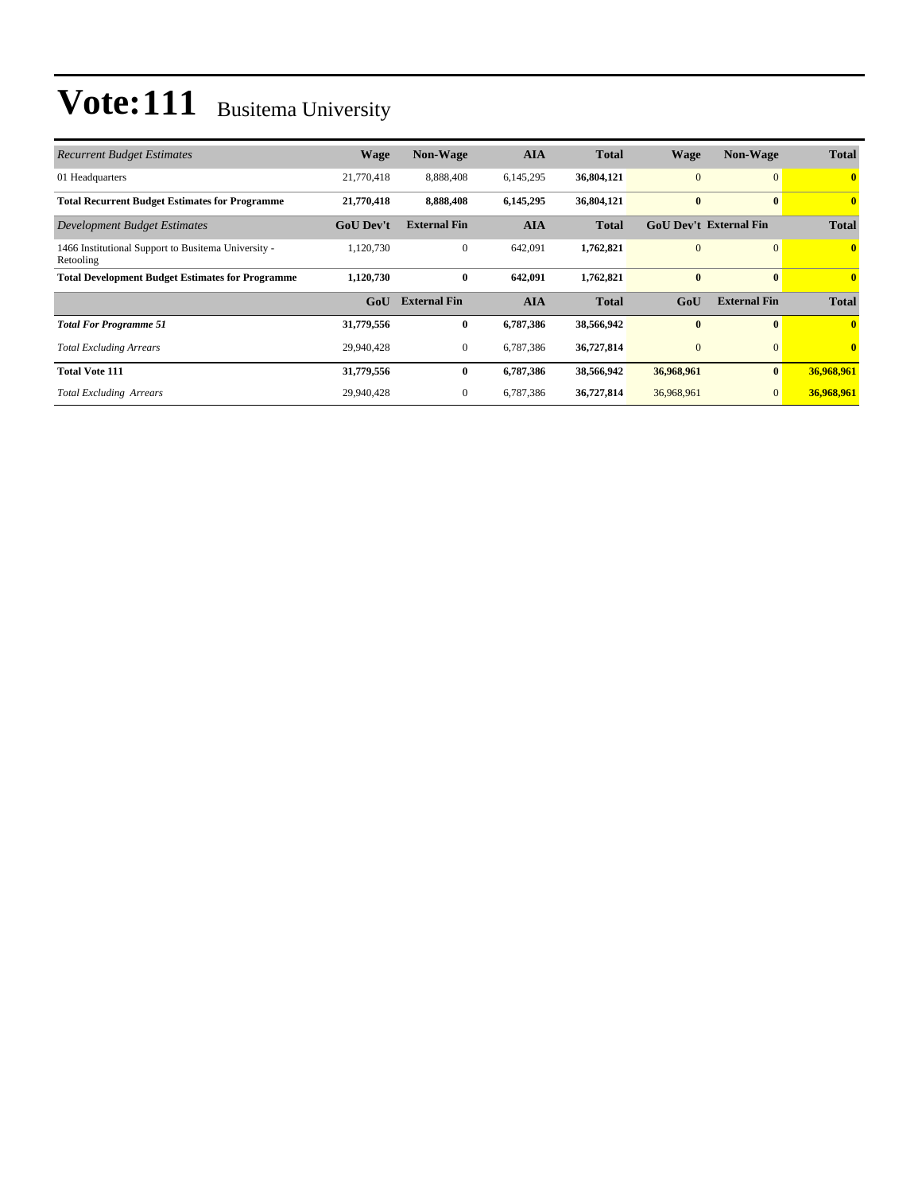| <b>Recurrent Budget Estimates</b>                                | <b>Wage</b>      | Non-Wage            | <b>AIA</b> | <b>Total</b> | <b>Wage</b>    | Non-Wage                      | <b>Total</b>            |
|------------------------------------------------------------------|------------------|---------------------|------------|--------------|----------------|-------------------------------|-------------------------|
| 01 Headquarters                                                  | 21,770,418       | 8,888,408           | 6,145,295  | 36,804,121   | $\overline{0}$ | $\Omega$                      | $\mathbf{0}$            |
| <b>Total Recurrent Budget Estimates for Programme</b>            | 21,770,418       | 8,888,408           | 6,145,295  | 36,804,121   | $\bf{0}$       | $\mathbf{0}$                  | $\overline{\mathbf{0}}$ |
| Development Budget Estimates                                     | <b>GoU Dev't</b> | <b>External Fin</b> | AIA        | <b>Total</b> |                | <b>GoU Dev't External Fin</b> | <b>Total</b>            |
| 1466 Institutional Support to Busitema University -<br>Retooling | 1,120,730        | $\overline{0}$      | 642,091    | 1,762,821    | $\overline{0}$ | $\overline{0}$                | $\mathbf{0}$            |
| <b>Total Development Budget Estimates for Programme</b>          | 1,120,730        | $\bf{0}$            | 642,091    | 1,762,821    | $\bf{0}$       | $\mathbf{0}$                  | $\mathbf{0}$            |
|                                                                  | GoU              | <b>External Fin</b> | <b>AIA</b> | <b>Total</b> | GoU            | <b>External Fin</b>           | <b>Total</b>            |
| <b>Total For Programme 51</b>                                    | 31,779,556       | $\bf{0}$            | 6,787,386  | 38,566,942   | $\bf{0}$       | $\mathbf{0}$                  | $\mathbf{0}$            |
| <b>Total Excluding Arrears</b>                                   | 29,940,428       | $\overline{0}$      | 6,787,386  | 36,727,814   | $\overline{0}$ | $\Omega$                      | $\mathbf{0}$            |
| <b>Total Vote 111</b>                                            | 31,779,556       | $\bf{0}$            | 6,787,386  | 38,566,942   | 36,968,961     | $\bf{0}$                      | 36,968,961              |
| <b>Total Excluding Arrears</b>                                   | 29,940,428       | $\overline{0}$      | 6,787,386  | 36,727,814   | 36,968,961     |                               | 36,968,961              |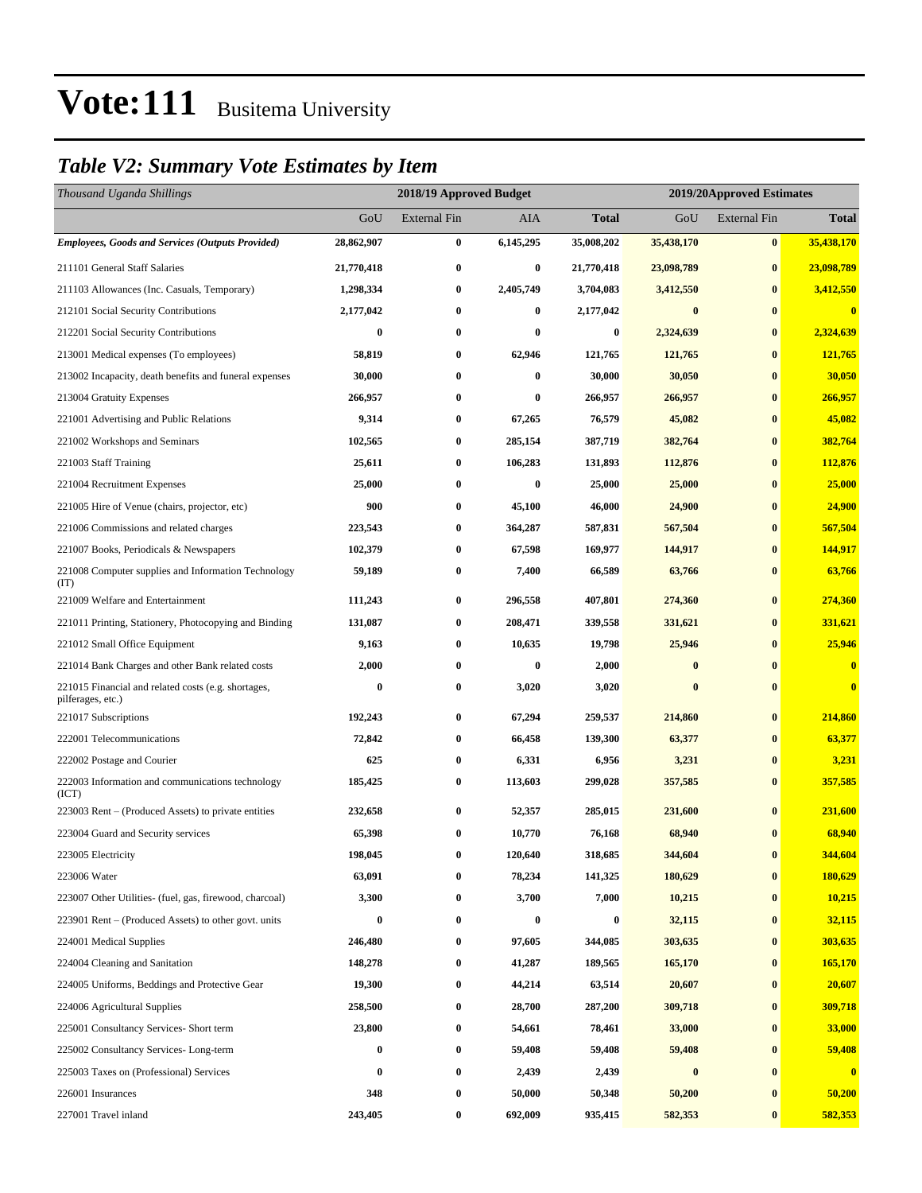### *Table V2: Summary Vote Estimates by Item*

| Thousand Uganda Shillings                                                |            | 2018/19 Approved Budget | 2019/20Approved Estimates |              |            |                     |                         |
|--------------------------------------------------------------------------|------------|-------------------------|---------------------------|--------------|------------|---------------------|-------------------------|
|                                                                          | GoU        | <b>External Fin</b>     | <b>AIA</b>                | <b>Total</b> | GoU        | <b>External Fin</b> | <b>Total</b>            |
| <b>Employees, Goods and Services (Outputs Provided)</b>                  | 28,862,907 | $\bf{0}$                | 6,145,295                 | 35,008,202   | 35,438,170 | $\bf{0}$            | 35,438,170              |
| 211101 General Staff Salaries                                            | 21,770,418 | $\bf{0}$                | $\bf{0}$                  | 21,770,418   | 23,098,789 | $\bf{0}$            | 23,098,789              |
| 211103 Allowances (Inc. Casuals, Temporary)                              | 1,298,334  | $\bf{0}$                | 2,405,749                 | 3,704,083    | 3,412,550  | $\bf{0}$            | 3,412,550               |
| 212101 Social Security Contributions                                     | 2,177,042  | $\bf{0}$                | $\bf{0}$                  | 2,177,042    | $\bf{0}$   | $\bf{0}$            | $\overline{\mathbf{0}}$ |
| 212201 Social Security Contributions                                     | 0          | $\bf{0}$                | 0                         | 0            | 2,324,639  | $\bf{0}$            | 2,324,639               |
| 213001 Medical expenses (To employees)                                   | 58,819     | $\bf{0}$                | 62,946                    | 121,765      | 121,765    | $\bf{0}$            | 121,765                 |
| 213002 Incapacity, death benefits and funeral expenses                   | 30,000     | $\bf{0}$                | $\bf{0}$                  | 30,000       | 30,050     | $\bf{0}$            | 30,050                  |
| 213004 Gratuity Expenses                                                 | 266,957    | $\bf{0}$                | $\bf{0}$                  | 266,957      | 266,957    | $\bf{0}$            | 266,957                 |
| 221001 Advertising and Public Relations                                  | 9,314      | $\bf{0}$                | 67,265                    | 76,579       | 45,082     | $\bf{0}$            | 45,082                  |
| 221002 Workshops and Seminars                                            | 102,565    | $\bf{0}$                | 285,154                   | 387,719      | 382,764    | $\bf{0}$            | 382,764                 |
| 221003 Staff Training                                                    | 25,611     | $\bf{0}$                | 106,283                   | 131,893      | 112,876    | $\bf{0}$            | 112,876                 |
| 221004 Recruitment Expenses                                              | 25,000     | $\bf{0}$                | $\bf{0}$                  | 25,000       | 25,000     | $\bf{0}$            | 25,000                  |
| 221005 Hire of Venue (chairs, projector, etc)                            | 900        | $\bf{0}$                | 45,100                    | 46,000       | 24,900     | $\bf{0}$            | 24,900                  |
| 221006 Commissions and related charges                                   | 223,543    | $\bf{0}$                | 364,287                   | 587,831      | 567,504    | $\bf{0}$            | 567,504                 |
| 221007 Books, Periodicals & Newspapers                                   | 102,379    | $\bf{0}$                | 67,598                    | 169,977      | 144,917    | $\bf{0}$            | 144,917                 |
| 221008 Computer supplies and Information Technology<br>(TT)              | 59,189     | $\bf{0}$                | 7,400                     | 66,589       | 63,766     | $\bf{0}$            | 63,766                  |
| 221009 Welfare and Entertainment                                         | 111,243    | $\bf{0}$                | 296,558                   | 407,801      | 274,360    | $\bf{0}$            | 274,360                 |
| 221011 Printing, Stationery, Photocopying and Binding                    | 131,087    | $\bf{0}$                | 208,471                   | 339,558      | 331,621    | $\bf{0}$            | 331,621                 |
| 221012 Small Office Equipment                                            | 9,163      | $\bf{0}$                | 10,635                    | 19,798       | 25,946     | $\bf{0}$            | 25,946                  |
| 221014 Bank Charges and other Bank related costs                         | 2,000      | $\bf{0}$                | 0                         | 2,000        | $\bf{0}$   | $\bf{0}$            | $\bf{0}$                |
| 221015 Financial and related costs (e.g. shortages,<br>pilferages, etc.) | 0          | $\bf{0}$                | 3,020                     | 3,020        | $\bf{0}$   | $\bf{0}$            | $\bf{0}$                |
| 221017 Subscriptions                                                     | 192,243    | $\bf{0}$                | 67,294                    | 259,537      | 214,860    | $\bf{0}$            | 214,860                 |
| 222001 Telecommunications                                                | 72,842     | $\bf{0}$                | 66,458                    | 139,300      | 63,377     | $\bf{0}$            | 63,377                  |
| 222002 Postage and Courier                                               | 625        | $\bf{0}$                | 6,331                     | 6,956        | 3,231      | $\bf{0}$            | 3,231                   |
| 222003 Information and communications technology<br>(ICT)                | 185,425    | $\bf{0}$                | 113,603                   | 299,028      | 357,585    | $\bf{0}$            | 357,585                 |
| 223003 Rent – (Produced Assets) to private entities                      | 232,658    | $\bf{0}$                | 52,357                    | 285,015      | 231,600    | $\bf{0}$            | 231,600                 |
| 223004 Guard and Security services                                       | 65,398     | $\bf{0}$                | 10,770                    | 76,168       | 68,940     | $\bf{0}$            | 68,940                  |
| 223005 Electricity                                                       | 198,045    | 0                       | 120,640                   | 318,685      | 344,604    | $\bf{0}$            | 344,604                 |
| 223006 Water                                                             | 63,091     | $\bf{0}$                | 78,234                    | 141,325      | 180,629    | $\bf{0}$            | 180,629                 |
| 223007 Other Utilities- (fuel, gas, firewood, charcoal)                  | 3,300      | $\bf{0}$                | 3,700                     | 7,000        | 10,215     | $\bf{0}$            | 10,215                  |
| 223901 Rent – (Produced Assets) to other govt. units                     | 0          | $\bf{0}$                | $\boldsymbol{0}$          | 0            | 32,115     | $\bf{0}$            | 32,115                  |
| 224001 Medical Supplies                                                  | 246,480    | $\bf{0}$                | 97,605                    | 344,085      | 303,635    | $\bf{0}$            | 303,635                 |
| 224004 Cleaning and Sanitation                                           | 148,278    | $\bf{0}$                | 41,287                    | 189,565      | 165,170    | $\bf{0}$            | 165,170                 |
| 224005 Uniforms, Beddings and Protective Gear                            | 19,300     | $\bf{0}$                | 44,214                    | 63,514       | 20,607     | $\bf{0}$            | 20,607                  |
| 224006 Agricultural Supplies                                             | 258,500    | $\bf{0}$                | 28,700                    | 287,200      | 309,718    | $\bf{0}$            | 309,718                 |
| 225001 Consultancy Services- Short term                                  | 23,800     | $\bf{0}$                | 54,661                    | 78,461       | 33,000     | $\bf{0}$            | 33,000                  |
| 225002 Consultancy Services-Long-term                                    | 0          | $\bf{0}$                | 59,408                    | 59,408       | 59,408     | $\bf{0}$            | 59,408                  |
| 225003 Taxes on (Professional) Services                                  | 0          | $\bf{0}$                | 2,439                     | 2,439        | $\bf{0}$   | $\bf{0}$            | $\bf{0}$                |
| 226001 Insurances                                                        | 348        | $\bf{0}$                | 50,000                    | 50,348       | 50,200     | $\bf{0}$            | 50,200                  |
| 227001 Travel inland                                                     | 243,405    | $\boldsymbol{0}$        | 692,009                   | 935,415      | 582,353    | $\bf{0}$            | 582,353                 |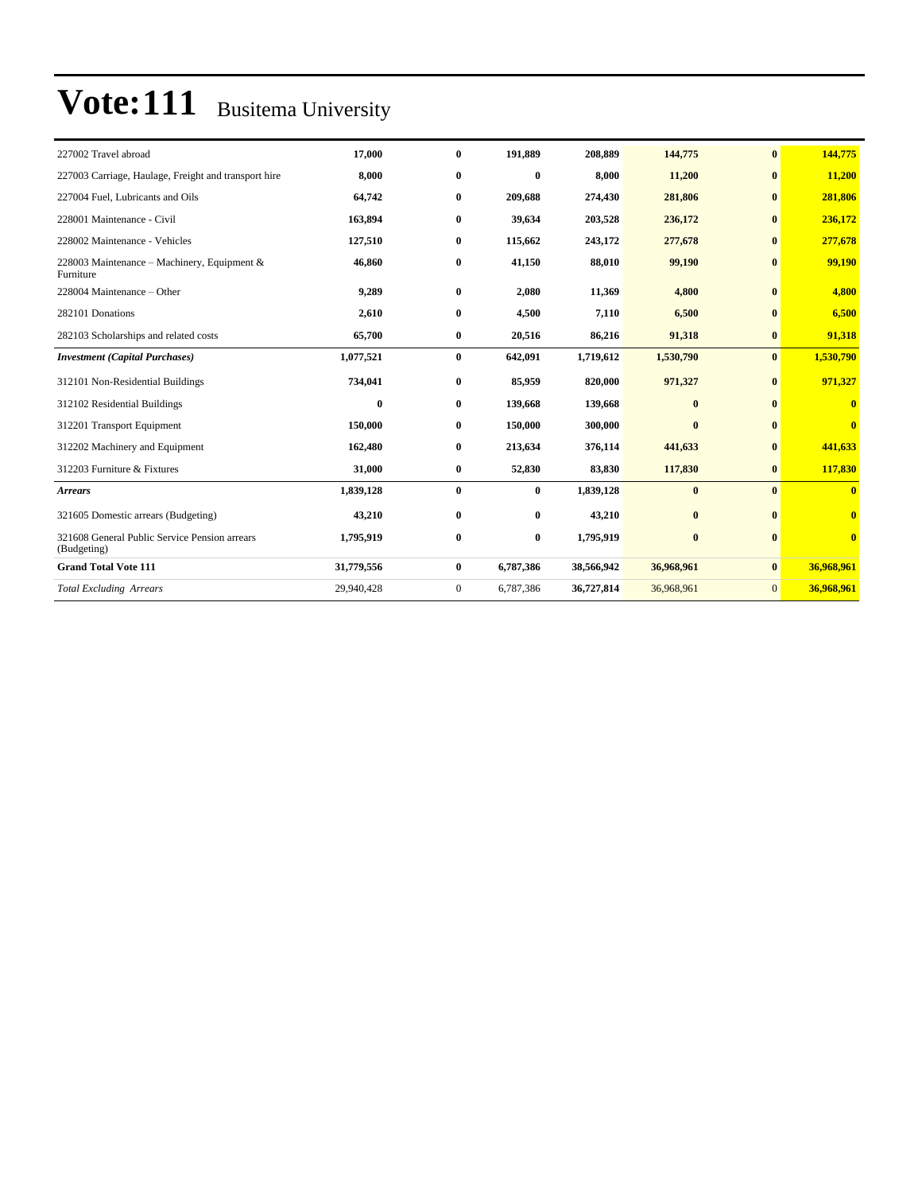| 227002 Travel abroad                                         | 17,000     | $\bf{0}$     | 191,889   | 208,889    | 144,775      | $\mathbf{0}$ | 144,775                 |
|--------------------------------------------------------------|------------|--------------|-----------|------------|--------------|--------------|-------------------------|
| 227003 Carriage, Haulage, Freight and transport hire         | 8.000      | $\bf{0}$     | $\bf{0}$  | 8.000      | 11,200       | $\bf{0}$     | 11,200                  |
| 227004 Fuel, Lubricants and Oils                             | 64,742     | $\bf{0}$     | 209,688   | 274,430    | 281,806      | $\mathbf{0}$ | 281,806                 |
| 228001 Maintenance - Civil                                   | 163,894    | $\bf{0}$     | 39,634    | 203,528    | 236,172      | $\bf{0}$     | 236,172                 |
| 228002 Maintenance - Vehicles                                | 127,510    | $\bf{0}$     | 115,662   | 243,172    | 277,678      | $\bf{0}$     | 277,678                 |
| 228003 Maintenance - Machinery, Equipment &<br>Furniture     | 46,860     | $\bf{0}$     | 41,150    | 88,010     | 99,190       | $\bf{0}$     | 99,190                  |
| 228004 Maintenance – Other                                   | 9,289      | $\bf{0}$     | 2,080     | 11,369     | 4,800        | $\bf{0}$     | 4,800                   |
| 282101 Donations                                             | 2,610      | $\bf{0}$     | 4,500     | 7,110      | 6,500        | $\mathbf{0}$ | 6,500                   |
| 282103 Scholarships and related costs                        | 65,700     | $\bf{0}$     | 20,516    | 86,216     | 91,318       | $\bf{0}$     | 91,318                  |
| <b>Investment</b> (Capital Purchases)                        | 1,077,521  | $\bf{0}$     | 642,091   | 1,719,612  | 1,530,790    | $\mathbf{0}$ | 1,530,790               |
| 312101 Non-Residential Buildings                             | 734,041    | $\bf{0}$     | 85,959    | 820,000    | 971,327      | $\mathbf{0}$ | 971,327                 |
| 312102 Residential Buildings                                 | $\bf{0}$   | $\bf{0}$     | 139,668   | 139,668    | $\bf{0}$     | $\bf{0}$     | $\mathbf{0}$            |
| 312201 Transport Equipment                                   | 150,000    | $\bf{0}$     | 150,000   | 300,000    | $\mathbf{0}$ | $\mathbf{0}$ | $\mathbf{0}$            |
| 312202 Machinery and Equipment                               | 162,480    | $\bf{0}$     | 213,634   | 376,114    | 441,633      | $\bf{0}$     | 441,633                 |
| 312203 Furniture & Fixtures                                  | 31,000     | $\bf{0}$     | 52,830    | 83,830     | 117,830      | $\bf{0}$     | 117,830                 |
| <b>Arrears</b>                                               | 1,839,128  | $\bf{0}$     | $\bf{0}$  | 1,839,128  | $\bf{0}$     | $\mathbf{0}$ | $\overline{\mathbf{0}}$ |
| 321605 Domestic arrears (Budgeting)                          | 43,210     | $\bf{0}$     | $\bf{0}$  | 43,210     | $\bf{0}$     | $\mathbf{0}$ | $\overline{\mathbf{0}}$ |
| 321608 General Public Service Pension arrears<br>(Budgeting) | 1,795,919  | $\bf{0}$     | $\bf{0}$  | 1,795,919  | $\bf{0}$     | $\mathbf{0}$ | $\overline{\mathbf{0}}$ |
| <b>Grand Total Vote 111</b>                                  | 31,779,556 | $\bf{0}$     | 6,787,386 | 38,566,942 | 36,968,961   | $\bf{0}$     | 36,968,961              |
| <b>Total Excluding Arrears</b>                               | 29,940,428 | $\mathbf{0}$ | 6,787,386 | 36,727,814 | 36,968,961   | $\mathbf{0}$ | 36,968,961              |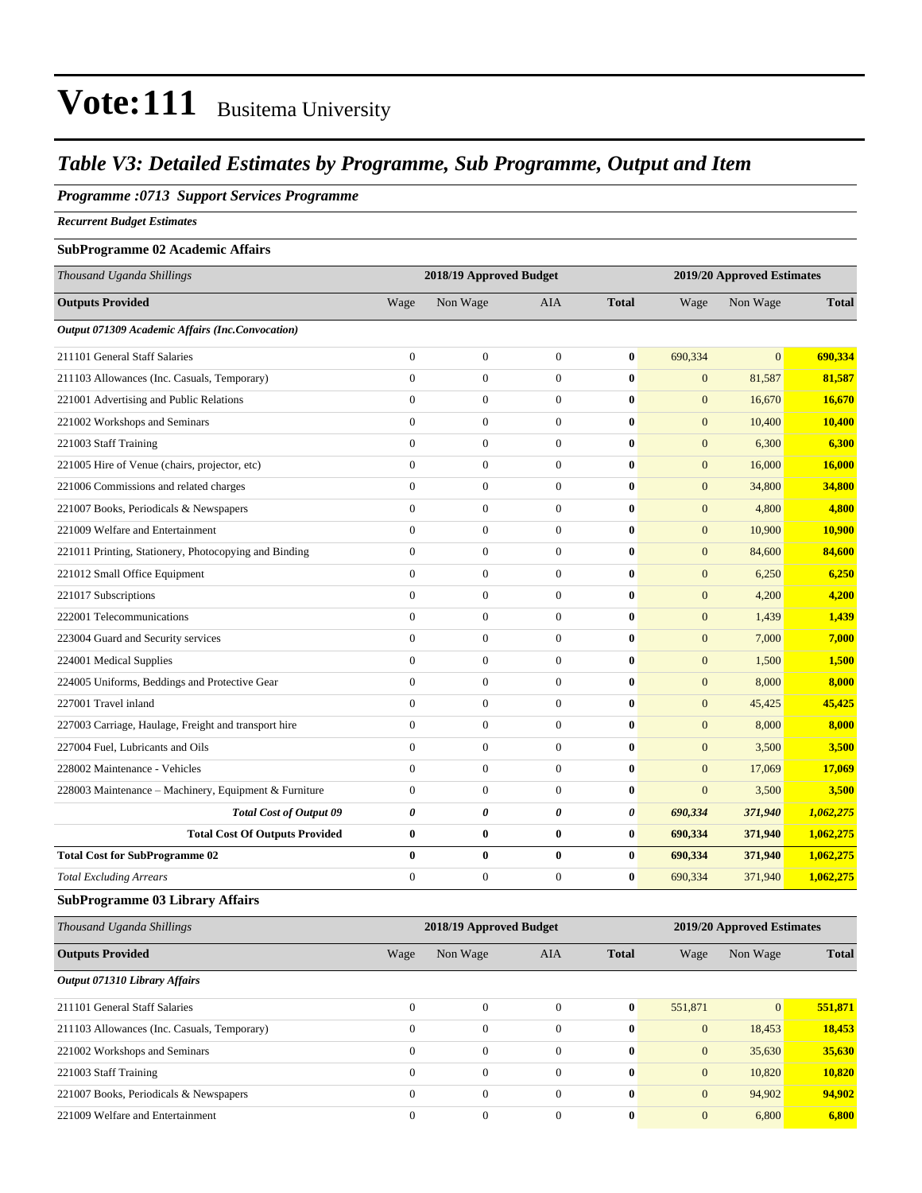### *Table V3: Detailed Estimates by Programme, Sub Programme, Output and Item*

#### *Programme :0713 Support Services Programme*

*Recurrent Budget Estimates*

#### **SubProgramme 02 Academic Affairs**

| Thousand Uganda Shillings                             |                  | 2018/19 Approved Budget |                       |              |                  | 2019/20 Approved Estimates |              |
|-------------------------------------------------------|------------------|-------------------------|-----------------------|--------------|------------------|----------------------------|--------------|
| <b>Outputs Provided</b>                               | Wage             | Non Wage                | <b>AIA</b>            | <b>Total</b> | Wage             | Non Wage                   | <b>Total</b> |
| Output 071309 Academic Affairs (Inc.Convocation)      |                  |                         |                       |              |                  |                            |              |
| 211101 General Staff Salaries                         | $\overline{0}$   | $\overline{0}$          | $\mathbf{0}$          | $\bf{0}$     | 690,334          | $\overline{0}$             | 690,334      |
| 211103 Allowances (Inc. Casuals, Temporary)           | $\overline{0}$   | $\boldsymbol{0}$        | $\boldsymbol{0}$      | $\bf{0}$     | $\mathbf{0}$     | 81,587                     | 81,587       |
| 221001 Advertising and Public Relations               | $\overline{0}$   | $\boldsymbol{0}$        | $\boldsymbol{0}$      | $\bf{0}$     | $\mathbf{0}$     | 16,670                     | 16,670       |
| 221002 Workshops and Seminars                         | $\boldsymbol{0}$ | $\boldsymbol{0}$        | $\mathbf{0}$          | $\bf{0}$     | $\mathbf{0}$     | 10,400                     | 10,400       |
| 221003 Staff Training                                 | $\theta$         | $\overline{0}$          | $\mathbf{0}$          | $\bf{0}$     | $\overline{0}$   | 6,300                      | 6,300        |
| 221005 Hire of Venue (chairs, projector, etc)         | $\overline{0}$   | $\boldsymbol{0}$        | $\mathbf{0}$          | $\bf{0}$     | $\mathbf{0}$     | 16,000                     | 16,000       |
| 221006 Commissions and related charges                | $\overline{0}$   | $\boldsymbol{0}$        | $\mathbf{0}$          | $\bf{0}$     | $\mathbf{0}$     | 34,800                     | 34,800       |
| 221007 Books, Periodicals & Newspapers                | $\overline{0}$   | $\boldsymbol{0}$        | $\mathbf{0}$          | $\bf{0}$     | $\mathbf{0}$     | 4,800                      | 4,800        |
| 221009 Welfare and Entertainment                      | $\Omega$         | $\boldsymbol{0}$        | $\mathbf{0}$          | $\bf{0}$     | $\mathbf{0}$     | 10,900                     | 10,900       |
| 221011 Printing, Stationery, Photocopying and Binding | $\boldsymbol{0}$ | $\boldsymbol{0}$        | $\boldsymbol{0}$      | $\bf{0}$     | $\mathbf{0}$     | 84,600                     | 84,600       |
| 221012 Small Office Equipment                         | $\overline{0}$   | $\overline{0}$          | $\overline{0}$        | $\bf{0}$     | $\mathbf{0}$     | 6,250                      | 6,250        |
| 221017 Subscriptions                                  | $\mathbf{0}$     | $\boldsymbol{0}$        | $\mathbf{0}$          | $\bf{0}$     | $\mathbf{0}$     | 4,200                      | 4,200        |
| 222001 Telecommunications                             | $\overline{0}$   | $\boldsymbol{0}$        | $\overline{0}$        | $\bf{0}$     | $\mathbf{0}$     | 1,439                      | 1,439        |
| 223004 Guard and Security services                    | $\overline{0}$   | $\boldsymbol{0}$        | $\mathbf{0}$          | $\bf{0}$     | $\mathbf{0}$     | 7,000                      | 7,000        |
| 224001 Medical Supplies                               | $\overline{0}$   | $\boldsymbol{0}$        | $\overline{0}$        | $\bf{0}$     | $\mathbf{0}$     | 1,500                      | 1,500        |
| 224005 Uniforms, Beddings and Protective Gear         | $\overline{0}$   | $\boldsymbol{0}$        | $\boldsymbol{0}$      | $\bf{0}$     | $\mathbf{0}$     | 8,000                      | 8,000        |
| 227001 Travel inland                                  | $\overline{0}$   | $\overline{0}$          | $\mathbf{0}$          | $\bf{0}$     | $\mathbf{0}$     | 45,425                     | 45,425       |
| 227003 Carriage, Haulage, Freight and transport hire  | $\overline{0}$   | $\overline{0}$          | $\mathbf{0}$          | $\mathbf{0}$ | $\overline{0}$   | 8,000                      | 8,000        |
| 227004 Fuel, Lubricants and Oils                      | $\overline{0}$   | $\boldsymbol{0}$        | $\mathbf{0}$          | $\bf{0}$     | $\mathbf{0}$     | 3,500                      | 3,500        |
| 228002 Maintenance - Vehicles                         | $\theta$         | $\boldsymbol{0}$        | $\mathbf{0}$          | $\bf{0}$     | $\overline{0}$   | 17,069                     | 17,069       |
| 228003 Maintenance - Machinery, Equipment & Furniture | $\overline{0}$   | $\boldsymbol{0}$        | $\boldsymbol{0}$      | $\bf{0}$     | $\boldsymbol{0}$ | 3,500                      | 3,500        |
| <b>Total Cost of Output 09</b>                        | 0                | 0                       | $\boldsymbol{\theta}$ | 0            | 690,334          | 371,940                    | 1,062,275    |
| <b>Total Cost Of Outputs Provided</b>                 | $\bf{0}$         | $\bf{0}$                | $\bf{0}$              | $\bf{0}$     | 690,334          | 371,940                    | 1,062,275    |
| <b>Total Cost for SubProgramme 02</b>                 | $\bf{0}$         | $\bf{0}$                | $\mathbf{0}$          | $\bf{0}$     | 690,334          | 371,940                    | 1,062,275    |
| <b>Total Excluding Arrears</b>                        | $\overline{0}$   | $\boldsymbol{0}$        | $\mathbf{0}$          | $\bf{0}$     | 690,334          | 371,940                    | 1,062,275    |

#### **SubProgramme 03 Library Affairs**

| Thousand Uganda Shillings                   | 2018/19 Approved Budget<br>2019/20 Approved Estimates |                  |            |              |              |                |              |
|---------------------------------------------|-------------------------------------------------------|------------------|------------|--------------|--------------|----------------|--------------|
| <b>Outputs Provided</b>                     | Wage                                                  | Non Wage         | <b>AIA</b> | <b>Total</b> | Wage         | Non Wage       | <b>Total</b> |
| Output 071310 Library Affairs               |                                                       |                  |            |              |              |                |              |
| 211101 General Staff Salaries               | $\mathbf{0}$                                          | $\Omega$         | $\theta$   | $\bf{0}$     | 551,871      | $\overline{0}$ | 551,871      |
| 211103 Allowances (Inc. Casuals, Temporary) | $\mathbf{0}$                                          | $\boldsymbol{0}$ | $\Omega$   | $\mathbf{0}$ | $\mathbf{0}$ | 18,453         | 18,453       |
| 221002 Workshops and Seminars               | $\mathbf{0}$                                          | $\boldsymbol{0}$ | $\theta$   | $\mathbf{0}$ | $\mathbf{0}$ | 35,630         | 35,630       |
| 221003 Staff Training                       | $\Omega$                                              | $\theta$         | $\Omega$   | $\mathbf{0}$ | $\mathbf{0}$ | 10,820         | 10.820       |
| 221007 Books, Periodicals & Newspapers      | $\mathbf{0}$                                          | $\overline{0}$   | $\Omega$   | $\mathbf{0}$ | $\mathbf{0}$ | 94,902         | 94.902       |
| 221009 Welfare and Entertainment            | $\mathbf{0}$                                          | $\boldsymbol{0}$ | $\theta$   | $\bf{0}$     | $\mathbf{0}$ | 6.800          | 6,800        |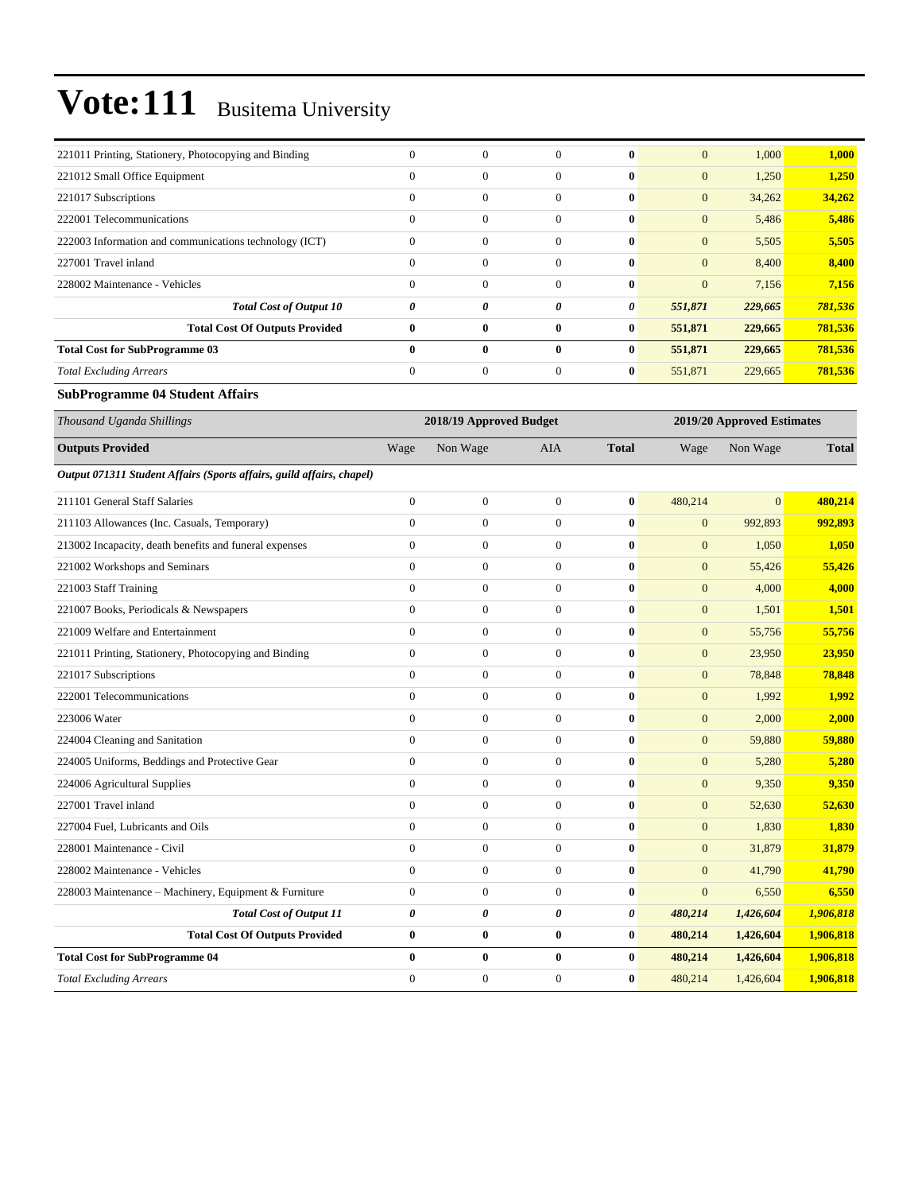| 221011 Printing, Stationery, Photocopying and Binding  | $\Omega$     | $\Omega$         | $\Omega$     | $\mathbf{0}$ | 1,000<br>$\mathbf{0}$  | 1,000   |
|--------------------------------------------------------|--------------|------------------|--------------|--------------|------------------------|---------|
| 221012 Small Office Equipment                          | $\mathbf{0}$ | $\boldsymbol{0}$ | $\Omega$     | $\mathbf{0}$ | $\mathbf{0}$<br>1,250  | 1,250   |
| 221017 Subscriptions                                   | $\mathbf{0}$ | $\boldsymbol{0}$ | $\theta$     | $\mathbf{0}$ | $\mathbf{0}$<br>34,262 | 34,262  |
| 222001 Telecommunications                              | $\mathbf{0}$ | $\boldsymbol{0}$ | $\Omega$     | $\mathbf{0}$ | $\mathbf{0}$<br>5,486  | 5,486   |
| 222003 Information and communications technology (ICT) | $\mathbf{0}$ | $\Omega$         | $\Omega$     | $\mathbf{0}$ | $\mathbf{0}$<br>5,505  | 5,505   |
| 227001 Travel inland                                   | $\mathbf{0}$ | $\boldsymbol{0}$ | $\theta$     | $\mathbf{0}$ | $\mathbf{0}$<br>8,400  | 8,400   |
| 228002 Maintenance - Vehicles                          | $\mathbf{0}$ | $\Omega$         | $\Omega$     | $\mathbf{0}$ | $\mathbf{0}$<br>7,156  | 7,156   |
| <b>Total Cost of Output 10</b>                         | 0            | 0                | 0            | 0            | 551,871<br>229,665     | 781,536 |
| <b>Total Cost Of Outputs Provided</b>                  | $\bf{0}$     | $\bf{0}$         | $\mathbf{0}$ | $\bf{0}$     | 551,871<br>229,665     | 781,536 |
| <b>Total Cost for SubProgramme 03</b>                  | $\mathbf{0}$ | 0                | $\mathbf{0}$ | $\bf{0}$     | 551,871<br>229,665     | 781,536 |
| <b>Total Excluding Arrears</b>                         | $\mathbf{0}$ | $\mathbf{0}$     | $\theta$     | $\bf{0}$     | 551,871<br>229,665     | 781,536 |

#### **SubProgramme 04 Student Affairs**

| Thousand Uganda Shillings                                             |                | 2018/19 Approved Budget |                |              |                  | 2019/20 Approved Estimates |              |
|-----------------------------------------------------------------------|----------------|-------------------------|----------------|--------------|------------------|----------------------------|--------------|
| <b>Outputs Provided</b>                                               | Wage           | Non Wage                | <b>AIA</b>     | <b>Total</b> | Wage             | Non Wage                   | <b>Total</b> |
| Output 071311 Student Affairs (Sports affairs, guild affairs, chapel) |                |                         |                |              |                  |                            |              |
| 211101 General Staff Salaries                                         | $\overline{0}$ | $\boldsymbol{0}$        | $\mathbf{0}$   | $\bf{0}$     | 480,214          | $\mathbf{0}$               | 480,214      |
| 211103 Allowances (Inc. Casuals, Temporary)                           | $\theta$       | $\overline{0}$          | $\Omega$       | $\bf{0}$     | $\overline{0}$   | 992,893                    | 992,893      |
| 213002 Incapacity, death benefits and funeral expenses                | $\Omega$       | $\mathbf{0}$            | $\Omega$       | $\bf{0}$     | $\overline{0}$   | 1,050                      | 1,050        |
| 221002 Workshops and Seminars                                         | $\overline{0}$ | $\mathbf{0}$            | $\mathbf{0}$   | $\bf{0}$     | $\boldsymbol{0}$ | 55,426                     | 55,426       |
| 221003 Staff Training                                                 | $\overline{0}$ | $\overline{0}$          | $\mathbf{0}$   | $\mathbf{0}$ | $\overline{0}$   | 4,000                      | 4,000        |
| 221007 Books, Periodicals & Newspapers                                | $\overline{0}$ | $\boldsymbol{0}$        | $\mathbf{0}$   | $\bf{0}$     | $\boldsymbol{0}$ | 1,501                      | 1,501        |
| 221009 Welfare and Entertainment                                      | $\theta$       | $\overline{0}$          | $\theta$       | $\bf{0}$     | $\boldsymbol{0}$ | 55,756                     | 55,756       |
| 221011 Printing, Stationery, Photocopying and Binding                 | $\mathbf{0}$   | $\mathbf{0}$            | $\mathbf{0}$   | $\bf{0}$     | $\overline{0}$   | 23,950                     | 23,950       |
| 221017 Subscriptions                                                  | $\overline{0}$ | $\overline{0}$          | $\mathbf{0}$   | $\bf{0}$     | $\overline{0}$   | 78,848                     | 78,848       |
| 222001 Telecommunications                                             | $\mathbf{0}$   | $\mathbf{0}$            | $\mathbf{0}$   | $\mathbf{0}$ | $\overline{0}$   | 1,992                      | 1,992        |
| 223006 Water                                                          | $\theta$       | $\overline{0}$          | $\mathbf{0}$   | $\mathbf{0}$ | $\boldsymbol{0}$ | 2,000                      | 2,000        |
| 224004 Cleaning and Sanitation                                        | $\Omega$       | $\mathbf{0}$            | $\Omega$       | $\bf{0}$     | $\overline{0}$   | 59,880                     | 59,880       |
| 224005 Uniforms, Beddings and Protective Gear                         | $\overline{0}$ | $\boldsymbol{0}$        | $\overline{0}$ | $\mathbf{0}$ | $\overline{0}$   | 5,280                      | 5,280        |
| 224006 Agricultural Supplies                                          | $\overline{0}$ | $\boldsymbol{0}$        | $\mathbf{0}$   | $\bf{0}$     | $\boldsymbol{0}$ | 9,350                      | 9,350        |
| 227001 Travel inland                                                  | $\overline{0}$ | $\boldsymbol{0}$        | $\overline{0}$ | $\bf{0}$     | $\boldsymbol{0}$ | 52,630                     | 52,630       |
| 227004 Fuel, Lubricants and Oils                                      | $\overline{0}$ | $\overline{0}$          | $\overline{0}$ | $\bf{0}$     | $\overline{0}$   | 1,830                      | 1,830        |
| 228001 Maintenance - Civil                                            | $\mathbf{0}$   | $\mathbf{0}$            | $\mathbf{0}$   | $\bf{0}$     | $\overline{0}$   | 31,879                     | 31,879       |
| 228002 Maintenance - Vehicles                                         | $\theta$       | $\boldsymbol{0}$        | $\mathbf{0}$   | $\mathbf{0}$ | $\overline{0}$   | 41,790                     | 41,790       |
| 228003 Maintenance - Machinery, Equipment & Furniture                 | $\mathbf{0}$   | $\mathbf{0}$            | $\mathbf{0}$   | $\mathbf{0}$ | $\overline{0}$   | 6,550                      | 6,550        |
| <b>Total Cost of Output 11</b>                                        | 0              | 0                       | 0              | 0            | 480,214          | 1,426,604                  | 1,906,818    |
| <b>Total Cost Of Outputs Provided</b>                                 | $\bf{0}$       | $\bf{0}$                | $\bf{0}$       | $\bf{0}$     | 480,214          | 1,426,604                  | 1,906,818    |
| <b>Total Cost for SubProgramme 04</b>                                 | $\bf{0}$       | $\bf{0}$                | $\bf{0}$       | $\bf{0}$     | 480,214          | 1,426,604                  | 1,906,818    |
| <b>Total Excluding Arrears</b>                                        | $\overline{0}$ | $\mathbf{0}$            | $\mathbf{0}$   | $\bf{0}$     | 480,214          | 1,426,604                  | 1,906,818    |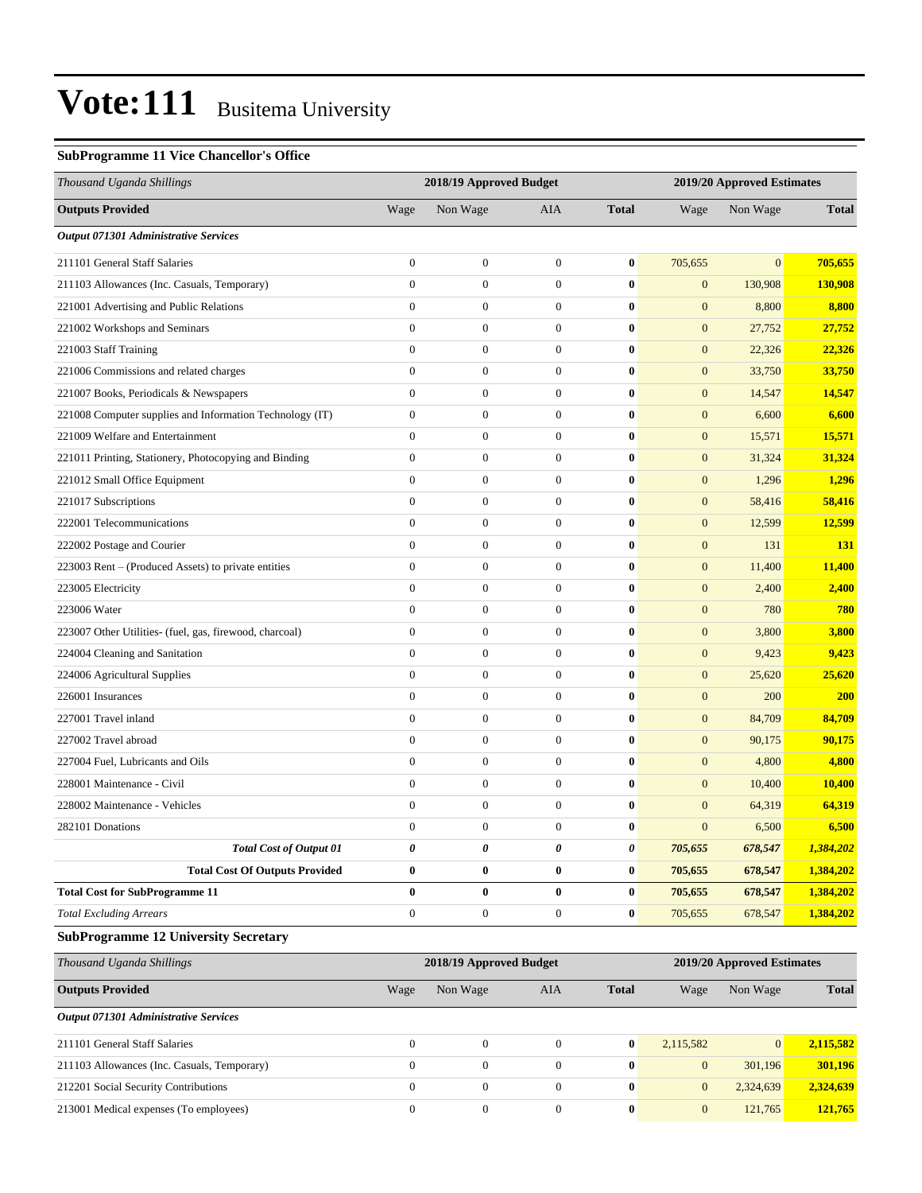#### **SubProgramme 11 Vice Chancellor's Office**

| Thousand Uganda Shillings                                |                  | 2018/19 Approved Budget |                  |              | 2019/20 Approved Estimates |                            |              |
|----------------------------------------------------------|------------------|-------------------------|------------------|--------------|----------------------------|----------------------------|--------------|
| <b>Outputs Provided</b>                                  | Wage             | Non Wage                | <b>AIA</b>       | <b>Total</b> | Wage                       | Non Wage                   | <b>Total</b> |
| Output 071301 Administrative Services                    |                  |                         |                  |              |                            |                            |              |
| 211101 General Staff Salaries                            | $\boldsymbol{0}$ | $\boldsymbol{0}$        | $\mathbf{0}$     | $\bf{0}$     | 705,655                    | $\Omega$                   | 705,655      |
| 211103 Allowances (Inc. Casuals, Temporary)              | $\boldsymbol{0}$ | $\boldsymbol{0}$        | $\mathbf{0}$     | $\bf{0}$     | $\mathbf{0}$               | 130,908                    | 130,908      |
| 221001 Advertising and Public Relations                  | $\overline{0}$   | $\boldsymbol{0}$        | $\mathbf{0}$     | $\bf{0}$     | $\mathbf{0}$               | 8,800                      | 8,800        |
| 221002 Workshops and Seminars                            | $\boldsymbol{0}$ | $\boldsymbol{0}$        | $\mathbf{0}$     | $\bf{0}$     | $\boldsymbol{0}$           | 27,752                     | 27,752       |
| 221003 Staff Training                                    | $\boldsymbol{0}$ | $\boldsymbol{0}$        | $\mathbf{0}$     | $\bf{0}$     | $\mathbf{0}$               | 22,326                     | 22,326       |
| 221006 Commissions and related charges                   | $\overline{0}$   | $\boldsymbol{0}$        | $\mathbf{0}$     | $\bf{0}$     | $\boldsymbol{0}$           | 33,750                     | 33,750       |
| 221007 Books, Periodicals & Newspapers                   | $\mathbf{0}$     | $\boldsymbol{0}$        | $\mathbf{0}$     | $\bf{0}$     | $\mathbf{0}$               | 14,547                     | 14,547       |
| 221008 Computer supplies and Information Technology (IT) | $\boldsymbol{0}$ | $\boldsymbol{0}$        | $\mathbf{0}$     | $\bf{0}$     | $\mathbf{0}$               | 6,600                      | 6,600        |
| 221009 Welfare and Entertainment                         | $\boldsymbol{0}$ | $\boldsymbol{0}$        | $\mathbf{0}$     | $\bf{0}$     | $\boldsymbol{0}$           | 15,571                     | 15,571       |
| 221011 Printing, Stationery, Photocopying and Binding    | $\boldsymbol{0}$ | $\boldsymbol{0}$        | $\mathbf{0}$     | $\bf{0}$     | $\mathbf{0}$               | 31,324                     | 31,324       |
| 221012 Small Office Equipment                            | $\overline{0}$   | $\boldsymbol{0}$        | $\mathbf{0}$     | $\bf{0}$     | $\boldsymbol{0}$           | 1,296                      | 1,296        |
| 221017 Subscriptions                                     | $\mathbf{0}$     | $\boldsymbol{0}$        | $\mathbf{0}$     | $\bf{0}$     | $\mathbf{0}$               | 58,416                     | 58,416       |
| 222001 Telecommunications                                | $\overline{0}$   | $\boldsymbol{0}$        | $\mathbf{0}$     | $\bf{0}$     | $\mathbf{0}$               | 12,599                     | 12,599       |
| 222002 Postage and Courier                               | $\boldsymbol{0}$ | $\boldsymbol{0}$        | $\mathbf{0}$     | $\bf{0}$     | $\boldsymbol{0}$           | 131                        | 131          |
| 223003 Rent – (Produced Assets) to private entities      | $\boldsymbol{0}$ | $\boldsymbol{0}$        | $\mathbf{0}$     | $\bf{0}$     | $\mathbf{0}$               | 11,400                     | 11,400       |
| 223005 Electricity                                       | $\overline{0}$   | $\boldsymbol{0}$        | $\mathbf{0}$     | $\bf{0}$     | $\mathbf{0}$               | 2,400                      | 2,400        |
| 223006 Water                                             | $\mathbf{0}$     | $\boldsymbol{0}$        | $\mathbf{0}$     | $\bf{0}$     | $\boldsymbol{0}$           | 780                        | 780          |
| 223007 Other Utilities- (fuel, gas, firewood, charcoal)  | $\overline{0}$   | $\boldsymbol{0}$        | $\mathbf{0}$     | $\bf{0}$     | $\mathbf{0}$               | 3,800                      | 3,800        |
| 224004 Cleaning and Sanitation                           | $\boldsymbol{0}$ | $\boldsymbol{0}$        | $\mathbf{0}$     | $\bf{0}$     | $\boldsymbol{0}$           | 9,423                      | 9,423        |
| 224006 Agricultural Supplies                             | $\boldsymbol{0}$ | $\boldsymbol{0}$        | $\mathbf{0}$     | $\bf{0}$     | $\mathbf{0}$               | 25,620                     | 25,620       |
| 226001 Insurances                                        | $\overline{0}$   | $\boldsymbol{0}$        | $\mathbf{0}$     | $\bf{0}$     | $\boldsymbol{0}$           | 200                        | <b>200</b>   |
| 227001 Travel inland                                     | $\overline{0}$   | $\boldsymbol{0}$        | $\mathbf{0}$     | $\bf{0}$     | $\mathbf{0}$               | 84,709                     | 84,709       |
| 227002 Travel abroad                                     | $\overline{0}$   | $\boldsymbol{0}$        | $\mathbf{0}$     | $\bf{0}$     | $\mathbf{0}$               | 90,175                     | 90,175       |
| 227004 Fuel, Lubricants and Oils                         | $\boldsymbol{0}$ | $\boldsymbol{0}$        | $\mathbf{0}$     | $\bf{0}$     | $\boldsymbol{0}$           | 4,800                      | 4,800        |
| 228001 Maintenance - Civil                               | $\boldsymbol{0}$ | $\boldsymbol{0}$        | $\mathbf{0}$     | $\bf{0}$     | $\mathbf{0}$               | 10,400                     | 10,400       |
| 228002 Maintenance - Vehicles                            | $\overline{0}$   | $\boldsymbol{0}$        | $\mathbf{0}$     | $\bf{0}$     | $\mathbf{0}$               | 64,319                     | 64,319       |
| 282101 Donations                                         | $\boldsymbol{0}$ | $\mathbf{0}$            | $\mathbf{0}$     | $\bf{0}$     | $\overline{0}$             | 6,500                      | 6,500        |
| <b>Total Cost of Output 01</b>                           | 0                | 0                       | 0                | 0            | 705,655                    | 678,547                    | 1,384,202    |
| <b>Total Cost Of Outputs Provided</b>                    | $\bf{0}$         | $\boldsymbol{0}$        | $\pmb{0}$        | $\bf{0}$     | 705,655                    | 678,547                    | 1,384,202    |
| <b>Total Cost for SubProgramme 11</b>                    | 0                | $\boldsymbol{0}$        | $\bf{0}$         | $\bf{0}$     | 705,655                    | 678,547                    | 1,384,202    |
| <b>Total Excluding Arrears</b>                           | $\boldsymbol{0}$ | $\boldsymbol{0}$        | $\boldsymbol{0}$ | $\bf{0}$     | 705,655                    | 678,547                    | 1,384,202    |
| <b>SubProgramme 12 University Secretary</b>              |                  |                         |                  |              |                            |                            |              |
| Thousand Uganda Shillings                                |                  | 2018/19 Approved Budget |                  |              |                            | 2019/20 Approved Estimates |              |
| <b>Outputs Provided</b>                                  | Wage             | Non Wage                | AIA              | <b>Total</b> | Wage                       | Non Wage                   | <b>Total</b> |
| Output 071301 Administrative Services                    |                  |                         |                  |              |                            |                            |              |
| 211101 General Staff Salaries                            | $\boldsymbol{0}$ | $\boldsymbol{0}$        | $\boldsymbol{0}$ | $\bf{0}$     | 2,115,582                  | $\mathbf{0}$               | 2,115,582    |
| 211103 Allowances (Inc. Casuals, Temporary)              | $\boldsymbol{0}$ | $\boldsymbol{0}$        | $\boldsymbol{0}$ | $\bf{0}$     | $\boldsymbol{0}$           | 301,196                    | 301,196      |
| 212201 Social Security Contributions                     | $\boldsymbol{0}$ | $\boldsymbol{0}$        | $\boldsymbol{0}$ | $\bf{0}$     | $\boldsymbol{0}$           | 2,324,639                  | 2,324,639    |

213001 Medical expenses (To employees) 0 0 0 **0** 0 121,765 **121,765**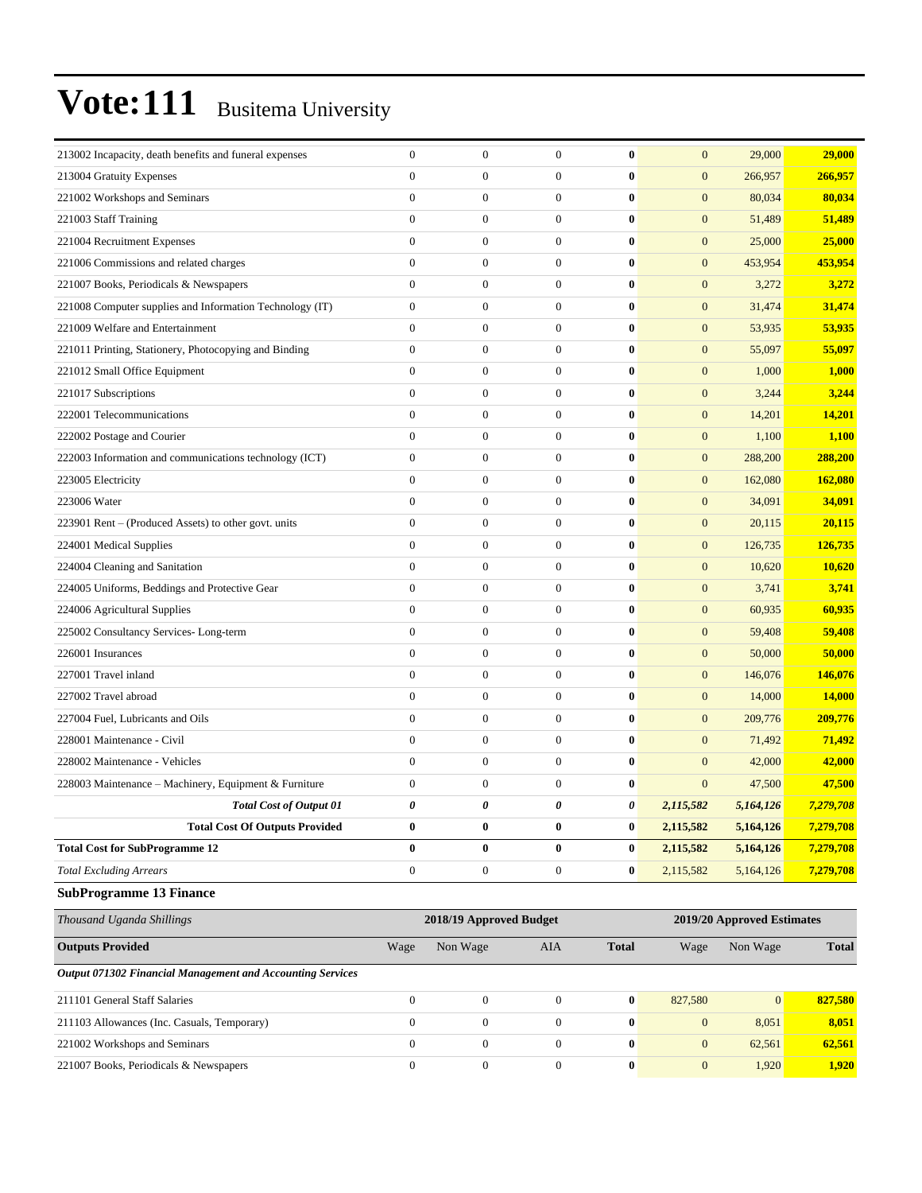| 213002 Incapacity, death benefits and funeral expenses     | $\mathbf{0}$     | $\boldsymbol{0}$        | $\mathbf{0}$     | $\bf{0}$     | $\mathbf{0}$     | 29,000                     | 29,000       |
|------------------------------------------------------------|------------------|-------------------------|------------------|--------------|------------------|----------------------------|--------------|
| 213004 Gratuity Expenses                                   | $\mathbf{0}$     | $\theta$                | $\mathbf{0}$     | $\bf{0}$     | $\overline{0}$   | 266,957                    | 266,957      |
| 221002 Workshops and Seminars                              | $\overline{0}$   | $\mathbf{0}$            | $\mathbf{0}$     | $\bf{0}$     | $\mathbf{0}$     | 80,034                     | 80,034       |
| 221003 Staff Training                                      | $\mathbf{0}$     | $\mathbf{0}$            | $\mathbf{0}$     | $\bf{0}$     | $\mathbf{0}$     | 51,489                     | 51,489       |
| 221004 Recruitment Expenses                                | $\overline{0}$   | $\boldsymbol{0}$        | $\mathbf{0}$     | $\bf{0}$     | $\mathbf{0}$     | 25,000                     | 25,000       |
| 221006 Commissions and related charges                     | $\overline{0}$   | $\mathbf{0}$            | $\mathbf{0}$     | $\bf{0}$     | $\boldsymbol{0}$ | 453,954                    | 453,954      |
| 221007 Books, Periodicals & Newspapers                     | $\overline{0}$   | $\mathbf{0}$            | $\mathbf{0}$     | $\bf{0}$     | $\mathbf{0}$     | 3,272                      | 3,272        |
| 221008 Computer supplies and Information Technology (IT)   | $\mathbf{0}$     | $\mathbf{0}$            | $\mathbf{0}$     | $\bf{0}$     | $\mathbf{0}$     | 31,474                     | 31,474       |
| 221009 Welfare and Entertainment                           | $\mathbf{0}$     | $\mathbf{0}$            | $\mathbf{0}$     | $\bf{0}$     | $\mathbf{0}$     | 53,935                     | 53,935       |
| 221011 Printing, Stationery, Photocopying and Binding      | $\boldsymbol{0}$ | $\boldsymbol{0}$        | $\boldsymbol{0}$ | $\bf{0}$     | $\mathbf{0}$     | 55,097                     | 55,097       |
| 221012 Small Office Equipment                              | $\overline{0}$   | $\mathbf{0}$            | $\mathbf{0}$     | $\bf{0}$     | $\boldsymbol{0}$ | 1,000                      | 1,000        |
| 221017 Subscriptions                                       | $\mathbf{0}$     | $\mathbf{0}$            | $\mathbf{0}$     | $\bf{0}$     | $\mathbf{0}$     | 3,244                      | 3,244        |
| 222001 Telecommunications                                  | $\overline{0}$   | $\mathbf{0}$            | $\mathbf{0}$     | $\bf{0}$     | $\mathbf{0}$     | 14,201                     | 14,201       |
| 222002 Postage and Courier                                 | $\mathbf{0}$     | $\mathbf{0}$            | $\mathbf{0}$     | $\bf{0}$     | $\mathbf{0}$     | 1,100                      | 1,100        |
| 222003 Information and communications technology (ICT)     | $\boldsymbol{0}$ | $\boldsymbol{0}$        | $\boldsymbol{0}$ | $\bf{0}$     | $\mathbf{0}$     | 288,200                    | 288,200      |
| 223005 Electricity                                         | $\overline{0}$   | $\mathbf{0}$            | $\mathbf{0}$     | $\bf{0}$     | $\boldsymbol{0}$ | 162,080                    | 162,080      |
| 223006 Water                                               | $\mathbf{0}$     | $\mathbf{0}$            | $\mathbf{0}$     | $\bf{0}$     | $\mathbf{0}$     | 34,091                     | 34,091       |
| 223901 Rent - (Produced Assets) to other govt. units       | $\mathbf{0}$     | $\mathbf{0}$            | $\mathbf{0}$     | $\bf{0}$     | $\mathbf{0}$     | 20,115                     | 20,115       |
| 224001 Medical Supplies                                    | $\mathbf{0}$     | $\mathbf{0}$            | $\mathbf{0}$     | $\bf{0}$     | $\mathbf{0}$     | 126,735                    | 126,735      |
| 224004 Cleaning and Sanitation                             | $\overline{0}$   | $\boldsymbol{0}$        | $\boldsymbol{0}$ | $\bf{0}$     | $\mathbf{0}$     | 10,620                     | 10,620       |
| 224005 Uniforms, Beddings and Protective Gear              | $\overline{0}$   | $\mathbf{0}$            | $\mathbf{0}$     | $\bf{0}$     | $\boldsymbol{0}$ | 3,741                      | 3,741        |
| 224006 Agricultural Supplies                               | $\overline{0}$   | $\mathbf{0}$            | $\mathbf{0}$     | $\bf{0}$     | $\mathbf{0}$     | 60,935                     | 60,935       |
| 225002 Consultancy Services-Long-term                      | $\overline{0}$   | $\mathbf{0}$            | $\mathbf{0}$     | $\bf{0}$     | $\mathbf{0}$     | 59,408                     | 59,408       |
| 226001 Insurances                                          | $\mathbf{0}$     | $\mathbf{0}$            | $\mathbf{0}$     | $\bf{0}$     | $\mathbf{0}$     | 50,000                     | 50,000       |
| 227001 Travel inland                                       | $\boldsymbol{0}$ | $\boldsymbol{0}$        | $\boldsymbol{0}$ | $\bf{0}$     | $\boldsymbol{0}$ | 146,076                    | 146,076      |
| 227002 Travel abroad                                       | $\overline{0}$   | $\mathbf{0}$            | $\mathbf{0}$     | $\bf{0}$     | $\boldsymbol{0}$ | 14,000                     | 14,000       |
| 227004 Fuel, Lubricants and Oils                           | $\mathbf{0}$     | $\mathbf{0}$            | $\mathbf{0}$     | $\bf{0}$     | $\mathbf{0}$     | 209,776                    | 209,776      |
| 228001 Maintenance - Civil                                 | $\mathbf{0}$     | $\mathbf{0}$            | $\mathbf{0}$     | $\bf{0}$     | $\mathbf{0}$     | 71,492                     | 71,492       |
| 228002 Maintenance - Vehicles                              | $\mathbf{0}$     | $\mathbf{0}$            | $\mathbf{0}$     | $\bf{0}$     | $\mathbf{0}$     | 42,000                     | 42,000       |
| 228003 Maintenance – Machinery, Equipment & Furniture      | $\boldsymbol{0}$ | $\boldsymbol{0}$        | $\mathbf{0}$     | $\bf{0}$     | $\mathbf{0}$     | 47,500                     | 47,500       |
| <b>Total Cost of Output 01</b>                             | 0                | 0                       | 0                | 0            | 2,115,582        | 5,164,126                  | 7,279,708    |
| <b>Total Cost Of Outputs Provided</b>                      | $\bf{0}$         | $\bf{0}$                | $\bf{0}$         | $\bf{0}$     | 2,115,582        | 5,164,126                  | 7,279,708    |
| <b>Total Cost for SubProgramme 12</b>                      | $\bf{0}$         | $\bf{0}$                | $\bf{0}$         | $\bf{0}$     | 2,115,582        | 5,164,126                  | 7,279,708    |
| <b>Total Excluding Arrears</b>                             | $\boldsymbol{0}$ | $\boldsymbol{0}$        | $\boldsymbol{0}$ | $\bf{0}$     | 2,115,582        | 5,164,126                  | 7,279,708    |
| <b>SubProgramme 13 Finance</b>                             |                  |                         |                  |              |                  |                            |              |
| Thousand Uganda Shillings                                  |                  | 2018/19 Approved Budget |                  |              |                  | 2019/20 Approved Estimates |              |
| <b>Outputs Provided</b>                                    | Wage             | Non Wage                | AIA              | <b>Total</b> | Wage             | Non Wage                   | <b>Total</b> |
| Output 071302 Financial Management and Accounting Services |                  |                         |                  |              |                  |                            |              |
| 211101 General Staff Salaries                              | $\boldsymbol{0}$ | $\boldsymbol{0}$        | $\boldsymbol{0}$ | $\bf{0}$     | 827,580          | $\mathbf{0}$               | 827,580      |
| 211103 Allowances (Inc. Casuals, Temporary)                | $\mathbf{0}$     | $\mathbf{0}$            | $\boldsymbol{0}$ | $\bf{0}$     | $\boldsymbol{0}$ | 8,051                      | 8,051        |
| 221002 Workshops and Seminars                              | $\mathbf{0}$     | $\mathbf{0}$            | $\boldsymbol{0}$ | $\bf{0}$     | $\boldsymbol{0}$ | 62,561                     | 62,561       |
| 221007 Books, Periodicals & Newspapers                     | $\boldsymbol{0}$ | $\boldsymbol{0}$        | $\boldsymbol{0}$ | $\bf{0}$     | $\mathbf{0}$     | 1,920                      | 1,920        |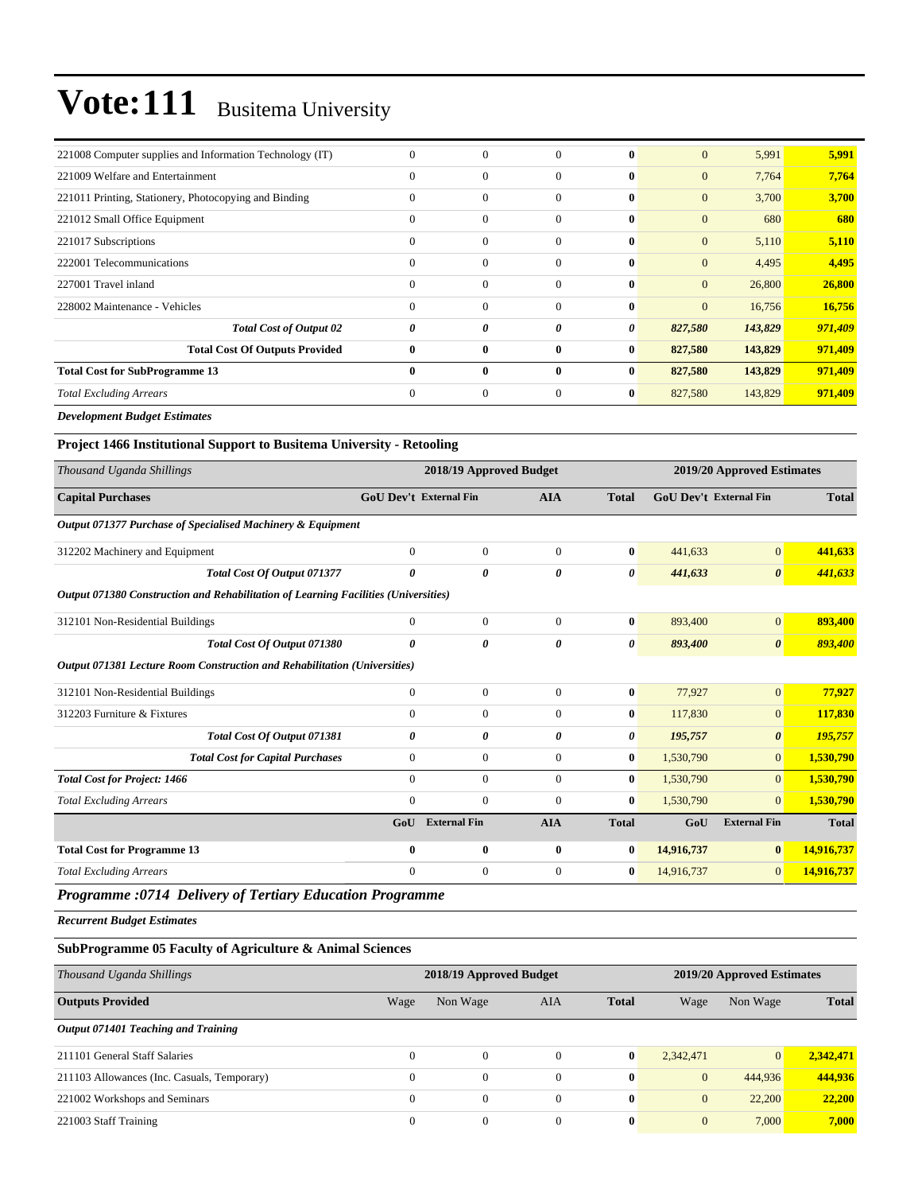| 221008 Computer supplies and Information Technology (IT) | $\mathbf{0}$ | $\mathbf{0}$ | $\Omega$ | $\mathbf{0}$ | $\mathbf{0}$ | 5,991   | 5,991   |
|----------------------------------------------------------|--------------|--------------|----------|--------------|--------------|---------|---------|
| 221009 Welfare and Entertainment                         | $\mathbf{0}$ | $\mathbf{0}$ | $\Omega$ | $\bf{0}$     | $\mathbf{0}$ | 7,764   | 7,764   |
| 221011 Printing, Stationery, Photocopying and Binding    | $\Omega$     | $\mathbf{0}$ | $\Omega$ | $\mathbf{0}$ | $\mathbf{0}$ | 3,700   | 3,700   |
| 221012 Small Office Equipment                            | $\mathbf{0}$ | $\mathbf{0}$ | $\Omega$ | $\mathbf{0}$ | $\mathbf{0}$ | 680     | 680     |
| 221017 Subscriptions                                     | $\Omega$     | $\mathbf{0}$ | $\Omega$ | $\mathbf{0}$ | $\mathbf{0}$ | 5,110   | 5,110   |
| 222001 Telecommunications                                | $\Omega$     | $\mathbf{0}$ | $\Omega$ | $\mathbf{0}$ | $\mathbf{0}$ | 4,495   | 4,495   |
| 227001 Travel inland                                     | $\Omega$     | $\mathbf{0}$ | $\Omega$ | $\mathbf{0}$ | $\mathbf{0}$ | 26,800  | 26,800  |
| 228002 Maintenance - Vehicles                            | $\Omega$     | $\mathbf{0}$ | $\Omega$ | $\mathbf{0}$ | $\mathbf{0}$ | 16,756  | 16,756  |
| <b>Total Cost of Output 02</b>                           | 0            | 0            | 0        | 0            | 827,580      | 143,829 | 971,409 |
| <b>Total Cost Of Outputs Provided</b>                    | $\mathbf{0}$ | $\bf{0}$     | 0        | $\bf{0}$     | 827,580      | 143,829 | 971,409 |
| <b>Total Cost for SubProgramme 13</b>                    | $\mathbf{0}$ | $\bf{0}$     | $\bf{0}$ | $\bf{0}$     | 827,580      | 143,829 | 971,409 |
| <b>Total Excluding Arrears</b>                           | $\mathbf{0}$ | $\mathbf{0}$ | $\Omega$ | $\bf{0}$     | 827,580      | 143,829 | 971,409 |
| _ _ _ _ _ _                                              |              |              |          |              |              |         |         |

*Development Budget Estimates*

#### **Project 1466 Institutional Support to Busitema University - Retooling**

|              |                                                                                                                                          | <b>AIA</b>                                                                                                           | <b>Total</b>            |                      |                       | <b>Total</b>                                                |
|--------------|------------------------------------------------------------------------------------------------------------------------------------------|----------------------------------------------------------------------------------------------------------------------|-------------------------|----------------------|-----------------------|-------------------------------------------------------------|
|              |                                                                                                                                          |                                                                                                                      |                         |                      |                       |                                                             |
| $\mathbf{0}$ | $\mathbf{0}$                                                                                                                             | $\Omega$                                                                                                             | $\bf{0}$                | 441,633              | $\overline{0}$        | 441,633                                                     |
| 0            | 0                                                                                                                                        | 0                                                                                                                    | 0                       | 441,633              | $\boldsymbol{\theta}$ | 441,633                                                     |
|              |                                                                                                                                          |                                                                                                                      |                         |                      |                       |                                                             |
| $\mathbf{0}$ | $\mathbf{0}$                                                                                                                             | $\Omega$                                                                                                             | $\bf{0}$                | 893,400              | $\overline{0}$        | 893,400                                                     |
| 0            | 0                                                                                                                                        | 0                                                                                                                    | 0                       | 893,400              | $\boldsymbol{\theta}$ | 893,400                                                     |
|              |                                                                                                                                          |                                                                                                                      |                         |                      |                       |                                                             |
| $\mathbf{0}$ | $\mathbf{0}$                                                                                                                             | $\overline{0}$                                                                                                       |                         | 77,927               | $\mathbf{0}$          | 77,927                                                      |
| $\mathbf{0}$ | $\mathbf{0}$                                                                                                                             | $\overline{0}$                                                                                                       | $\bf{0}$                | 117,830              | $\overline{0}$        | 117,830                                                     |
| 0            | 0                                                                                                                                        | 0                                                                                                                    | 0                       | 195,757              | $\boldsymbol{\theta}$ | 195,757                                                     |
| $\mathbf{0}$ | $\boldsymbol{0}$                                                                                                                         | $\overline{0}$                                                                                                       |                         | 1,530,790            | $\overline{0}$        | 1,530,790                                                   |
| $\mathbf{0}$ | $\overline{0}$                                                                                                                           | $\overline{0}$                                                                                                       | $\bf{0}$                | 1,530,790            | $\overline{0}$        | 1,530,790                                                   |
| $\mathbf{0}$ | $\overline{0}$                                                                                                                           | $\Omega$                                                                                                             | $\bf{0}$                | 1,530,790            | $\overline{0}$        | 1,530,790                                                   |
| GoU          | <b>External Fin</b>                                                                                                                      | <b>AIA</b>                                                                                                           | <b>Total</b>            | GoU                  | <b>External Fin</b>   | <b>Total</b>                                                |
| $\bf{0}$     | $\bf{0}$                                                                                                                                 | $\bf{0}$                                                                                                             | $\bf{0}$                | 14,916,737           | $\bf{0}$              | 14,916,737                                                  |
| $\mathbf{0}$ | $\mathbf{0}$                                                                                                                             | $\overline{0}$                                                                                                       | $\bf{0}$                | 14,916,737           | $\overline{0}$        | 14,916,737                                                  |
|              | Output 071377 Purchase of Specialised Machinery & Equipment<br>Output 071381 Lecture Room Construction and Rehabilitation (Universities) | <b>GoU Dev't External Fin</b><br>Output 071380 Construction and Rehabilitation of Learning Facilities (Universities) | 2018/19 Approved Budget | $\bf{0}$<br>$\bf{0}$ |                       | 2019/20 Approved Estimates<br><b>GoU Dev't External Fin</b> |

*Programme :0714 Delivery of Tertiary Education Programme*

*Recurrent Budget Estimates*

#### **SubProgramme 05 Faculty of Agriculture & Animal Sciences**

| Thousand Uganda Shillings                   |              | 2018/19 Approved Budget |                |              | 2019/20 Approved Estimates |                |              |  |  |
|---------------------------------------------|--------------|-------------------------|----------------|--------------|----------------------------|----------------|--------------|--|--|
| <b>Outputs Provided</b>                     | Wage         | Non Wage                | AIA            | <b>Total</b> | Wage                       | Non Wage       | <b>Total</b> |  |  |
| Output 071401 Teaching and Training         |              |                         |                |              |                            |                |              |  |  |
| 211101 General Staff Salaries               | $\Omega$     | $\Omega$                | $\theta$       | $\mathbf{0}$ | 2,342,471                  | $\overline{0}$ | 2.342.471    |  |  |
| 211103 Allowances (Inc. Casuals, Temporary) | $\mathbf{0}$ | $\mathbf{0}$            | $\theta$       | $\bf{0}$     | $\mathbf{0}$               | 444,936        | 444,936      |  |  |
| 221002 Workshops and Seminars               | $\Omega$     | $\Omega$                | $\theta$       | $\mathbf{0}$ | $\overline{0}$             | 22,200         | 22,200       |  |  |
| 221003 Staff Training                       | $\mathbf{0}$ | $\mathbf{0}$            | $\overline{0}$ | $\bf{0}$     | $\mathbf{0}$               | 7,000          | 7,000        |  |  |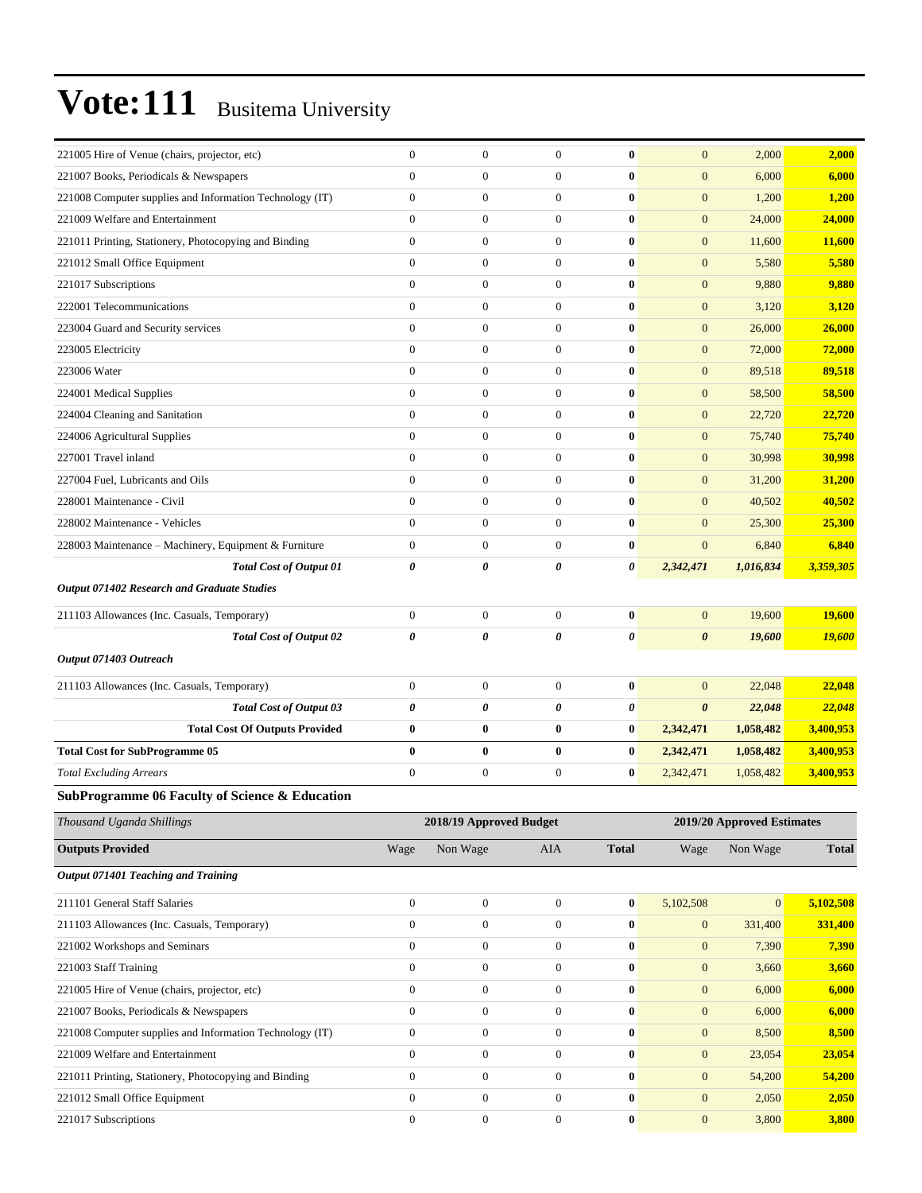| 221005 Hire of Venue (chairs, projector, etc)             | $\boldsymbol{0}$      | $\boldsymbol{0}$        | $\boldsymbol{0}$ | $\bf{0}$              | $\mathbf{0}$          | 2,000                      | 2,000        |
|-----------------------------------------------------------|-----------------------|-------------------------|------------------|-----------------------|-----------------------|----------------------------|--------------|
| 221007 Books, Periodicals & Newspapers                    | $\mathbf{0}$          | $\boldsymbol{0}$        | $\boldsymbol{0}$ | $\bf{0}$              | $\mathbf{0}$          | 6,000                      | 6,000        |
| 221008 Computer supplies and Information Technology (IT)  | $\boldsymbol{0}$      | $\boldsymbol{0}$        | $\boldsymbol{0}$ | $\bf{0}$              | $\mathbf{0}$          | 1,200                      | 1,200        |
| 221009 Welfare and Entertainment                          | $\boldsymbol{0}$      | $\boldsymbol{0}$        | $\boldsymbol{0}$ | $\bf{0}$              | $\mathbf{0}$          | 24,000                     | 24,000       |
| 221011 Printing, Stationery, Photocopying and Binding     | $\mathbf{0}$          | $\boldsymbol{0}$        | $\boldsymbol{0}$ | $\bf{0}$              | $\mathbf{0}$          | 11,600                     | 11,600       |
| 221012 Small Office Equipment                             | $\mathbf{0}$          | $\boldsymbol{0}$        | $\boldsymbol{0}$ | $\bf{0}$              | $\mathbf{0}$          | 5,580                      | 5,580        |
| 221017 Subscriptions                                      | $\mathbf{0}$          | $\boldsymbol{0}$        | $\boldsymbol{0}$ | $\bf{0}$              | $\mathbf{0}$          | 9,880                      | 9,880        |
| 222001 Telecommunications                                 | $\mathbf{0}$          | $\boldsymbol{0}$        | $\boldsymbol{0}$ | $\bf{0}$              | $\mathbf{0}$          | 3,120                      | 3,120        |
| 223004 Guard and Security services                        | $\boldsymbol{0}$      | $\boldsymbol{0}$        | $\boldsymbol{0}$ | $\bf{0}$              | $\mathbf{0}$          | 26,000                     | 26,000       |
| 223005 Electricity                                        | $\mathbf{0}$          | $\boldsymbol{0}$        | $\boldsymbol{0}$ | $\bf{0}$              | $\mathbf{0}$          | 72,000                     | 72,000       |
| 223006 Water                                              | $\boldsymbol{0}$      | $\boldsymbol{0}$        | $\boldsymbol{0}$ | $\bf{0}$              | $\mathbf{0}$          | 89,518                     | 89,518       |
| 224001 Medical Supplies                                   | $\mathbf{0}$          | $\boldsymbol{0}$        | $\boldsymbol{0}$ | $\bf{0}$              | $\mathbf{0}$          | 58,500                     | 58,500       |
| 224004 Cleaning and Sanitation                            | $\boldsymbol{0}$      | $\boldsymbol{0}$        | $\boldsymbol{0}$ | $\bf{0}$              | $\mathbf{0}$          | 22,720                     | 22,720       |
| 224006 Agricultural Supplies                              | $\boldsymbol{0}$      | $\boldsymbol{0}$        | $\boldsymbol{0}$ | $\bf{0}$              | $\mathbf{0}$          | 75,740                     | 75,740       |
| 227001 Travel inland                                      | $\mathbf{0}$          | $\boldsymbol{0}$        | $\boldsymbol{0}$ | $\bf{0}$              | $\mathbf{0}$          | 30,998                     | 30,998       |
| 227004 Fuel, Lubricants and Oils                          | $\mathbf{0}$          | $\boldsymbol{0}$        | $\boldsymbol{0}$ | $\bf{0}$              | $\mathbf{0}$          | 31,200                     | 31,200       |
| 228001 Maintenance - Civil                                | $\mathbf{0}$          | $\boldsymbol{0}$        | $\boldsymbol{0}$ | $\bf{0}$              | $\mathbf{0}$          | 40,502                     | 40,502       |
| 228002 Maintenance - Vehicles                             | $\mathbf{0}$          | $\boldsymbol{0}$        | $\boldsymbol{0}$ | $\bf{0}$              | $\mathbf{0}$          | 25,300                     | 25,300       |
| 228003 Maintenance - Machinery, Equipment & Furniture     | $\boldsymbol{0}$      | $\boldsymbol{0}$        | $\boldsymbol{0}$ | $\bf{0}$              | $\mathbf{0}$          | 6,840                      | 6,840        |
| <b>Total Cost of Output 01</b>                            | $\boldsymbol{\theta}$ | 0                       | 0                | 0                     | 2,342,471             | 1,016,834                  | 3,359,305    |
| Output 071402 Research and Graduate Studies               |                       |                         |                  |                       |                       |                            |              |
| 211103 Allowances (Inc. Casuals, Temporary)               | $\boldsymbol{0}$      | $\boldsymbol{0}$        | $\boldsymbol{0}$ | $\bf{0}$              | $\mathbf{0}$          | 19,600                     | 19,600       |
| Total Cost of Output 02                                   | 0                     | $\theta$                | 0                | $\boldsymbol{\theta}$ | $\boldsymbol{\theta}$ | 19,600                     | 19,600       |
| Output 071403 Outreach                                    |                       |                         |                  |                       |                       |                            |              |
| 211103 Allowances (Inc. Casuals, Temporary)               | $\mathbf{0}$          | $\boldsymbol{0}$        | $\boldsymbol{0}$ | $\bf{0}$              | $\mathbf{0}$          | 22,048                     | 22,048       |
| <b>Total Cost of Output 03</b>                            | 0                     | 0                       | 0                | $\boldsymbol{\theta}$ | $\boldsymbol{\theta}$ | 22,048                     | 22,048       |
| <b>Total Cost Of Outputs Provided</b>                     | $\bf{0}$              | $\boldsymbol{0}$        | $\boldsymbol{0}$ | $\bf{0}$              | 2,342,471             | 1,058,482                  | 3,400,953    |
| <b>Total Cost for SubProgramme 05</b>                     | $\bf{0}$              | $\bf{0}$                | $\bf{0}$         | $\bf{0}$              | 2,342,471             | 1,058,482                  | 3,400,953    |
| <b>Total Excluding Arrears</b>                            | $\boldsymbol{0}$      | $\boldsymbol{0}$        | $\boldsymbol{0}$ | $\bf{0}$              |                       | 1,058,482                  | 3,400,953    |
|                                                           |                       |                         |                  |                       | 2,342,471             |                            |              |
| <b>SubProgramme 06 Faculty of Science &amp; Education</b> |                       |                         |                  |                       |                       |                            |              |
| Thousand Uganda Shillings                                 |                       | 2018/19 Approved Budget |                  |                       |                       | 2019/20 Approved Estimates |              |
| <b>Outputs Provided</b>                                   | Wage                  | Non Wage                | AIA              | <b>Total</b>          | Wage                  | Non Wage                   | <b>Total</b> |
| Output 071401 Teaching and Training                       |                       |                         |                  |                       |                       |                            |              |
| 211101 General Staff Salaries                             | $\boldsymbol{0}$      | $\boldsymbol{0}$        | $\boldsymbol{0}$ | $\bf{0}$              | 5,102,508             | $\overline{0}$             | 5,102,508    |
| 211103 Allowances (Inc. Casuals, Temporary)               | $\boldsymbol{0}$      | $\boldsymbol{0}$        | $\boldsymbol{0}$ | $\bf{0}$              | $\mathbf{0}$          | 331,400                    | 331,400      |
| 221002 Workshops and Seminars                             | $\mathbf{0}$          | $\boldsymbol{0}$        | $\boldsymbol{0}$ | $\bf{0}$              | $\mathbf{0}$          | 7,390                      | 7,390        |
| 221003 Staff Training                                     | $\mathbf{0}$          | $\boldsymbol{0}$        | $\overline{0}$   | $\bf{0}$              | $\mathbf{0}$          | 3,660                      | 3,660        |
| 221005 Hire of Venue (chairs, projector, etc)             | $\mathbf{0}$          | $\boldsymbol{0}$        | $\overline{0}$   | $\bf{0}$              | $\boldsymbol{0}$      | 6,000                      | 6,000        |
| 221007 Books, Periodicals & Newspapers                    |                       |                         | $\boldsymbol{0}$ | $\bf{0}$              | $\mathbf{0}$          | 6,000                      | 6,000        |
|                                                           | $\mathbf{0}$          | $\boldsymbol{0}$        |                  |                       |                       |                            |              |
| 221008 Computer supplies and Information Technology (IT)  | $\boldsymbol{0}$      | $\boldsymbol{0}$        | $\boldsymbol{0}$ | $\bf{0}$              | $\mathbf{0}$          | 8,500                      | 8,500        |
| 221009 Welfare and Entertainment                          | $\boldsymbol{0}$      | $\boldsymbol{0}$        | $\boldsymbol{0}$ | $\bf{0}$              | $\mathbf{0}$          | 23,054                     | 23,054       |
| 221011 Printing, Stationery, Photocopying and Binding     | $\mathbf{0}$          | $\boldsymbol{0}$        | $\overline{0}$   | $\bf{0}$              | $\mathbf{0}$          | 54,200                     | 54,200       |
| 221012 Small Office Equipment                             | $\mathbf{0}$          | $\boldsymbol{0}$        | $\overline{0}$   | $\bf{0}$              | $\boldsymbol{0}$      | 2,050                      | 2,050        |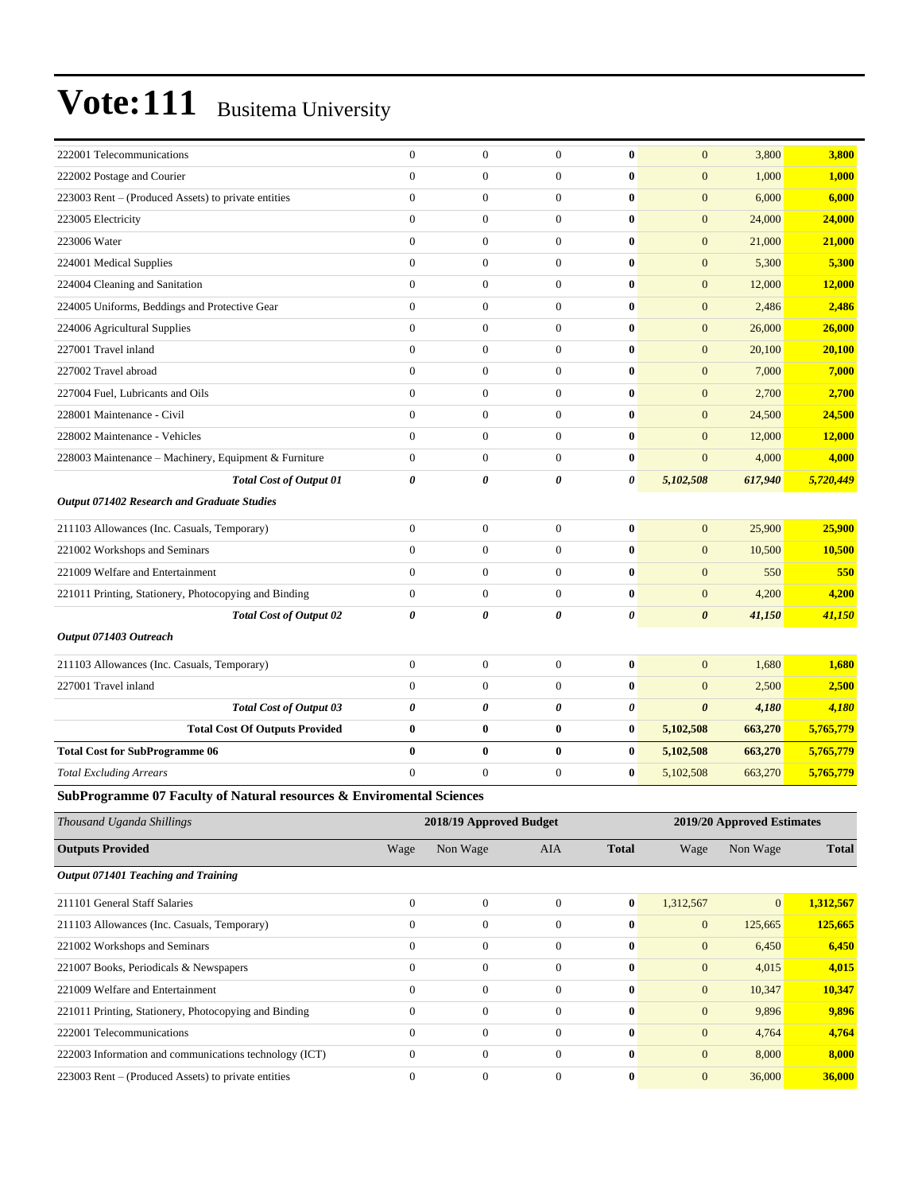| 222001 Telecommunications                                            | $\boldsymbol{0}$      | $\boldsymbol{0}$        | $\mathbf{0}$     | $\bf{0}$         | $\mathbf{0}$          | 3,800                      | 3,800        |
|----------------------------------------------------------------------|-----------------------|-------------------------|------------------|------------------|-----------------------|----------------------------|--------------|
| 222002 Postage and Courier                                           | $\mathbf{0}$          | $\boldsymbol{0}$        | $\boldsymbol{0}$ | $\bf{0}$         | $\boldsymbol{0}$      | 1,000                      | 1,000        |
| 223003 Rent – (Produced Assets) to private entities                  | $\mathbf{0}$          | $\boldsymbol{0}$        | $\boldsymbol{0}$ | 0                | $\mathbf{0}$          | 6,000                      | 6,000        |
| 223005 Electricity                                                   | $\mathbf{0}$          | $\overline{0}$          | $\boldsymbol{0}$ | $\bf{0}$         | $\boldsymbol{0}$      | 24,000                     | 24,000       |
| 223006 Water                                                         | $\mathbf{0}$          | $\mathbf{0}$            | $\overline{0}$   | $\bf{0}$         | $\mathbf{0}$          | 21,000                     | 21,000       |
| 224001 Medical Supplies                                              | $\mathbf{0}$          | $\boldsymbol{0}$        | $\boldsymbol{0}$ | $\bf{0}$         | $\boldsymbol{0}$      | 5,300                      | 5,300        |
| 224004 Cleaning and Sanitation                                       | $\mathbf{0}$          | $\boldsymbol{0}$        | $\boldsymbol{0}$ | $\bf{0}$         | $\boldsymbol{0}$      | 12,000                     | 12,000       |
| 224005 Uniforms, Beddings and Protective Gear                        | $\mathbf{0}$          | $\boldsymbol{0}$        | $\boldsymbol{0}$ | 0                | $\boldsymbol{0}$      | 2,486                      | 2,486        |
| 224006 Agricultural Supplies                                         | $\mathbf{0}$          | $\overline{0}$          | $\overline{0}$   | $\bf{0}$         | $\boldsymbol{0}$      | 26,000                     | 26,000       |
| 227001 Travel inland                                                 | $\mathbf{0}$          | $\overline{0}$          | $\overline{0}$   | $\bf{0}$         | $\mathbf{0}$          | 20,100                     | 20,100       |
| 227002 Travel abroad                                                 | $\mathbf{0}$          | $\boldsymbol{0}$        | $\boldsymbol{0}$ | $\bf{0}$         | $\mathbf{0}$          | 7,000                      | 7,000        |
| 227004 Fuel, Lubricants and Oils                                     | $\mathbf{0}$          | $\boldsymbol{0}$        | $\boldsymbol{0}$ | $\bf{0}$         | $\boldsymbol{0}$      | 2,700                      | 2,700        |
| 228001 Maintenance - Civil                                           | $\mathbf{0}$          | $\boldsymbol{0}$        | $\boldsymbol{0}$ | 0                | $\mathbf{0}$          | 24,500                     | 24,500       |
| 228002 Maintenance - Vehicles                                        | $\mathbf{0}$          | $\overline{0}$          | $\overline{0}$   | $\bf{0}$         | $\mathbf{0}$          | 12,000                     | 12,000       |
| 228003 Maintenance - Machinery, Equipment & Furniture                | $\mathbf{0}$          | $\boldsymbol{0}$        | $\boldsymbol{0}$ | $\bf{0}$         | $\mathbf{0}$          | 4,000                      | 4,000        |
| <b>Total Cost of Output 01</b>                                       | $\pmb{\theta}$        | 0                       | 0                | 0                | 5,102,508             | 617,940                    | 5,720,449    |
| Output 071402 Research and Graduate Studies                          |                       |                         |                  |                  |                       |                            |              |
| 211103 Allowances (Inc. Casuals, Temporary)                          | $\mathbf{0}$          | $\boldsymbol{0}$        | $\boldsymbol{0}$ | $\bf{0}$         | $\mathbf{0}$          | 25,900                     | 25,900       |
| 221002 Workshops and Seminars                                        | $\mathbf{0}$          | $\boldsymbol{0}$        | $\boldsymbol{0}$ | $\bf{0}$         | $\mathbf{0}$          | 10,500                     | 10,500       |
| 221009 Welfare and Entertainment                                     | $\theta$              | $\overline{0}$          | $\boldsymbol{0}$ | $\bf{0}$         | $\boldsymbol{0}$      | 550                        | 550          |
| 221011 Printing, Stationery, Photocopying and Binding                | $\boldsymbol{0}$      | $\boldsymbol{0}$        | $\boldsymbol{0}$ | $\bf{0}$         | $\mathbf{0}$          | 4,200                      | 4,200        |
| <b>Total Cost of Output 02</b>                                       | $\boldsymbol{\theta}$ | 0                       | 0                | 0                | $\boldsymbol{\theta}$ | 41,150                     | 41,150       |
| Output 071403 Outreach                                               |                       |                         |                  |                  |                       |                            |              |
| 211103 Allowances (Inc. Casuals, Temporary)                          | $\boldsymbol{0}$      | $\boldsymbol{0}$        | $\boldsymbol{0}$ | $\bf{0}$         | $\mathbf{0}$          | 1,680                      | 1,680        |
| 227001 Travel inland                                                 | $\boldsymbol{0}$      | $\boldsymbol{0}$        | $\boldsymbol{0}$ | 0                | $\mathbf{0}$          | 2,500                      | 2,500        |
| <b>Total Cost of Output 03</b>                                       | $\boldsymbol{\theta}$ | 0                       | 0                | 0                | $\boldsymbol{\theta}$ | 4,180                      | 4,180        |
| <b>Total Cost Of Outputs Provided</b>                                | $\bf{0}$              | $\bf{0}$                | $\bf{0}$         | 0                | 5,102,508             | 663,270                    | 5,765,779    |
| <b>Total Cost for SubProgramme 06</b>                                | $\bf{0}$              | $\bf{0}$                | $\bf{0}$         | $\bf{0}$         | 5,102,508             | 663,270                    | 5,765,779    |
| <b>Total Excluding Arrears</b>                                       | $\mathbf{0}$          | $\boldsymbol{0}$        | $\boldsymbol{0}$ | $\bf{0}$         | 5,102,508             | 663,270                    | 5,765,779    |
| SubProgramme 07 Faculty of Natural resources & Enviromental Sciences |                       |                         |                  |                  |                       |                            |              |
| Thousand Uganda Shillings                                            |                       | 2018/19 Approved Budget |                  |                  |                       | 2019/20 Approved Estimates |              |
| <b>Outputs Provided</b>                                              | Wage                  | Non Wage                | AIA              | <b>Total</b>     | Wage                  | Non Wage                   | <b>Total</b> |
| Output 071401 Teaching and Training                                  |                       |                         |                  |                  |                       |                            |              |
| 211101 General Staff Salaries                                        | $\boldsymbol{0}$      | $\boldsymbol{0}$        | $\mathbf{0}$     | $\bf{0}$         | 1,312,567             | $\mathbf{0}$               | 1,312,567    |
| 211103 Allowances (Inc. Casuals, Temporary)                          | $\boldsymbol{0}$      | $\boldsymbol{0}$        | $\boldsymbol{0}$ | $\boldsymbol{0}$ | $\boldsymbol{0}$      | 125,665                    | 125,665      |
| 221002 Workshops and Seminars                                        | $\boldsymbol{0}$      | $\boldsymbol{0}$        | $\boldsymbol{0}$ | $\bf{0}$         | $\boldsymbol{0}$      | 6,450                      | 6,450        |
| 221007 Books, Periodicals & Newspapers                               | $\boldsymbol{0}$      | $\boldsymbol{0}$        | $\overline{0}$   | $\bf{0}$         | $\mathbf{0}$          | 4,015                      | 4,015        |
| 221009 Welfare and Entertainment                                     | $\boldsymbol{0}$      | $\boldsymbol{0}$        | $\boldsymbol{0}$ | $\bf{0}$         | $\boldsymbol{0}$      | 10,347                     | 10,347       |
| 221011 Printing, Stationery, Photocopying and Binding                | $\boldsymbol{0}$      | $\boldsymbol{0}$        | $\overline{0}$   | $\bf{0}$         | $\boldsymbol{0}$      | 9,896                      | 9,896        |
| 222001 Telecommunications                                            | $\boldsymbol{0}$      | $\boldsymbol{0}$        | $\overline{0}$   | $\bf{0}$         | $\boldsymbol{0}$      | 4,764                      | 4,764        |
| 222003 Information and communications technology (ICT)               | $\boldsymbol{0}$      | $\boldsymbol{0}$        | $\boldsymbol{0}$ | $\pmb{0}$        | $\boldsymbol{0}$      | 8,000                      | 8,000        |

223003 Rent – (Produced Assets) to private entities 0 0 0 0 0 0 36,000 **36,000** 36,000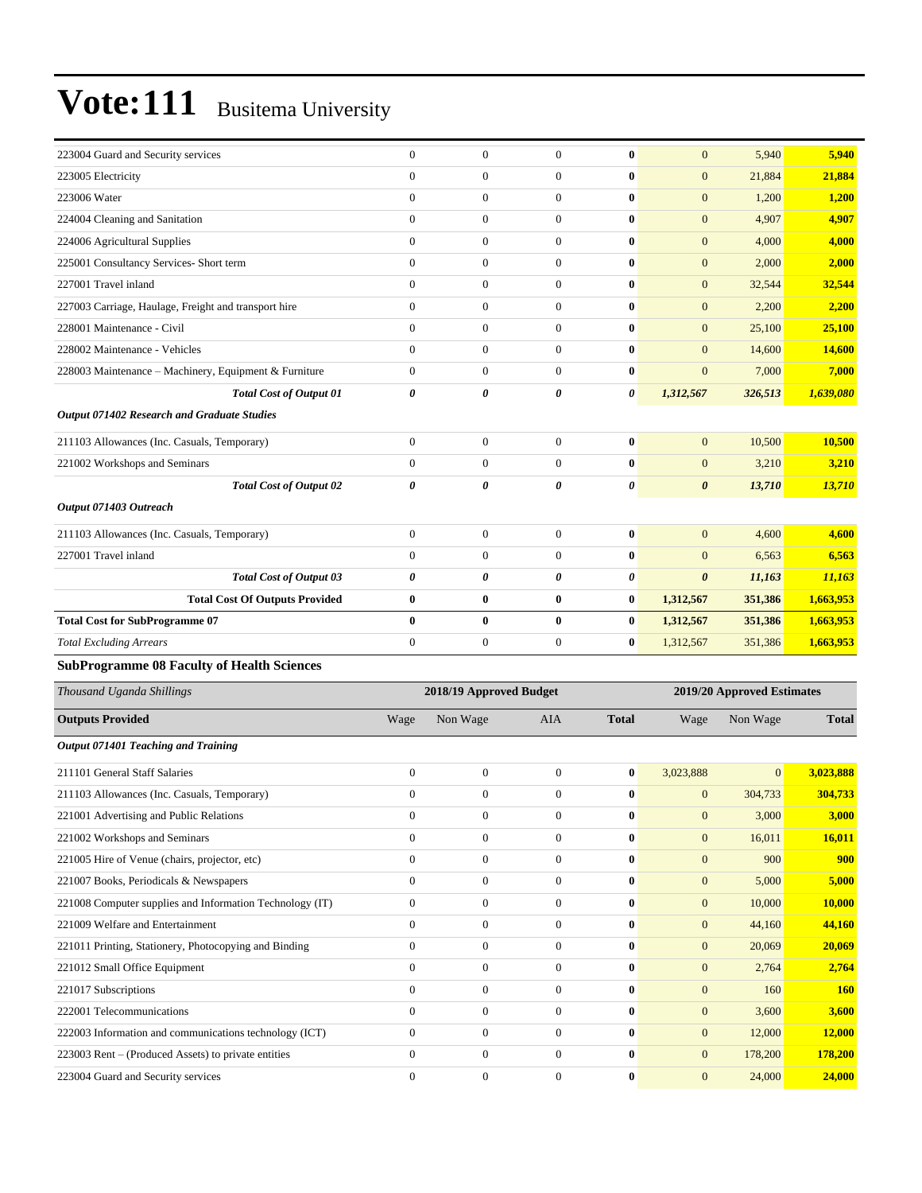| 223004 Guard and Security services                       | $\mathbf{0}$          | $\boldsymbol{0}$        | $\overline{0}$   | $\bf{0}$         | $\mathbf{0}$          | 5,940                      | 5,940         |
|----------------------------------------------------------|-----------------------|-------------------------|------------------|------------------|-----------------------|----------------------------|---------------|
| 223005 Electricity                                       | $\mathbf{0}$          | $\boldsymbol{0}$        | $\boldsymbol{0}$ | $\bf{0}$         | $\mathbf{0}$          | 21,884                     | 21,884        |
| 223006 Water                                             | $\mathbf{0}$          | $\overline{0}$          | $\overline{0}$   | $\bf{0}$         | $\mathbf{0}$          | 1,200                      | 1,200         |
| 224004 Cleaning and Sanitation                           | $\mathbf{0}$          | $\overline{0}$          | $\mathbf{0}$     | $\bf{0}$         | $\mathbf{0}$          | 4,907                      | 4,907         |
| 224006 Agricultural Supplies                             | $\mathbf{0}$          | $\overline{0}$          | $\overline{0}$   | $\bf{0}$         | $\mathbf{0}$          | 4,000                      | 4,000         |
| 225001 Consultancy Services- Short term                  | $\mathbf{0}$          | $\boldsymbol{0}$        | $\overline{0}$   | $\bf{0}$         | $\mathbf{0}$          | 2,000                      | 2,000         |
| 227001 Travel inland                                     | $\mathbf{0}$          | $\boldsymbol{0}$        | $\boldsymbol{0}$ | $\bf{0}$         | $\mathbf{0}$          | 32,544                     | 32,544        |
| 227003 Carriage, Haulage, Freight and transport hire     | $\mathbf{0}$          | $\boldsymbol{0}$        | $\boldsymbol{0}$ | $\bf{0}$         | $\mathbf{0}$          | 2,200                      | 2,200         |
| 228001 Maintenance - Civil                               | $\mathbf{0}$          | $\overline{0}$          | $\mathbf{0}$     | $\bf{0}$         | $\boldsymbol{0}$      | 25,100                     | 25,100        |
| 228002 Maintenance - Vehicles                            | $\mathbf{0}$          | $\overline{0}$          | $\overline{0}$   | $\bf{0}$         | $\mathbf{0}$          | 14,600                     | 14,600        |
| 228003 Maintenance - Machinery, Equipment & Furniture    | $\mathbf{0}$          | $\boldsymbol{0}$        | $\overline{0}$   | $\bf{0}$         | $\mathbf{0}$          | 7,000                      | 7,000         |
| <b>Total Cost of Output 01</b>                           | $\boldsymbol{\theta}$ | 0                       | 0                | 0                | 1,312,567             | 326,513                    | 1,639,080     |
| Output 071402 Research and Graduate Studies              |                       |                         |                  |                  |                       |                            |               |
| 211103 Allowances (Inc. Casuals, Temporary)              | $\boldsymbol{0}$      | $\boldsymbol{0}$        | $\boldsymbol{0}$ | $\bf{0}$         | $\mathbf{0}$          | 10,500                     | 10,500        |
| 221002 Workshops and Seminars                            | $\mathbf{0}$          | $\boldsymbol{0}$        | $\overline{0}$   | $\bf{0}$         | $\mathbf{0}$          | 3,210                      | 3,210         |
| <b>Total Cost of Output 02</b>                           | 0                     | 0                       | 0                | 0                | $\boldsymbol{\theta}$ | 13,710                     | <b>13,710</b> |
| Output 071403 Outreach                                   |                       |                         |                  |                  |                       |                            |               |
| 211103 Allowances (Inc. Casuals, Temporary)              | $\boldsymbol{0}$      | $\boldsymbol{0}$        | $\boldsymbol{0}$ | $\bf{0}$         | $\mathbf{0}$          | 4,600                      | 4,600         |
| 227001 Travel inland                                     | $\mathbf{0}$          | $\boldsymbol{0}$        | $\boldsymbol{0}$ | $\bf{0}$         | $\mathbf{0}$          | 6,563                      | 6,563         |
| <b>Total Cost of Output 03</b>                           | 0                     | 0                       | 0                | 0                | $\boldsymbol{\theta}$ | 11,163                     | 11,163        |
| <b>Total Cost Of Outputs Provided</b>                    | $\bf{0}$              | $\bf{0}$                | 0                | $\bf{0}$         | 1,312,567             | 351,386                    | 1,663,953     |
| <b>Total Cost for SubProgramme 07</b>                    | $\bf{0}$              | $\bf{0}$                | $\bf{0}$         | $\bf{0}$         | 1,312,567             | 351,386                    | 1,663,953     |
| <b>Total Excluding Arrears</b>                           | $\mathbf{0}$          | $\boldsymbol{0}$        | $\boldsymbol{0}$ | $\bf{0}$         | 1,312,567             | 351,386                    | 1,663,953     |
| <b>SubProgramme 08 Faculty of Health Sciences</b>        |                       |                         |                  |                  |                       |                            |               |
| Thousand Uganda Shillings                                |                       | 2018/19 Approved Budget |                  |                  |                       | 2019/20 Approved Estimates |               |
| <b>Outputs Provided</b>                                  | Wage                  | Non Wage                | AIA              | <b>Total</b>     | Wage                  | Non Wage                   | <b>Total</b>  |
| Output 071401 Teaching and Training                      |                       |                         |                  |                  |                       |                            |               |
| 211101 General Staff Salaries                            | $\boldsymbol{0}$      | $\boldsymbol{0}$        | $\boldsymbol{0}$ | $\bf{0}$         | 3,023,888             | $\mathbf{0}$               | 3,023,888     |
| 211103 Allowances (Inc. Casuals, Temporary)              | $\boldsymbol{0}$      | 0                       | $\mathbf{0}$     | $\bf{0}$         | $\mathbf{0}$          | 304,733                    | 304,733       |
| 221001 Advertising and Public Relations                  | $\boldsymbol{0}$      | $\boldsymbol{0}$        | $\boldsymbol{0}$ | $\pmb{0}$        | $\mathbf{0}$          | 3,000                      | 3,000         |
| 221002 Workshops and Seminars                            | $\boldsymbol{0}$      | $\mathbf{0}$            | $\boldsymbol{0}$ | $\bf{0}$         | $\mathbf{0}$          | 16,011                     | 16,011        |
| 221005 Hire of Venue (chairs, projector, etc)            | $\boldsymbol{0}$      | $\boldsymbol{0}$        | $\boldsymbol{0}$ | $\bf{0}$         | $\boldsymbol{0}$      | 900                        | 900           |
| 221007 Books, Periodicals & Newspapers                   | $\boldsymbol{0}$      | $\boldsymbol{0}$        | $\boldsymbol{0}$ | $\boldsymbol{0}$ | $\boldsymbol{0}$      | 5,000                      | 5,000         |
| 221008 Computer supplies and Information Technology (IT) | $\boldsymbol{0}$      | $\boldsymbol{0}$        | $\boldsymbol{0}$ | $\bf{0}$         | $\mathbf{0}$          | 10,000                     | 10,000        |
| 221009 Welfare and Entertainment                         | $\mathbf{0}$          | $\boldsymbol{0}$        | $\boldsymbol{0}$ | $\bf{0}$         | $\mathbf{0}$          | 44,160                     | 44,160        |
| 221011 Printing, Stationery, Photocopying and Binding    | $\boldsymbol{0}$      | $\boldsymbol{0}$        | $\boldsymbol{0}$ | $\bf{0}$         | $\mathbf{0}$          | 20,069                     | 20,069        |
| 221012 Small Office Equipment                            | $\boldsymbol{0}$      | $\boldsymbol{0}$        | $\boldsymbol{0}$ | $\bf{0}$         | $\mathbf{0}$          | 2,764                      | 2,764         |
| 221017 Subscriptions                                     | $\boldsymbol{0}$      | $\boldsymbol{0}$        | $\boldsymbol{0}$ | $\boldsymbol{0}$ | $\mathbf{0}$          | 160                        | <b>160</b>    |
| 222001 Telecommunications                                | $\boldsymbol{0}$      | $\boldsymbol{0}$        | $\boldsymbol{0}$ | $\bf{0}$         | $\mathbf{0}$          | 3,600                      | 3,600         |
| 222003 Information and communications technology (ICT)   | $\boldsymbol{0}$      | $\boldsymbol{0}$        | $\boldsymbol{0}$ | $\pmb{0}$        | $\boldsymbol{0}$      | 12,000                     | 12,000        |
| 223003 Rent – (Produced Assets) to private entities      | $\boldsymbol{0}$      | $\boldsymbol{0}$        | $\boldsymbol{0}$ | $\bf{0}$         | $\boldsymbol{0}$      | 178,200                    | 178,200       |
|                                                          |                       |                         | $\boldsymbol{0}$ | $\bf{0}$         | $\boldsymbol{0}$      | 24,000                     | 24,000        |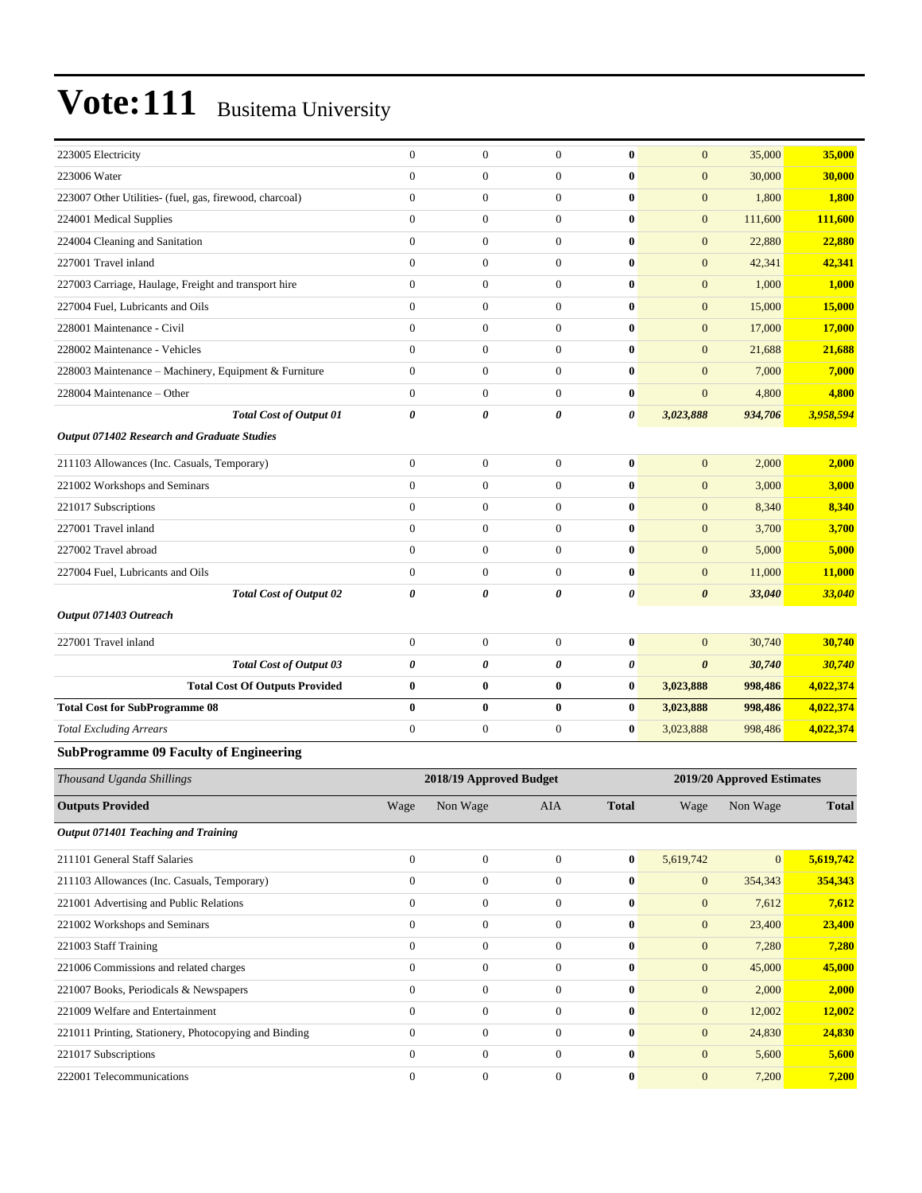| 223005 Electricity                                      | $\boldsymbol{0}$             | $\mathbf{0}$            | $\boldsymbol{0}$      | $\bf{0}$       | $\boldsymbol{0}$      | 35,000                     | 35,000       |
|---------------------------------------------------------|------------------------------|-------------------------|-----------------------|----------------|-----------------------|----------------------------|--------------|
| 223006 Water                                            | $\overline{0}$               | $\mathbf{0}$            | $\boldsymbol{0}$      | $\bf{0}$       | $\mathbf{0}$          | 30,000                     | 30,000       |
| 223007 Other Utilities- (fuel, gas, firewood, charcoal) | $\boldsymbol{0}$             | $\boldsymbol{0}$        | $\mathbf{0}$          | $\bf{0}$       | $\boldsymbol{0}$      | 1,800                      | 1,800        |
| 224001 Medical Supplies                                 | $\boldsymbol{0}$             | $\mathbf{0}$            | $\boldsymbol{0}$      | $\bf{0}$       | $\overline{0}$        | 111,600                    | 111,600      |
| 224004 Cleaning and Sanitation                          | $\boldsymbol{0}$             | $\boldsymbol{0}$        | $\boldsymbol{0}$      | $\bf{0}$       | $\boldsymbol{0}$      | 22,880                     | 22,880       |
| 227001 Travel inland                                    | $\boldsymbol{0}$             | $\mathbf{0}$            | $\boldsymbol{0}$      | $\bf{0}$       | $\boldsymbol{0}$      | 42,341                     | 42,341       |
| 227003 Carriage, Haulage, Freight and transport hire    | $\boldsymbol{0}$             | $\mathbf{0}$            | $\mathbf{0}$          | $\bf{0}$       | $\boldsymbol{0}$      | 1,000                      | 1,000        |
| 227004 Fuel, Lubricants and Oils                        | $\overline{0}$               | $\boldsymbol{0}$        | $\mathbf{0}$          | $\bf{0}$       | $\overline{0}$        | 15,000                     | 15,000       |
| 228001 Maintenance - Civil                              | $\boldsymbol{0}$             | $\mathbf{0}$            | $\boldsymbol{0}$      | $\bf{0}$       | $\overline{0}$        | 17,000                     | 17,000       |
| 228002 Maintenance - Vehicles                           | $\boldsymbol{0}$             | $\boldsymbol{0}$        | $\boldsymbol{0}$      | $\bf{0}$       | $\boldsymbol{0}$      | 21,688                     | 21,688       |
| 228003 Maintenance - Machinery, Equipment & Furniture   | $\boldsymbol{0}$             | $\mathbf{0}$            | $\boldsymbol{0}$      | $\bf{0}$       | $\boldsymbol{0}$      | 7,000                      | 7,000        |
| 228004 Maintenance - Other                              | $\boldsymbol{0}$             | $\mathbf{0}$            | $\mathbf{0}$          | $\bf{0}$       | $\mathbf{0}$          | 4,800                      | 4,800        |
| <b>Total Cost of Output 01</b>                          | 0                            | $\boldsymbol{\theta}$   | $\boldsymbol{\theta}$ | $\pmb{\theta}$ | 3,023,888             | 934,706                    | 3,958,594    |
| Output 071402 Research and Graduate Studies             |                              |                         |                       |                |                       |                            |              |
| 211103 Allowances (Inc. Casuals, Temporary)             | $\boldsymbol{0}$             | $\mathbf{0}$            | $\mathbf{0}$          | $\bf{0}$       | $\boldsymbol{0}$      | 2,000                      | 2,000        |
| 221002 Workshops and Seminars                           | $\boldsymbol{0}$             | $\mathbf{0}$            | $\boldsymbol{0}$      | $\bf{0}$       | $\overline{0}$        | 3,000                      | 3,000        |
| 221017 Subscriptions                                    | $\overline{0}$               | $\mathbf{0}$            | $\boldsymbol{0}$      | $\bf{0}$       | $\overline{0}$        | 8,340                      | 8,340        |
| 227001 Travel inland                                    | $\overline{0}$               | $\mathbf{0}$            | $\boldsymbol{0}$      | $\bf{0}$       | $\boldsymbol{0}$      | 3,700                      | 3,700        |
| 227002 Travel abroad                                    | $\boldsymbol{0}$             | $\mathbf{0}$            | $\boldsymbol{0}$      | $\bf{0}$       | $\boldsymbol{0}$      | 5,000                      | 5,000        |
| 227004 Fuel, Lubricants and Oils                        | $\boldsymbol{0}$             | $\boldsymbol{0}$        | $\boldsymbol{0}$      | $\bf{0}$       | $\boldsymbol{0}$      | 11,000                     | 11,000       |
| <b>Total Cost of Output 02</b>                          | 0                            | $\boldsymbol{\theta}$   | 0                     | $\pmb{\theta}$ | 0                     | 33,040                     | 33,040       |
| Output 071403 Outreach                                  |                              |                         |                       |                |                       |                            |              |
| 227001 Travel inland                                    | $\boldsymbol{0}$             | $\boldsymbol{0}$        | $\mathbf{0}$          |                | $\mathbf{0}$          |                            | 30,740       |
|                                                         | 0                            | $\boldsymbol{\theta}$   |                       | $\bf{0}$<br>0  | $\boldsymbol{\theta}$ | 30,740                     |              |
| <b>Total Cost of Output 03</b>                          | $\bf{0}$                     | $\bf{0}$                | 0<br>$\bf{0}$         | $\bf{0}$       |                       | 30,740                     | 30,740       |
| <b>Total Cost Of Outputs Provided</b>                   |                              |                         |                       |                | 3,023,888             | 998,486                    | 4,022,374    |
| <b>Total Cost for SubProgramme 08</b>                   | $\bf{0}$<br>$\boldsymbol{0}$ | $\bf{0}$                | $\bf{0}$              | $\bf{0}$       | 3,023,888             | 998,486                    | 4,022,374    |
| <b>Total Excluding Arrears</b>                          |                              | $\boldsymbol{0}$        | $\boldsymbol{0}$      | $\bf{0}$       | 3,023,888             | 998,486                    | 4,022,374    |
| <b>SubProgramme 09 Faculty of Engineering</b>           |                              |                         |                       |                |                       |                            |              |
| Thousand Uganda Shillings                               |                              | 2018/19 Approved Budget |                       |                |                       | 2019/20 Approved Estimates |              |
| <b>Outputs Provided</b>                                 | Wage                         | Non Wage                | AIA                   | <b>Total</b>   | Wage                  | Non Wage                   | <b>Total</b> |
| Output 071401 Teaching and Training                     |                              |                         |                       |                |                       |                            |              |
| 211101 General Staff Salaries                           | $\boldsymbol{0}$             | $\boldsymbol{0}$        | $\mathbf{0}$          | $\bf{0}$       | 5,619,742             | $\mathbf{0}$               | 5,619,742    |
| 211103 Allowances (Inc. Casuals, Temporary)             | $\boldsymbol{0}$             | $\boldsymbol{0}$        | $\mathbf{0}$          | $\bf{0}$       | $\boldsymbol{0}$      | 354,343                    | 354,343      |
| 221001 Advertising and Public Relations                 | $\boldsymbol{0}$             | $\boldsymbol{0}$        | $\boldsymbol{0}$      | $\bf{0}$       | $\boldsymbol{0}$      | 7,612                      | 7,612        |
| 221002 Workshops and Seminars                           | $\boldsymbol{0}$             | $\mathbf{0}$            | $\boldsymbol{0}$      | $\bf{0}$       | $\mathbf{0}$          | 23,400                     | 23,400       |
| 221003 Staff Training                                   | $\boldsymbol{0}$             | $\boldsymbol{0}$        | $\boldsymbol{0}$      | $\pmb{0}$      | $\boldsymbol{0}$      | 7,280                      | 7,280        |
| 221006 Commissions and related charges                  | $\boldsymbol{0}$             | $\mathbf{0}$            | $\boldsymbol{0}$      | $\bf{0}$       | $\mathbf{0}$          | 45,000                     | 45,000       |
| 221007 Books, Periodicals & Newspapers                  | $\boldsymbol{0}$             | $\boldsymbol{0}$        | $\boldsymbol{0}$      | $\bf{0}$       | $\boldsymbol{0}$      | 2,000                      | 2,000        |
| 221009 Welfare and Entertainment                        | $\boldsymbol{0}$             | $\boldsymbol{0}$        | $\boldsymbol{0}$      | $\bf{0}$       | $\boldsymbol{0}$      | 12,002                     | 12,002       |
| 221011 Printing, Stationery, Photocopying and Binding   | $\boldsymbol{0}$             | $\boldsymbol{0}$        | $\boldsymbol{0}$      | $\bf{0}$       | $\mathbf{0}$          | 24,830                     | 24,830       |
| 221017 Subscriptions                                    | $\boldsymbol{0}$             | $\boldsymbol{0}$        | $\boldsymbol{0}$      | $\pmb{0}$      | $\boldsymbol{0}$      | 5,600                      | 5,600        |
| 222001 Telecommunications                               | $\boldsymbol{0}$             | $\boldsymbol{0}$        | $\boldsymbol{0}$      | $\bf{0}$       | $\boldsymbol{0}$      | 7,200                      | 7,200        |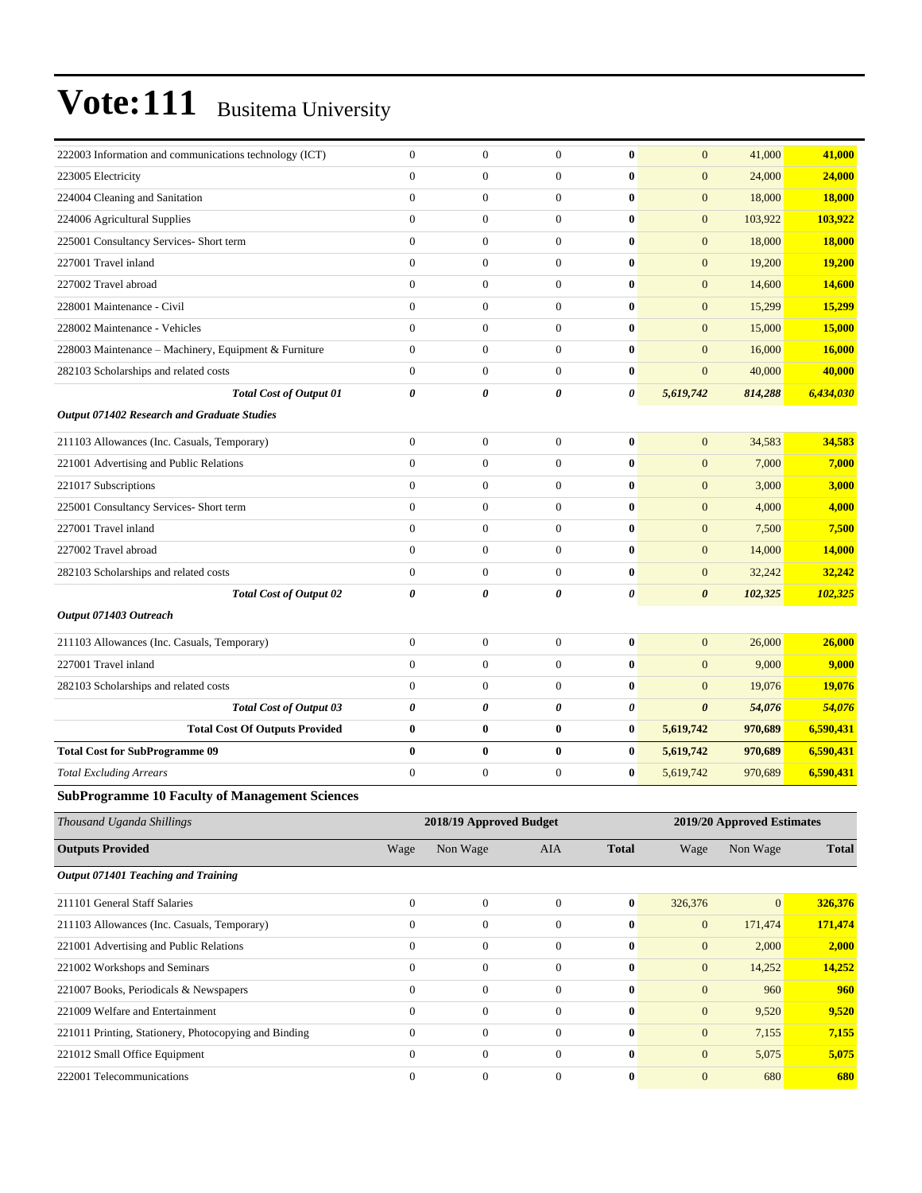| 222003 Information and communications technology (ICT) | $\boldsymbol{0}$ | $\boldsymbol{0}$        | $\boldsymbol{0}$ | $\bf{0}$         | $\mathbf{0}$                     | 41,000                     | 41,000        |
|--------------------------------------------------------|------------------|-------------------------|------------------|------------------|----------------------------------|----------------------------|---------------|
| 223005 Electricity                                     | $\overline{0}$   | $\overline{0}$          | $\boldsymbol{0}$ | $\bf{0}$         | $\overline{0}$                   | 24,000                     | 24,000        |
| 224004 Cleaning and Sanitation                         | $\overline{0}$   | $\overline{0}$          | $\boldsymbol{0}$ | $\bf{0}$         | $\mathbf{0}$                     | 18,000                     | 18,000        |
| 224006 Agricultural Supplies                           | $\overline{0}$   | $\overline{0}$          | $\boldsymbol{0}$ | $\bf{0}$         | $\mathbf{0}$                     | 103,922                    | 103,922       |
| 225001 Consultancy Services- Short term                | $\overline{0}$   | $\boldsymbol{0}$        | $\boldsymbol{0}$ | $\bf{0}$         | $\mathbf{0}$                     | 18,000                     | 18,000        |
| 227001 Travel inland                                   | $\overline{0}$   | $\mathbf{0}$            | $\boldsymbol{0}$ | $\bf{0}$         | $\mathbf{0}$                     | 19,200                     | 19,200        |
| 227002 Travel abroad                                   | $\overline{0}$   | $\overline{0}$          | $\boldsymbol{0}$ | $\bf{0}$         | $\mathbf{0}$                     | 14,600                     | 14,600        |
| 228001 Maintenance - Civil                             | $\overline{0}$   | $\overline{0}$          | $\boldsymbol{0}$ | $\bf{0}$         | $\mathbf{0}$                     | 15,299                     | 15,299        |
| 228002 Maintenance - Vehicles                          | $\overline{0}$   | $\overline{0}$          | $\boldsymbol{0}$ | $\bf{0}$         | $\mathbf{0}$                     | 15,000                     | 15,000        |
| 228003 Maintenance - Machinery, Equipment & Furniture  | $\boldsymbol{0}$ | $\boldsymbol{0}$        | $\boldsymbol{0}$ | $\bf{0}$         | $\mathbf{0}$                     | 16,000                     | <b>16,000</b> |
| 282103 Scholarships and related costs                  | $\overline{0}$   | $\mathbf{0}$            | $\boldsymbol{0}$ | $\bf{0}$         | $\overline{0}$                   | 40,000                     | 40,000        |
| <b>Total Cost of Output 01</b>                         | 0                | $\boldsymbol{\theta}$   | 0                | 0                | 5,619,742                        | 814,288                    | 6,434,030     |
| <b>Output 071402 Research and Graduate Studies</b>     |                  |                         |                  |                  |                                  |                            |               |
| 211103 Allowances (Inc. Casuals, Temporary)            | $\boldsymbol{0}$ | $\boldsymbol{0}$        | $\boldsymbol{0}$ | $\bf{0}$         | $\mathbf{0}$                     | 34,583                     | 34,583        |
| 221001 Advertising and Public Relations                | $\overline{0}$   | $\overline{0}$          | $\boldsymbol{0}$ | $\bf{0}$         | $\mathbf{0}$                     | 7,000                      | 7,000         |
| 221017 Subscriptions                                   | $\overline{0}$   | $\boldsymbol{0}$        | $\boldsymbol{0}$ | $\bf{0}$         | $\mathbf{0}$                     | 3,000                      | 3,000         |
| 225001 Consultancy Services- Short term                | $\boldsymbol{0}$ | $\mathbf{0}$            | $\boldsymbol{0}$ | $\bf{0}$         | $\overline{0}$                   | 4,000                      | 4,000         |
| 227001 Travel inland                                   | $\overline{0}$   | $\overline{0}$          | $\boldsymbol{0}$ | $\bf{0}$         | $\mathbf{0}$                     | 7,500                      | 7,500         |
| 227002 Travel abroad                                   | $\overline{0}$   | $\mathbf{0}$            | $\boldsymbol{0}$ | $\bf{0}$         | $\mathbf{0}$                     | 14,000                     | 14,000        |
| 282103 Scholarships and related costs                  | $\boldsymbol{0}$ | $\boldsymbol{0}$        | $\boldsymbol{0}$ | $\bf{0}$         | $\mathbf{0}$                     | 32,242                     | 32,242        |
| <b>Total Cost of Output 02</b>                         | 0                | 0                       | 0                | $\pmb{\theta}$   | $\boldsymbol{\theta}$            | 102,325                    | 102,325       |
| Output 071403 Outreach                                 |                  |                         |                  |                  |                                  |                            |               |
| 211103 Allowances (Inc. Casuals, Temporary)            | $\boldsymbol{0}$ | $\boldsymbol{0}$        | $\boldsymbol{0}$ | $\bf{0}$         | $\overline{0}$                   | 26,000                     | 26,000        |
| 227001 Travel inland                                   | $\overline{0}$   | $\overline{0}$          | $\overline{0}$   | $\bf{0}$         | $\overline{0}$                   | 9,000                      | 9,000         |
| 282103 Scholarships and related costs                  | $\mathbf{0}$     | $\mathbf{0}$            | $\boldsymbol{0}$ | $\bf{0}$         | $\overline{0}$                   | 19,076                     | 19,076        |
| <b>Total Cost of Output 03</b>                         | 0                | $\boldsymbol{\theta}$   | 0                | 0                | $\boldsymbol{\theta}$            | 54,076                     | 54,076        |
| <b>Total Cost Of Outputs Provided</b>                  | $\bf{0}$         | $\bf{0}$                | $\boldsymbol{0}$ | $\bf{0}$         | 5,619,742                        | 970,689                    | 6,590,431     |
| <b>Total Cost for SubProgramme 09</b>                  | $\bf{0}$         | $\bf{0}$                | 0                | $\bf{0}$         | 5,619,742                        | 970,689                    | 6,590,431     |
| <b>Total Excluding Arrears</b>                         | $\overline{0}$   | $\boldsymbol{0}$        | $\boldsymbol{0}$ | $\bf{0}$         | 5,619,742                        | 970,689                    | 6,590,431     |
| <b>SubProgramme 10 Faculty of Management Sciences</b>  |                  |                         |                  |                  |                                  |                            |               |
| Thousand Uganda Shillings                              |                  | 2018/19 Approved Budget |                  |                  |                                  | 2019/20 Approved Estimates |               |
| <b>Outputs Provided</b>                                | Wage             | Non Wage                | AIA              | <b>Total</b>     | Wage                             | Non Wage                   | <b>Total</b>  |
| Output 071401 Teaching and Training                    |                  |                         |                  |                  |                                  |                            |               |
| 211101 General Staff Salaries                          | $\boldsymbol{0}$ | $\boldsymbol{0}$        | $\boldsymbol{0}$ | $\boldsymbol{0}$ | 326,376                          | $\mathbf{0}$               | 326,376       |
| 211103 Allowances (Inc. Casuals, Temporary)            | $\boldsymbol{0}$ | $\boldsymbol{0}$        | $\boldsymbol{0}$ | $\pmb{0}$        | $\boldsymbol{0}$                 | 171,474                    | 171,474       |
| 221001 Advertising and Public Relations                | $\boldsymbol{0}$ | $\boldsymbol{0}$        | $\boldsymbol{0}$ | $\pmb{0}$        | $\mathbf{0}$                     | 2,000                      | 2,000         |
| 221002 Workshops and Seminars                          | $\boldsymbol{0}$ | $\boldsymbol{0}$        | 0                | $\boldsymbol{0}$ | $\mathbf{0}$                     | 14,252                     | 14,252        |
| 221007 Books, Periodicals & Newspapers                 | $\boldsymbol{0}$ | $\boldsymbol{0}$        | $\boldsymbol{0}$ | $\pmb{0}$        | $\mathbf{0}$                     | 960                        | 960           |
| 221009 Welfare and Entertainment                       | $\boldsymbol{0}$ | $\boldsymbol{0}$        | $\boldsymbol{0}$ | $\pmb{0}$        | $\boldsymbol{0}$                 | 9,520                      | 9,520         |
|                                                        | $\boldsymbol{0}$ | $\boldsymbol{0}$        | $\boldsymbol{0}$ | $\pmb{0}$        |                                  |                            | 7,155         |
| 221011 Printing, Stationery, Photocopying and Binding  | $\boldsymbol{0}$ | $\boldsymbol{0}$        | $\boldsymbol{0}$ | $\pmb{0}$        | $\boldsymbol{0}$<br>$\mathbf{0}$ | 7,155<br>5,075             |               |
| 221012 Small Office Equipment                          |                  |                         |                  |                  |                                  |                            | 5,075         |
| 222001 Telecommunications                              | $\boldsymbol{0}$ | $\boldsymbol{0}$        | $\boldsymbol{0}$ | $\boldsymbol{0}$ | $\mathbf{0}$                     | 680                        | 680           |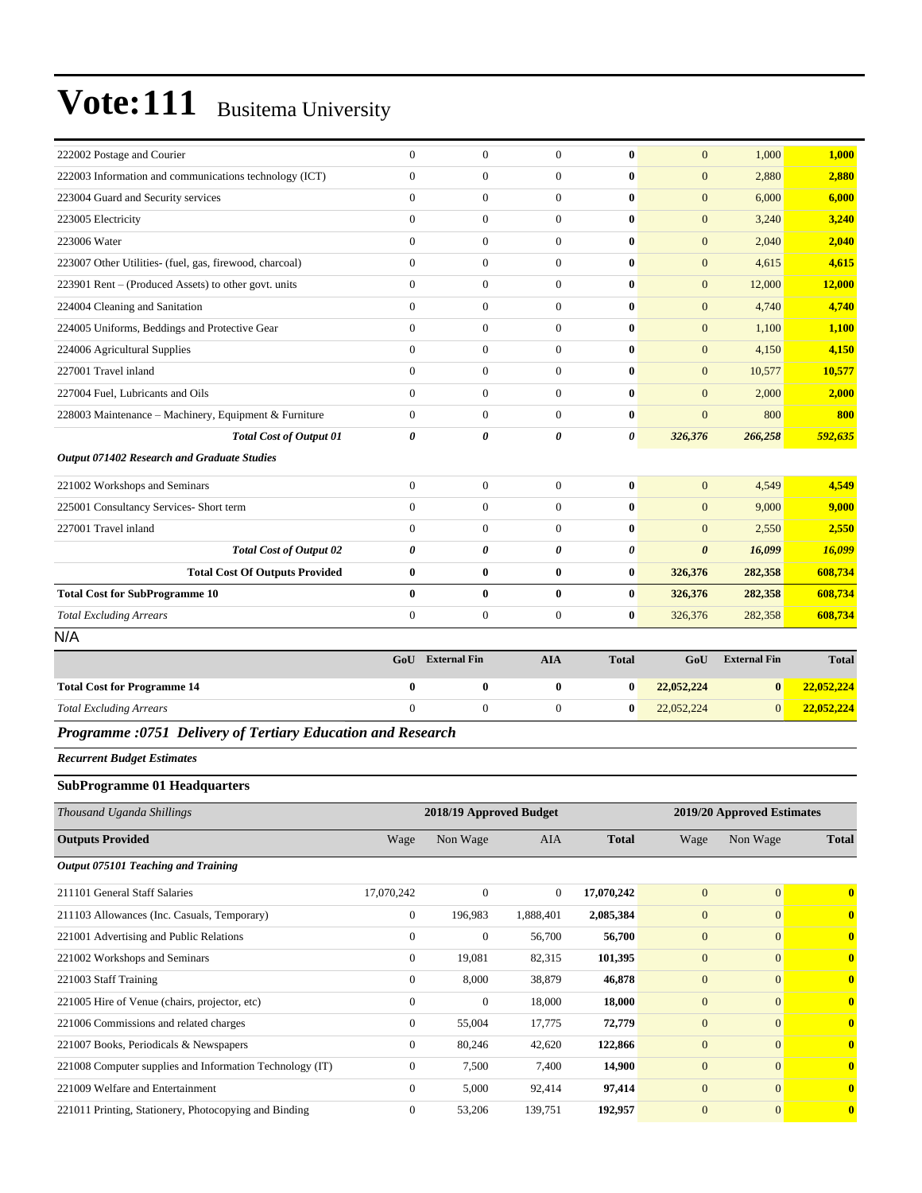| 222002 Postage and Courier                                  | $\Omega$       | $\theta$                | $\mathbf{0}$     | $\mathbf{0}$          | $\mathbf{0}$          | 1,000               | 1,000        |
|-------------------------------------------------------------|----------------|-------------------------|------------------|-----------------------|-----------------------|---------------------|--------------|
| 222003 Information and communications technology (ICT)      | $\Omega$       | $\theta$                | $\mathbf{0}$     | $\mathbf{0}$          | $\overline{0}$        | 2,880               | 2,880        |
| 223004 Guard and Security services                          | $\overline{0}$ | $\mathbf{0}$            | $\boldsymbol{0}$ | $\bf{0}$              | $\mathbf{0}$          | 6,000               | 6,000        |
| 223005 Electricity                                          | $\overline{0}$ | $\overline{0}$          | $\mathbf{0}$     | $\bf{0}$              | $\overline{0}$        | 3,240               | 3,240        |
| 223006 Water                                                | $\Omega$       | $\theta$                | $\mathbf{0}$     | $\mathbf{0}$          | $\overline{0}$        | 2,040               | 2,040        |
| 223007 Other Utilities- (fuel, gas, firewood, charcoal)     | $\overline{0}$ | $\mathbf{0}$            | $\boldsymbol{0}$ | $\bf{0}$              | $\mathbf{0}$          | 4,615               | 4,615        |
| 223901 Rent – (Produced Assets) to other govt. units        | $\overline{0}$ | $\overline{0}$          | $\boldsymbol{0}$ | $\bf{0}$              | $\mathbf{0}$          | 12,000              | 12,000       |
| 224004 Cleaning and Sanitation                              | $\overline{0}$ | $\overline{0}$          | $\mathbf{0}$     | $\bf{0}$              | $\overline{0}$        | 4.740               | 4,740        |
| 224005 Uniforms, Beddings and Protective Gear               | $\overline{0}$ | $\mathbf{0}$            | $\boldsymbol{0}$ | $\bf{0}$              | $\mathbf{0}$          | 1,100               | 1,100        |
| 224006 Agricultural Supplies                                | $\Omega$       | $\Omega$                | $\mathbf{0}$     | $\bf{0}$              | $\overline{0}$        | 4,150               | 4,150        |
| 227001 Travel inland                                        | $\Omega$       | $\mathbf{0}$            | $\boldsymbol{0}$ | $\bf{0}$              | $\mathbf{0}$          | 10,577              | 10,577       |
| 227004 Fuel, Lubricants and Oils                            | $\Omega$       | $\Omega$                | $\mathbf{0}$     | $\bf{0}$              | $\overline{0}$        | 2,000               | 2,000        |
| 228003 Maintenance - Machinery, Equipment & Furniture       | $\Omega$       | $\Omega$                | $\mathbf{0}$     | $\bf{0}$              | $\overline{0}$        | 800                 | 800          |
| <b>Total Cost of Output 01</b>                              | 0              | 0                       | 0                | $\boldsymbol{\theta}$ | 326,376               | 266,258             | 592,635      |
| Output 071402 Research and Graduate Studies                 |                |                         |                  |                       |                       |                     |              |
| 221002 Workshops and Seminars                               | $\Omega$       | $\mathbf{0}$            | $\boldsymbol{0}$ | $\bf{0}$              | $\overline{0}$        | 4,549               | 4,549        |
| 225001 Consultancy Services- Short term                     | $\overline{0}$ | $\overline{0}$          | $\boldsymbol{0}$ | $\bf{0}$              | $\overline{0}$        | 9,000               | 9,000        |
| 227001 Travel inland                                        | $\Omega$       | $\theta$                | $\boldsymbol{0}$ | $\bf{0}$              | $\overline{0}$        | 2,550               | 2,550        |
| <b>Total Cost of Output 02</b>                              | 0              | 0                       | 0                | $\boldsymbol{\theta}$ | $\boldsymbol{\theta}$ | 16,099              | 16,099       |
| <b>Total Cost Of Outputs Provided</b>                       | $\bf{0}$       | $\bf{0}$                | $\bf{0}$         | $\bf{0}$              | 326,376               | 282,358             | 608,734      |
| <b>Total Cost for SubProgramme 10</b>                       | $\bf{0}$       | $\bf{0}$                | $\bf{0}$         | $\bf{0}$              | 326,376               | 282,358             | 608,734      |
| <b>Total Excluding Arrears</b>                              | $\overline{0}$ | $\boldsymbol{0}$        | $\boldsymbol{0}$ | $\bf{0}$              | 326,376               | 282,358             | 608,734      |
| N/A                                                         |                |                         |                  |                       |                       |                     |              |
|                                                             |                | <b>GoU</b> External Fin | <b>AIA</b>       | <b>Total</b>          | GoU                   | <b>External Fin</b> | <b>Total</b> |
| <b>Total Cost for Programme 14</b>                          | $\bf{0}$       | $\bf{0}$                | $\bf{0}$         | $\bf{0}$              | 22,052,224            | $\bf{0}$            | 22,052,224   |
| <b>Total Excluding Arrears</b>                              | $\Omega$       | $\Omega$                | $\mathbf{0}$     | $\mathbf{0}$          | 22,052,224            | $\Omega$            | 22,052,224   |
| Programme :0751 Delivery of Tertiary Education and Research |                |                         |                  |                       |                       |                     |              |

*Recurrent Budget Estimates*

#### **SubProgramme 01 Headquarters**

| Thousand Uganda Shillings                                |                | 2018/19 Approved Budget |                | 2019/20 Approved Estimates |                |                |              |  |
|----------------------------------------------------------|----------------|-------------------------|----------------|----------------------------|----------------|----------------|--------------|--|
| <b>Outputs Provided</b>                                  | Wage           | Non Wage                | AIA            | <b>Total</b>               | Wage           | Non Wage       | <b>Total</b> |  |
| Output 075101 Teaching and Training                      |                |                         |                |                            |                |                |              |  |
| 211101 General Staff Salaries                            | 17,070,242     | $\mathbf{0}$            | $\overline{0}$ | 17,070,242                 | $\mathbf{0}$   | $\overline{0}$ | $\bf{0}$     |  |
| 211103 Allowances (Inc. Casuals, Temporary)              | $\overline{0}$ | 196,983                 | 1,888,401      | 2,085,384                  | $\mathbf{0}$   | $\mathbf{0}$   | $\bf{0}$     |  |
| 221001 Advertising and Public Relations                  | $\overline{0}$ | $\mathbf{0}$            | 56,700         | 56,700                     | $\mathbf{0}$   | $\Omega$       | $\bf{0}$     |  |
| 221002 Workshops and Seminars                            | $\overline{0}$ | 19,081                  | 82,315         | 101,395                    | $\mathbf{0}$   | $\mathbf{0}$   | $\bf{0}$     |  |
| 221003 Staff Training                                    | $\overline{0}$ | 8,000                   | 38,879         | 46,878                     | $\overline{0}$ | $\mathbf{0}$   | $\bf{0}$     |  |
| 221005 Hire of Venue (chairs, projector, etc)            | $\mathbf{0}$   | $\mathbf{0}$            | 18,000         | 18,000                     | $\overline{0}$ | $\Omega$       | $\bf{0}$     |  |
| 221006 Commissions and related charges                   | $\overline{0}$ | 55,004                  | 17,775         | 72,779                     | $\overline{0}$ | $\Omega$       | $\bf{0}$     |  |
| 221007 Books, Periodicals & Newspapers                   | $\mathbf{0}$   | 80,246                  | 42,620         | 122,866                    | $\mathbf{0}$   | $\Omega$       | $\mathbf{0}$ |  |
| 221008 Computer supplies and Information Technology (IT) | $\overline{0}$ | 7,500                   | 7,400          | 14,900                     | $\mathbf{0}$   | $\Omega$       | $\mathbf{0}$ |  |
| 221009 Welfare and Entertainment                         | $\mathbf{0}$   | 5,000                   | 92,414         | 97,414                     | $\mathbf{0}$   | $\mathbf{0}$   | $\bf{0}$     |  |
| 221011 Printing, Stationery, Photocopying and Binding    | $\mathbf{0}$   | 53,206                  | 139,751        | 192,957                    | $\overline{0}$ | $\mathbf{0}$   | $\bf{0}$     |  |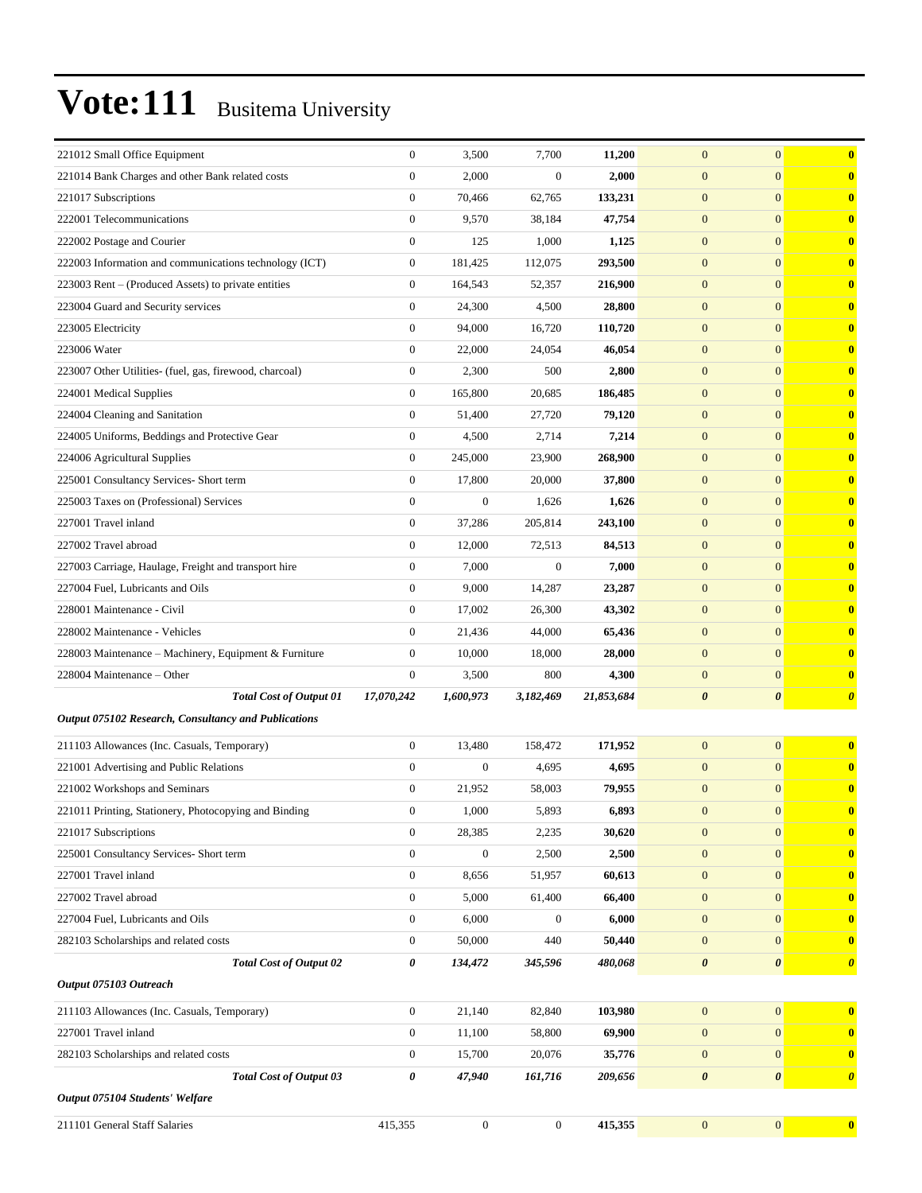| 221012 Small Office Equipment                           | $\boldsymbol{0}$ | 3,500            | 7,700            | 11,200     | $\boldsymbol{0}$      | $\mathbf{0}$          | $\bf{0}$              |
|---------------------------------------------------------|------------------|------------------|------------------|------------|-----------------------|-----------------------|-----------------------|
| 221014 Bank Charges and other Bank related costs        | $\mathbf{0}$     | 2,000            | $\boldsymbol{0}$ | 2,000      | $\boldsymbol{0}$      | $\mathbf{0}$          | $\bf{0}$              |
| 221017 Subscriptions                                    | $\boldsymbol{0}$ | 70,466           | 62,765           | 133,231    | $\mathbf{0}$          | $\mathbf{0}$          | $\bf{0}$              |
| 222001 Telecommunications                               | $\boldsymbol{0}$ | 9,570            | 38,184           | 47,754     | $\mathbf{0}$          | $\mathbf{0}$          | $\bf{0}$              |
| 222002 Postage and Courier                              | $\boldsymbol{0}$ | 125              | 1,000            | 1,125      | $\mathbf{0}$          | $\mathbf{0}$          | $\bf{0}$              |
| 222003 Information and communications technology (ICT)  | $\boldsymbol{0}$ | 181,425          | 112,075          | 293,500    | $\mathbf{0}$          | $\mathbf{0}$          | $\bf{0}$              |
| 223003 Rent – (Produced Assets) to private entities     | $\boldsymbol{0}$ | 164,543          | 52,357           | 216,900    | $\mathbf{0}$          | $\mathbf{0}$          | $\bf{0}$              |
| 223004 Guard and Security services                      | $\boldsymbol{0}$ | 24,300           | 4,500            | 28,800     | $\mathbf{0}$          | $\mathbf{0}$          | $\bf{0}$              |
| 223005 Electricity                                      | $\boldsymbol{0}$ | 94,000           | 16,720           | 110,720    | $\mathbf{0}$          | $\mathbf{0}$          | $\bf{0}$              |
| 223006 Water                                            | $\boldsymbol{0}$ | 22,000           | 24,054           | 46,054     | $\mathbf{0}$          | $\mathbf{0}$          | $\bf{0}$              |
| 223007 Other Utilities- (fuel, gas, firewood, charcoal) | $\boldsymbol{0}$ | 2,300            | 500              | 2,800      | $\mathbf{0}$          | $\mathbf{0}$          | $\bf{0}$              |
| 224001 Medical Supplies                                 | $\boldsymbol{0}$ | 165,800          | 20,685           | 186,485    | $\mathbf{0}$          | $\mathbf{0}$          | $\bf{0}$              |
| 224004 Cleaning and Sanitation                          | $\boldsymbol{0}$ | 51,400           | 27,720           | 79,120     | $\mathbf{0}$          | $\mathbf{0}$          | $\bf{0}$              |
| 224005 Uniforms, Beddings and Protective Gear           | $\boldsymbol{0}$ | 4,500            | 2,714            | 7,214      | $\mathbf{0}$          | $\mathbf{0}$          | $\bf{0}$              |
| 224006 Agricultural Supplies                            | $\boldsymbol{0}$ | 245,000          | 23,900           | 268,900    | $\mathbf{0}$          | $\mathbf{0}$          | $\bf{0}$              |
| 225001 Consultancy Services- Short term                 | $\boldsymbol{0}$ | 17,800           | 20,000           | 37,800     | $\mathbf{0}$          | $\mathbf{0}$          | $\bf{0}$              |
| 225003 Taxes on (Professional) Services                 | $\boldsymbol{0}$ | $\boldsymbol{0}$ | 1,626            | 1,626      | $\mathbf{0}$          | $\mathbf{0}$          | $\bf{0}$              |
| 227001 Travel inland                                    | $\boldsymbol{0}$ | 37,286           | 205,814          | 243,100    | $\mathbf{0}$          | $\mathbf{0}$          | $\bf{0}$              |
| 227002 Travel abroad                                    | $\boldsymbol{0}$ | 12,000           | 72,513           | 84,513     | $\mathbf{0}$          | $\mathbf{0}$          | $\bf{0}$              |
| 227003 Carriage, Haulage, Freight and transport hire    | $\boldsymbol{0}$ | 7,000            | $\boldsymbol{0}$ | 7,000      | $\mathbf{0}$          | $\mathbf{0}$          | $\bf{0}$              |
| 227004 Fuel, Lubricants and Oils                        | $\boldsymbol{0}$ | 9,000            | 14,287           | 23,287     | $\mathbf{0}$          | $\mathbf{0}$          | $\bf{0}$              |
| 228001 Maintenance - Civil                              | $\boldsymbol{0}$ | 17,002           | 26,300           | 43,302     | $\mathbf{0}$          | $\mathbf{0}$          | $\bf{0}$              |
| 228002 Maintenance - Vehicles                           | $\boldsymbol{0}$ | 21,436           | 44,000           | 65,436     | $\mathbf{0}$          | $\mathbf{0}$          | $\bf{0}$              |
| 228003 Maintenance - Machinery, Equipment & Furniture   | $\boldsymbol{0}$ | 10,000           | 18,000           | 28,000     | $\mathbf{0}$          | $\mathbf{0}$          | $\bf{0}$              |
| 228004 Maintenance - Other                              | $\boldsymbol{0}$ | 3,500            | 800              | 4,300      | $\mathbf{0}$          | $\mathbf{0}$          | $\bf{0}$              |
| <b>Total Cost of Output 01</b>                          | 17,070,242       | 1,600,973        | 3,182,469        | 21,853,684 | $\boldsymbol{\theta}$ | $\boldsymbol{\theta}$ | $\boldsymbol{\theta}$ |
| Output 075102 Research, Consultancy and Publications    |                  |                  |                  |            |                       |                       |                       |
| 211103 Allowances (Inc. Casuals, Temporary)             | $\boldsymbol{0}$ | 13,480           | 158,472          | 171,952    | $\boldsymbol{0}$      | $\mathbf{0}$          | $\bf{0}$              |
| 221001 Advertising and Public Relations                 | $\overline{0}$   | $\boldsymbol{0}$ | 4,695            | 4,695      | $\mathbf{0}$          | $\mathbf{0}$          | $\bf{0}$              |
| 221002 Workshops and Seminars                           | $\boldsymbol{0}$ | 21,952           | 58,003           | 79,955     | $\mathbf{0}$          | $\mathbf{0}$          | $\bf{0}$              |
| 221011 Printing, Stationery, Photocopying and Binding   | $\boldsymbol{0}$ | 1,000            | 5,893            | 6,893      | $\mathbf{0}$          | $\boldsymbol{0}$      | $\mathbf{U}$          |
| 221017 Subscriptions                                    | $\boldsymbol{0}$ | 28,385           | 2,235            | 30,620     | $\boldsymbol{0}$      | $\boldsymbol{0}$      | $\bf{0}$              |
| 225001 Consultancy Services- Short term                 | $\boldsymbol{0}$ | $\boldsymbol{0}$ | 2,500            | 2,500      | $\boldsymbol{0}$      | $\mathbf{0}$          | $\bf{0}$              |
| 227001 Travel inland                                    | $\boldsymbol{0}$ | 8,656            | 51,957           | 60,613     | $\boldsymbol{0}$      | $\mathbf{0}$          | $\bf{0}$              |
| 227002 Travel abroad                                    | $\boldsymbol{0}$ | 5,000            | 61,400           | 66,400     | $\mathbf{0}$          | $\mathbf{0}$          | $\bf{0}$              |
| 227004 Fuel, Lubricants and Oils                        | $\boldsymbol{0}$ | 6,000            | $\boldsymbol{0}$ | 6,000      | $\boldsymbol{0}$      | $\mathbf{0}$          | $\bf{0}$              |
| 282103 Scholarships and related costs                   | $\boldsymbol{0}$ | 50,000           | 440              | 50,440     | $\mathbf{0}$          | $\mathbf{0}$          | $\bf{0}$              |
| <b>Total Cost of Output 02</b>                          | 0                | 134,472          | 345,596          | 480,068    | $\boldsymbol{\theta}$ | $\boldsymbol{\theta}$ | $\boldsymbol{\theta}$ |
| Output 075103 Outreach                                  |                  |                  |                  |            |                       |                       |                       |
| 211103 Allowances (Inc. Casuals, Temporary)             | $\boldsymbol{0}$ | 21,140           | 82,840           | 103,980    | $\mathbf{0}$          | $\boldsymbol{0}$      | $\bf{0}$              |
| 227001 Travel inland                                    | $\boldsymbol{0}$ | 11,100           | 58,800           | 69,900     | $\mathbf{0}$          | $\mathbf{0}$          | $\mathbf{0}$          |
| 282103 Scholarships and related costs                   | $\boldsymbol{0}$ | 15,700           | 20,076           | 35,776     | $\boldsymbol{0}$      | $\mathbf{0}$          | $\bf{0}$              |
| Total Cost of Output 03                                 | 0                | 47,940           | 161,716          | 209,656    | $\boldsymbol{\theta}$ | $\pmb{\theta}$        | $\boldsymbol{\theta}$ |
| Output 075104 Students' Welfare                         |                  |                  |                  |            |                       |                       |                       |
| 211101 General Staff Salaries                           | 415,355          | $\boldsymbol{0}$ | $\boldsymbol{0}$ | 415,355    | $\boldsymbol{0}$      | $\mathbf{0}$          | $\mathbf{0}$          |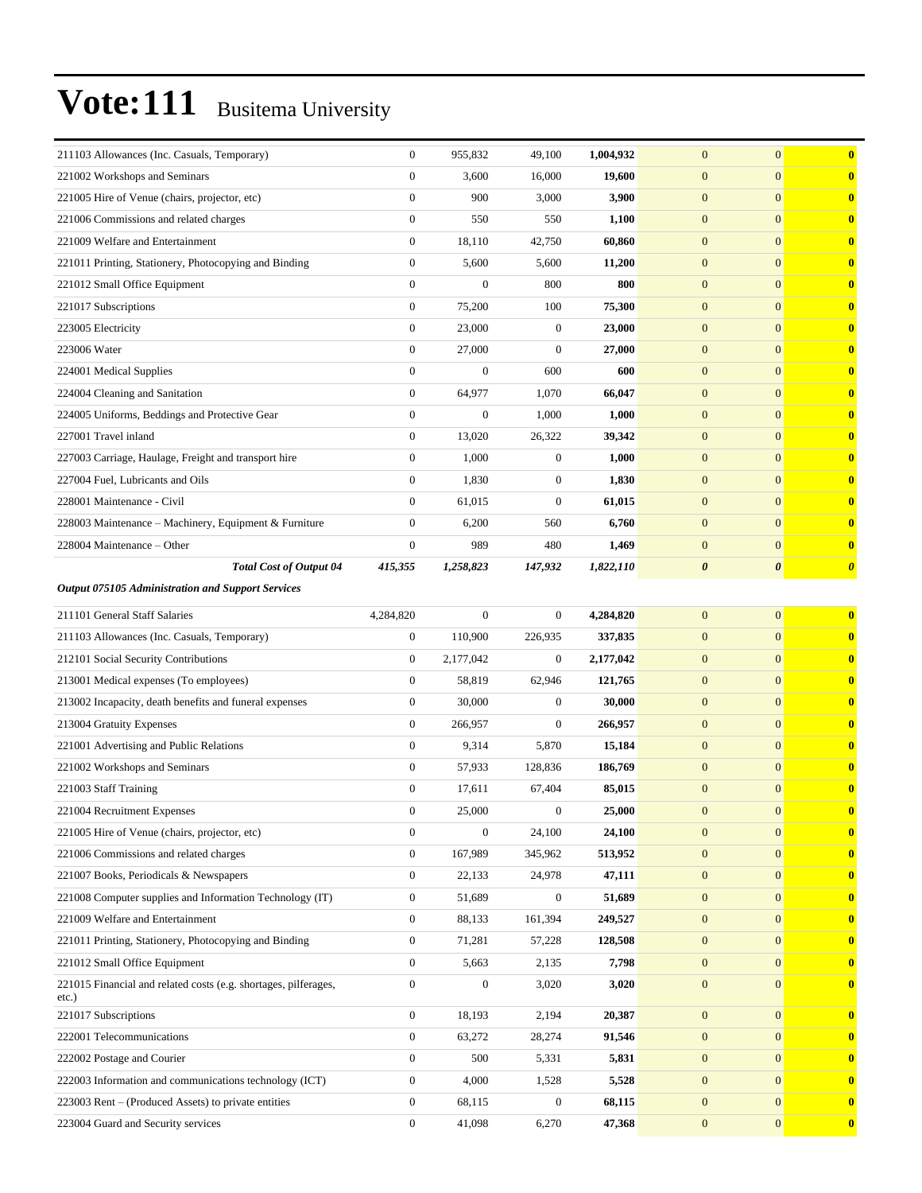| 211103 Allowances (Inc. Casuals, Temporary)                     | $\overline{0}$   | 955,832          | 49,100           | 1,004,932 | $\overline{0}$        | $\mathbf{0}$          | $\bf{0}$              |
|-----------------------------------------------------------------|------------------|------------------|------------------|-----------|-----------------------|-----------------------|-----------------------|
| 221002 Workshops and Seminars                                   | $\mathbf{0}$     | 3,600            | 16,000           | 19,600    | $\mathbf{0}$          | $\mathbf{0}$          | $\mathbf{0}$          |
| 221005 Hire of Venue (chairs, projector, etc)                   | $\boldsymbol{0}$ | 900              | 3,000            | 3,900     | $\boldsymbol{0}$      | $\mathbf{0}$          | $\mathbf{0}$          |
| 221006 Commissions and related charges                          | $\boldsymbol{0}$ | 550              | 550              | 1,100     | $\mathbf{0}$          | $\mathbf{0}$          | $\bf{0}$              |
| 221009 Welfare and Entertainment                                | $\boldsymbol{0}$ | 18,110           | 42,750           | 60,860    | $\boldsymbol{0}$      | $\mathbf{0}$          | $\bf{0}$              |
| 221011 Printing, Stationery, Photocopying and Binding           | $\boldsymbol{0}$ | 5,600            | 5,600            | 11,200    | $\boldsymbol{0}$      | $\mathbf{0}$          | $\bf{0}$              |
| 221012 Small Office Equipment                                   | $\overline{0}$   | $\boldsymbol{0}$ | 800              | 800       | $\boldsymbol{0}$      | $\mathbf{0}$          | $\mathbf{0}$          |
| 221017 Subscriptions                                            | $\mathbf{0}$     | 75,200           | 100              | 75,300    | $\boldsymbol{0}$      | $\mathbf{0}$          | $\mathbf{0}$          |
| 223005 Electricity                                              | $\boldsymbol{0}$ | 23,000           | $\boldsymbol{0}$ | 23,000    | $\mathbf{0}$          | $\mathbf{0}$          | $\bf{0}$              |
| 223006 Water                                                    | $\overline{0}$   | 27,000           | $\boldsymbol{0}$ | 27,000    | $\boldsymbol{0}$      | $\mathbf{0}$          | $\bf{0}$              |
| 224001 Medical Supplies                                         | $\overline{0}$   | $\overline{0}$   | 600              | 600       | $\boldsymbol{0}$      | $\mathbf{0}$          | $\bf{0}$              |
| 224004 Cleaning and Sanitation                                  | $\overline{0}$   | 64,977           | 1,070            | 66,047    | $\mathbf{0}$          | $\mathbf{0}$          | $\mathbf{0}$          |
| 224005 Uniforms, Beddings and Protective Gear                   | $\boldsymbol{0}$ | $\boldsymbol{0}$ | 1,000            | 1,000     | $\boldsymbol{0}$      | $\mathbf{0}$          | $\mathbf{0}$          |
| 227001 Travel inland                                            | $\boldsymbol{0}$ | 13,020           | 26,322           | 39,342    | $\mathbf{0}$          | $\mathbf{0}$          | $\bf{0}$              |
| 227003 Carriage, Haulage, Freight and transport hire            | $\overline{0}$   | 1,000            | $\mathbf{0}$     | 1,000     | $\boldsymbol{0}$      | $\mathbf{0}$          | $\bf{0}$              |
| 227004 Fuel, Lubricants and Oils                                | $\overline{0}$   | 1,830            | $\overline{0}$   | 1,830     | $\mathbf{0}$          | $\mathbf{0}$          | $\bf{0}$              |
| 228001 Maintenance - Civil                                      | $\overline{0}$   | 61,015           | $\boldsymbol{0}$ | 61,015    | $\mathbf{0}$          | $\mathbf{0}$          | $\mathbf{0}$          |
| 228003 Maintenance - Machinery, Equipment & Furniture           | $\boldsymbol{0}$ | 6,200            | 560              | 6,760     | $\boldsymbol{0}$      | $\mathbf{0}$          | $\mathbf{0}$          |
| 228004 Maintenance – Other                                      | $\boldsymbol{0}$ | 989              | 480              | 1,469     | $\mathbf{0}$          | $\mathbf{0}$          | $\mathbf{0}$          |
| <b>Total Cost of Output 04</b>                                  | 415,355          | 1,258,823        | 147,932          | 1,822,110 | $\boldsymbol{\theta}$ | $\boldsymbol{\theta}$ | $\boldsymbol{\theta}$ |
| Output 075105 Administration and Support Services               |                  |                  |                  |           |                       |                       |                       |
| 211101 General Staff Salaries                                   | 4,284,820        | $\boldsymbol{0}$ | $\overline{0}$   | 4,284,820 | $\mathbf{0}$          | $\mathbf{0}$          | $\bf{0}$              |
| 211103 Allowances (Inc. Casuals, Temporary)                     | $\boldsymbol{0}$ | 110,900          | 226,935          | 337,835   | $\mathbf{0}$          | $\mathbf{0}$          | $\bf{0}$              |
| 212101 Social Security Contributions                            | $\mathbf{0}$     | 2,177,042        | $\overline{0}$   | 2,177,042 | $\boldsymbol{0}$      | $\mathbf{0}$          | $\bf{0}$              |
| 213001 Medical expenses (To employees)                          | $\boldsymbol{0}$ | 58,819           | 62,946           | 121,765   | $\mathbf{0}$          | $\mathbf{0}$          | $\mathbf{0}$          |
| 213002 Incapacity, death benefits and funeral expenses          | $\boldsymbol{0}$ | 30,000           | $\mathbf{0}$     | 30,000    | $\boldsymbol{0}$      | $\mathbf{0}$          | $\mathbf{0}$          |
| 213004 Gratuity Expenses                                        | $\boldsymbol{0}$ | 266,957          | $\overline{0}$   | 266,957   | $\mathbf{0}$          | $\mathbf{0}$          | $\bf{0}$              |
| 221001 Advertising and Public Relations                         | $\overline{0}$   | 9,314            | 5,870            | 15,184    | $\mathbf{0}$          | $\mathbf{0}$          | $\bf{0}$              |
| 221002 Workshops and Seminars                                   | $\boldsymbol{0}$ | 57,933           | 128,836          | 186,769   | $\boldsymbol{0}$      | $\mathbf{0}$          | $\bf{0}$              |
| 221003 Staff Training                                           | $\boldsymbol{0}$ | 17,611           | 67,404           | 85,015    | $\boldsymbol{0}$      | $\mathbf{0}$          | $\mathbf{0}$          |
| 221004 Recruitment Expenses                                     | $\mathbf{0}$     | 25,000           | $\boldsymbol{0}$ | 25,000    | $\boldsymbol{0}$      | $\mathbf{0}$          | $\mathbf{0}$          |
| 221005 Hire of Venue (chairs, projector, etc)                   | $\boldsymbol{0}$ | $\boldsymbol{0}$ | 24,100           | 24,100    | $\mathbf{0}$          | $\mathbf{0}$          | $\bf{0}$              |
| 221006 Commissions and related charges                          | $\overline{0}$   | 167,989          | 345,962          | 513,952   | $\boldsymbol{0}$      | $\mathbf{0}$          | $\mathbf{0}$          |
| 221007 Books, Periodicals & Newspapers                          | $\boldsymbol{0}$ | 22,133           | 24,978           | 47,111    | $\boldsymbol{0}$      | $\mathbf{0}$          | $\mathbf{0}$          |
| 221008 Computer supplies and Information Technology (IT)        | $\boldsymbol{0}$ | 51,689           | $\mathbf{0}$     | 51,689    | $\boldsymbol{0}$      | $\mathbf{0}$          | $\mathbf{0}$          |
| 221009 Welfare and Entertainment                                | $\overline{0}$   | 88,133           | 161,394          | 249,527   | $\mathbf{0}$          | $\mathbf{0}$          | $\bf{0}$              |
| 221011 Printing, Stationery, Photocopying and Binding           | $\overline{0}$   | 71,281           | 57,228           | 128,508   | $\boldsymbol{0}$      | $\overline{0}$        | $\bf{0}$              |
| 221012 Small Office Equipment                                   | $\overline{0}$   | 5,663            | 2,135            | 7,798     | $\boldsymbol{0}$      | $\mathbf{0}$          | $\mathbf{0}$          |
| 221015 Financial and related costs (e.g. shortages, pilferages, | $\boldsymbol{0}$ | $\boldsymbol{0}$ | 3,020            | 3,020     | $\boldsymbol{0}$      | $\mathbf{0}$          | $\mathbf{0}$          |
| $etc.$ )<br>221017 Subscriptions                                | $\boldsymbol{0}$ | 18,193           | 2,194            | 20,387    | $\boldsymbol{0}$      | $\mathbf{0}$          | $\mathbf{0}$          |
| 222001 Telecommunications                                       | $\boldsymbol{0}$ | 63,272           | 28,274           | 91,546    | $\boldsymbol{0}$      | $\mathbf{0}$          | $\mathbf{0}$          |
| 222002 Postage and Courier                                      | $\overline{0}$   | 500              | 5,331            | 5,831     | $\mathbf{0}$          | $\mathbf{0}$          | $\mathbf{0}$          |
| 222003 Information and communications technology (ICT)          | $\boldsymbol{0}$ | 4,000            | 1,528            | 5,528     | $\boldsymbol{0}$      | $\mathbf{0}$          | $\mathbf{0}$          |
|                                                                 |                  |                  |                  |           |                       |                       |                       |
| 223003 Rent – (Produced Assets) to private entities             | $\boldsymbol{0}$ | 68,115           | $\boldsymbol{0}$ | 68,115    | $\boldsymbol{0}$      | $\mathbf{0}$          | $\mathbf{0}$          |
| 223004 Guard and Security services                              | $\mathbf{0}$     | 41,098           | 6,270            | 47,368    | $\boldsymbol{0}$      | $\boldsymbol{0}$      | $\mathbf{0}$          |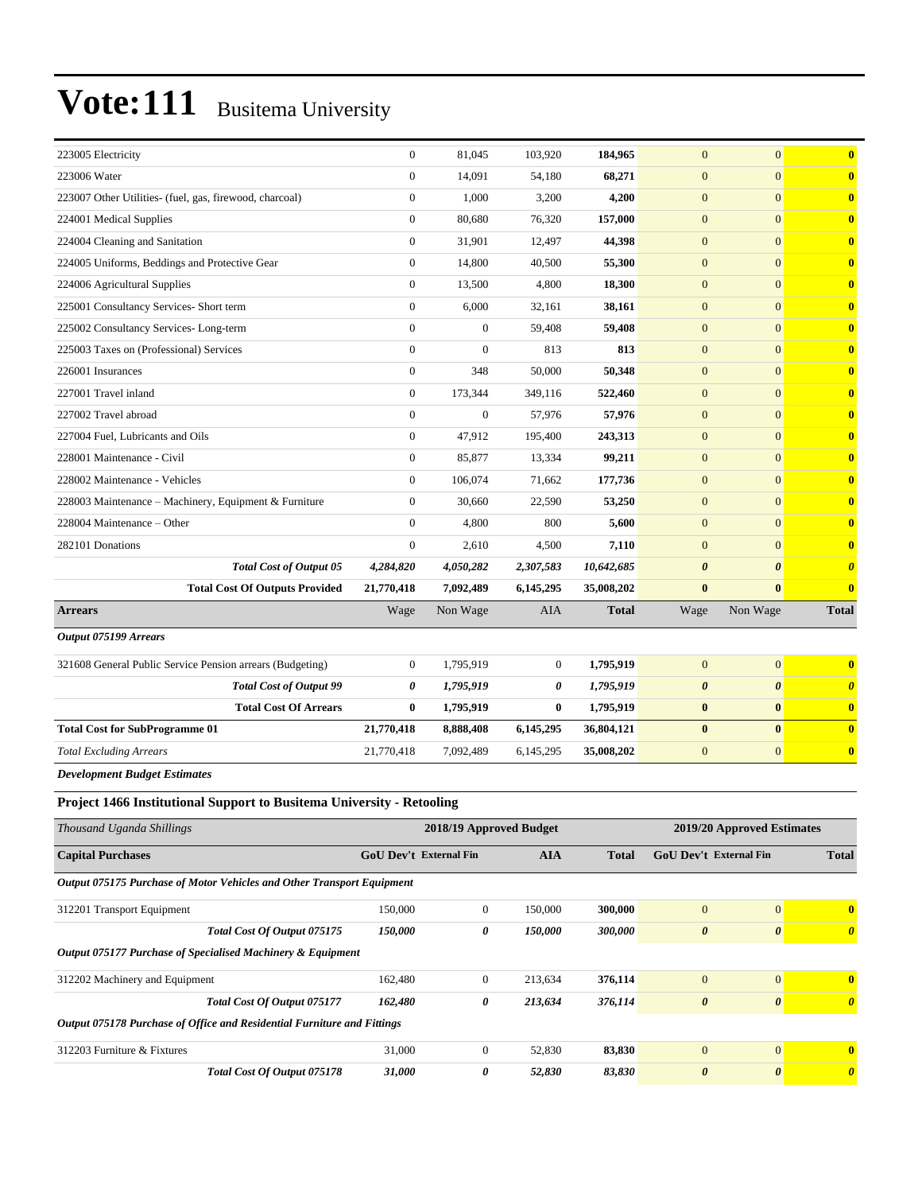| 223005 Electricity                                        | $\mathbf{0}$     | 81,045           | 103,920        | 184,965      | $\mathbf{0}$          | $\overline{0}$        | $\bf{0}$                |
|-----------------------------------------------------------|------------------|------------------|----------------|--------------|-----------------------|-----------------------|-------------------------|
| 223006 Water                                              | $\mathbf{0}$     | 14,091           | 54,180         | 68,271       | $\mathbf{0}$          | $\mathbf{0}$          | $\bf{0}$                |
| 223007 Other Utilities- (fuel, gas, firewood, charcoal)   | $\boldsymbol{0}$ | 1,000            | 3,200          | 4,200        | $\mathbf{0}$          | $\overline{0}$        | $\bf{0}$                |
| 224001 Medical Supplies                                   | $\mathbf{0}$     | 80,680           | 76,320         | 157,000      | $\mathbf{0}$          | $\overline{0}$        | $\bf{0}$                |
| 224004 Cleaning and Sanitation                            | $\mathbf{0}$     | 31,901           | 12,497         | 44,398       | $\mathbf{0}$          | $\overline{0}$        | $\bf{0}$                |
| 224005 Uniforms, Beddings and Protective Gear             | $\boldsymbol{0}$ | 14,800           | 40,500         | 55,300       | $\mathbf{0}$          | $\mathbf{0}$          | $\bf{0}$                |
| 224006 Agricultural Supplies                              | $\mathbf{0}$     | 13,500           | 4,800          | 18,300       | $\mathbf{0}$          | $\overline{0}$        | $\bf{0}$                |
| 225001 Consultancy Services- Short term                   | $\mathbf{0}$     | 6,000            | 32,161         | 38,161       | $\mathbf{0}$          | $\overline{0}$        | $\bf{0}$                |
| 225002 Consultancy Services-Long-term                     | $\mathbf{0}$     | $\boldsymbol{0}$ | 59,408         | 59,408       | $\mathbf{0}$          | $\overline{0}$        | $\bf{0}$                |
| 225003 Taxes on (Professional) Services                   | $\mathbf{0}$     | $\boldsymbol{0}$ | 813            | 813          | $\mathbf{0}$          | $\mathbf{0}$          | $\bf{0}$                |
| 226001 Insurances                                         | $\mathbf{0}$     | 348              | 50,000         | 50,348       | $\mathbf{0}$          | $\overline{0}$        | $\bf{0}$                |
| 227001 Travel inland                                      | $\mathbf{0}$     | 173,344          | 349,116        | 522,460      | $\mathbf{0}$          | $\overline{0}$        | $\bf{0}$                |
| 227002 Travel abroad                                      | $\mathbf{0}$     | $\boldsymbol{0}$ | 57,976         | 57,976       | $\mathbf{0}$          | $\overline{0}$        | $\bf{0}$                |
| 227004 Fuel, Lubricants and Oils                          | $\mathbf{0}$     | 47,912           | 195,400        | 243,313      | $\overline{0}$        | $\overline{0}$        | $\overline{\mathbf{0}}$ |
| 228001 Maintenance - Civil                                | $\mathbf{0}$     | 85,877           | 13,334         | 99,211       | $\overline{0}$        | $\overline{0}$        | $\bf{0}$                |
| 228002 Maintenance - Vehicles                             | $\mathbf{0}$     | 106,074          | 71,662         | 177,736      | $\mathbf{0}$          | $\overline{0}$        | $\mathbf{0}$            |
| 228003 Maintenance - Machinery, Equipment & Furniture     | $\theta$         | 30,660           | 22,590         | 53,250       | $\mathbf{0}$          | $\overline{0}$        | $\bf{0}$                |
| 228004 Maintenance - Other                                | $\Omega$         | 4,800            | 800            | 5.600        | $\mathbf{0}$          | $\overline{0}$        | $\overline{\mathbf{0}}$ |
| 282101 Donations                                          | $\theta$         | 2,610            | 4,500          | 7,110        | $\mathbf{0}$          | $\Omega$              | $\overline{\mathbf{0}}$ |
| <b>Total Cost of Output 05</b>                            | 4,284,820        | 4,050,282        | 2,307,583      | 10,642,685   | $\boldsymbol{\theta}$ | $\boldsymbol{\theta}$ | $\boldsymbol{\theta}$   |
| <b>Total Cost Of Outputs Provided</b>                     | 21,770,418       | 7,092,489        | 6,145,295      | 35,008,202   | $\bf{0}$              | $\mathbf{0}$          | $\overline{\mathbf{0}}$ |
| <b>Arrears</b>                                            | Wage             | Non Wage         | <b>AIA</b>     | <b>Total</b> | Wage                  | Non Wage              | <b>Total</b>            |
| Output 075199 Arrears                                     |                  |                  |                |              |                       |                       |                         |
| 321608 General Public Service Pension arrears (Budgeting) | $\overline{0}$   | 1,795,919        | $\overline{0}$ | 1,795,919    | $\overline{0}$        | $\overline{0}$        | $\mathbf{0}$            |
| <b>Total Cost of Output 99</b>                            | 0                | 1,795,919        | 0              | 1,795,919    | $\boldsymbol{\theta}$ | $\boldsymbol{\theta}$ | $\boldsymbol{\theta}$   |
| <b>Total Cost Of Arrears</b>                              | $\bf{0}$         | 1,795,919        | $\bf{0}$       | 1,795,919    | $\bf{0}$              | $\bf{0}$              | $\bf{0}$                |
| <b>Total Cost for SubProgramme 01</b>                     | 21,770,418       | 8,888,408        | 6,145,295      | 36,804,121   | $\bf{0}$              | $\bf{0}$              | $\mathbf{0}$            |
| <b>Total Excluding Arrears</b>                            | 21,770,418       | 7,092,489        | 6,145,295      | 35,008,202   | $\mathbf{0}$          | $\mathbf{0}$          | $\mathbf{0}$            |
| <b>Development Budget Estimates</b>                       |                  |                  |                |              |                       |                       |                         |

#### **Project 1466 Institutional Support to Busitema University - Retooling**

| Thousand Uganda Shillings                                               | 2019/20 Approved Estimates<br>2018/19 Approved Budget |              |            |              |                               |                       |                       |
|-------------------------------------------------------------------------|-------------------------------------------------------|--------------|------------|--------------|-------------------------------|-----------------------|-----------------------|
| <b>Capital Purchases</b>                                                | <b>GoU Dev't External Fin</b>                         |              | <b>AIA</b> | <b>Total</b> | <b>GoU Dev't External Fin</b> |                       | <b>Total</b>          |
| Output 075175 Purchase of Motor Vehicles and Other Transport Equipment  |                                                       |              |            |              |                               |                       |                       |
| 312201 Transport Equipment                                              | 150,000                                               | $\mathbf{0}$ | 150,000    | 300,000      | $\overline{0}$                | $\Omega$              | $\mathbf{0}$          |
| Total Cost Of Output 075175                                             | 150,000                                               | 0            | 150,000    | 300,000      | $\boldsymbol{\theta}$         | $\boldsymbol{\theta}$ | $\boldsymbol{\theta}$ |
| Output 075177 Purchase of Specialised Machinery & Equipment             |                                                       |              |            |              |                               |                       |                       |
| 312202 Machinery and Equipment                                          | 162,480                                               | $\mathbf{0}$ | 213,634    | 376,114      | $\mathbf{0}$                  | $\mathbf{0}$          | $\mathbf{0}$          |
| <b>Total Cost Of Output 075177</b>                                      | 162,480                                               | 0            | 213,634    | 376,114      | $\boldsymbol{\theta}$         | $\boldsymbol{\theta}$ | $\theta$              |
| Output 075178 Purchase of Office and Residential Furniture and Fittings |                                                       |              |            |              |                               |                       |                       |
| 312203 Furniture & Fixtures                                             | 31,000                                                | $\mathbf{0}$ | 52,830     | 83,830       | $\mathbf{0}$                  | $\overline{0}$        | $\mathbf{0}$          |
| <b>Total Cost Of Output 075178</b>                                      | 31,000                                                | 0            | 52,830     | 83,830       | $\boldsymbol{\theta}$         | $\boldsymbol{\theta}$ | $\theta$              |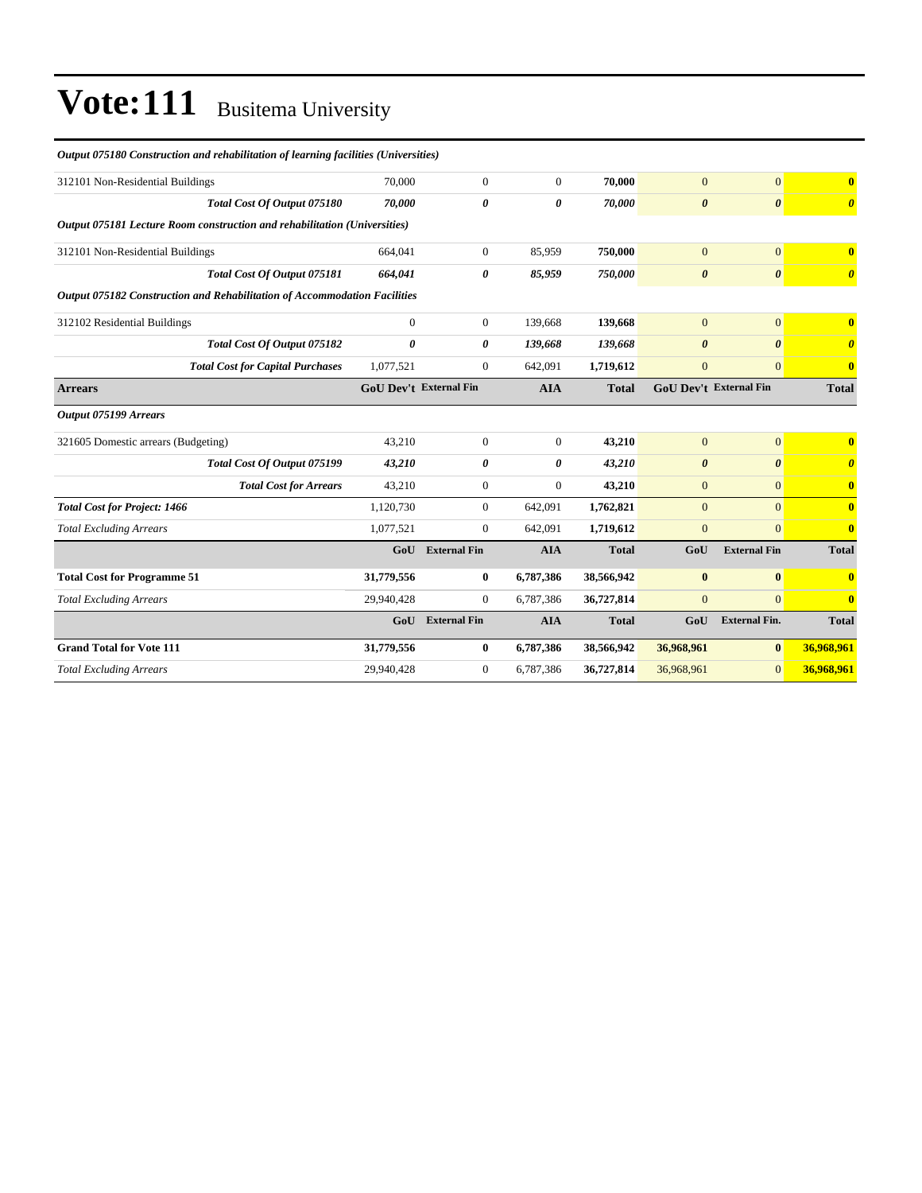#### *Output 075180 Construction and rehabilitation of learning facilities (Universities)*

| 70,000       | $\mathbf{0}$                                                                                                                                           | $\overline{0}$                | 70.000       | $\overline{0}$        | $\overline{0}$        | $\mathbf{0}$                  |
|--------------|--------------------------------------------------------------------------------------------------------------------------------------------------------|-------------------------------|--------------|-----------------------|-----------------------|-------------------------------|
| 70.000       | 0                                                                                                                                                      | 0                             | 70.000       | $\boldsymbol{\theta}$ | $\boldsymbol{\theta}$ | $\boldsymbol{\theta}$         |
|              |                                                                                                                                                        |                               |              |                       |                       |                               |
| 664.041      | $\mathbf{0}$                                                                                                                                           | 85.959                        | 750,000      | $\overline{0}$        | $\mathbf{0}$          | $\mathbf{0}$                  |
| 664,041      | 0                                                                                                                                                      | 85,959                        | 750,000      | $\boldsymbol{\theta}$ | $\boldsymbol{\theta}$ | $\boldsymbol{\theta}$         |
|              |                                                                                                                                                        |                               |              |                       |                       |                               |
| $\mathbf{0}$ | $\mathbf{0}$                                                                                                                                           | 139,668                       | 139,668      | $\overline{0}$        | $\overline{0}$        | $\mathbf{0}$                  |
| 0            | 0                                                                                                                                                      | 139,668                       | 139,668      | $\boldsymbol{\theta}$ | $\boldsymbol{\theta}$ | $\boldsymbol{\theta}$         |
| 1,077,521    | $\mathbf{0}$                                                                                                                                           | 642,091                       | 1,719,612    | $\mathbf{0}$          | $\overline{0}$        | $\mathbf{0}$                  |
|              |                                                                                                                                                        | <b>AIA</b>                    | <b>Total</b> |                       |                       | <b>Total</b>                  |
|              |                                                                                                                                                        |                               |              |                       |                       |                               |
| 43,210       | $\boldsymbol{0}$                                                                                                                                       | $\mathbf{0}$                  | 43,210       | $\mathbf{0}$          | $\mathbf{0}$          | $\overline{\mathbf{0}}$       |
| 43,210       | 0                                                                                                                                                      | 0                             | 43,210       | $\boldsymbol{\theta}$ | $\boldsymbol{\theta}$ | $\boldsymbol{\theta}$         |
| 43,210       | $\boldsymbol{0}$                                                                                                                                       | $\overline{0}$                | 43,210       | $\mathbf{0}$          | $\overline{0}$        | $\mathbf{0}$                  |
| 1,120,730    | $\boldsymbol{0}$                                                                                                                                       | 642,091                       | 1,762,821    | $\overline{0}$        | $\overline{0}$        | $\mathbf{0}$                  |
| 1,077,521    | $\mathbf{0}$                                                                                                                                           | 642,091                       | 1,719,612    | $\overline{0}$        | $\Omega$              | $\mathbf{0}$                  |
| Gol          | <b>External Fin</b>                                                                                                                                    | <b>AIA</b>                    | <b>Total</b> | GoU                   | <b>External Fin</b>   | <b>Total</b>                  |
| 31,779,556   | $\bf{0}$                                                                                                                                               | 6,787,386                     | 38,566,942   | $\bf{0}$              | $\bf{0}$              | $\mathbf{0}$                  |
| 29,940,428   | $\overline{0}$                                                                                                                                         | 6,787,386                     | 36,727,814   | $\overline{0}$        | $\Omega$              | $\mathbf{0}$                  |
| GoU          | <b>External Fin</b>                                                                                                                                    | <b>AIA</b>                    | <b>Total</b> | GoU                   | <b>External Fin.</b>  | <b>Total</b>                  |
| 31,779,556   | $\bf{0}$                                                                                                                                               | 6,787,386                     | 38,566,942   | 36,968,961            | $\bf{0}$              | 36,968,961                    |
| 29,940,428   | $\boldsymbol{0}$                                                                                                                                       | 6,787,386                     | 36,727,814   | 36,968,961            | $\overline{0}$        | 36,968,961                    |
|              | Output 075181 Lecture Room construction and rehabilitation (Universities)<br>Output 075182 Construction and Rehabilitation of Accommodation Facilities | <b>GoU Dev't External Fin</b> |              |                       |                       | <b>GoU Dev't External Fin</b> |